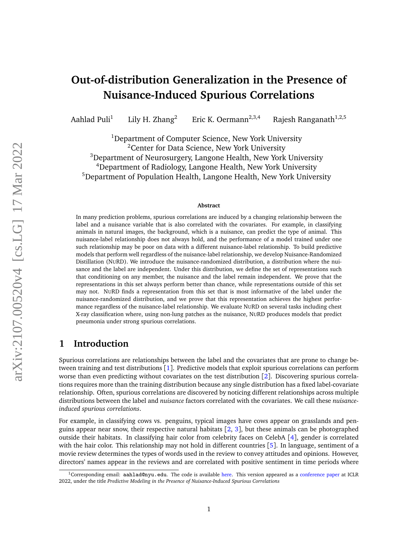# **Out-of-distribution Generalization in the Presence of Nuisance-Induced Spurious Correlations**

Aahlad Puli<sup>1</sup> Lily H. Zhang<sup>2</sup> Eric K. Oermann<sup>2,3,4</sup> Rajesh Ranganath<sup>1,2,5</sup>

<sup>1</sup>Department of Computer Science, New York University  $2$ Center for Data Science, New York University <sup>3</sup>Department of Neurosurgery, Langone Health, New York University <sup>4</sup>Department of Radiology, Langone Health, New York University <sup>5</sup>Department of Population Health, Langone Health, New York University

#### **Abstract**

In many prediction problems, spurious correlations are induced by a changing relationship between the label and a nuisance variable that is also correlated with the covariates. For example, in classifying animals in natural images, the background, which is a nuisance, can predict the type of animal. This nuisance-label relationship does not always hold, and the performance of a model trained under one such relationship may be poor on data with a different nuisance-label relationship. To build predictive models that perform well regardless of the nuisance-label relationship, we develop Nuisance-Randomized Distillation (NURD). We introduce the nuisance-randomized distribution, a distribution where the nuisance and the label are independent. Under this distribution, we define the set of representations such that conditioning on any member, the nuisance and the label remain independent. We prove that the representations in this set always perform better than chance, while representations outside of this set may not. NURD finds a representation from this set that is most informative of the label under the nuisance-randomized distribution, and we prove that this representation achieves the highest performance regardless of the nuisance-label relationship. We evaluate NURD on several tasks including chest X-ray classification where, using non-lung patches as the nuisance, NURD produces models that predict pneumonia under strong spurious correlations.

## **1 Introduction**

Spurious correlations are relationships between the label and the covariates that are prone to change between training and test distributions [[1](#page-10-0)]. Predictive models that exploit spurious correlations can perform worse than even predicting without covariates on the test distribution [[2](#page-10-1)]. Discovering spurious correlations requires more than the training distribution because any single distribution has a fixed label-covariate relationship. Often, spurious correlations are discovered by noticing different relationships across multiple distributions between the label and *nuisance* factors correlated with the covariates. We call these *nuisanceinduced spurious correlations*.

For example, in classifying cows vs. penguins, typical images have cows appear on grasslands and penguins appear near snow, their respective natural habitats  $[2, 3]$  $[2, 3]$  $[2, 3]$  $[2, 3]$  $[2, 3]$ , but these animals can be photographed outside their habitats. In classifying hair color from celebrity faces on CelebA  $[4]$  $[4]$  $[4]$ , gender is correlated with the hair color. This relationship may not hold in different countries [[5](#page-10-4)]. In language, sentiment of a movie review determines the types of words used in the review to convey attitudes and opinions. However, directors' names appear in the reviews and are correlated with positive sentiment in time periods where

<sup>&</sup>lt;sup>1</sup>Corresponding email: aahlad@nyu.edu. The code is available [here.](https://github.com/rajesh-lab/nurd-code-public) This version appeared as a [conference paper](https://openreview.net/forum?id=12RoR2o32T) at ICLR 2022, under the title *Predictive Modeling in the Presence of Nuisance-Induced Spurious Correlations*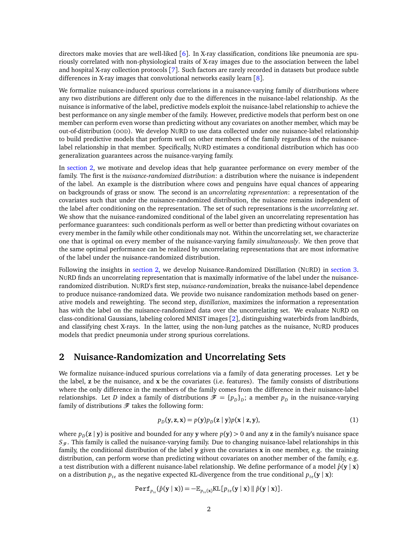directors make movies that are well-liked  $[6]$  $[6]$  $[6]$ . In X-ray classification, conditions like pneumonia are spuriously correlated with non-physiological traits of X-ray images due to the association between the label and hospital X-ray collection protocols [[7](#page-10-6)]. Such factors are rarely recorded in datasets but produce subtle differences in X-ray images that convolutional networks easily learn [[8](#page-10-7)].

We formalize nuisance-induced spurious correlations in a nuisance-varying family of distributions where any two distributions are different only due to the differences in the nuisance-label relationship. As the nuisance is informative of the label, predictive models exploit the nuisance-label relationship to achieve the best performance on any single member of the family. However, predictive models that perform best on one member can perform even worse than predicting without any covariates on another member, which may be out-of-distribution (OOD). We develop NURD to use data collected under one nuisance-label relationship to build predictive models that perform well on other members of the family regardless of the nuisancelabel relationship in that member. Specifically, NURD estimates a conditional distribution which has OOD generalization guarantees across the nuisance-varying family.

In [section 2,](#page-1-0) we motivate and develop ideas that help guarantee performance on every member of the family. The first is the *nuisance-randomized distribution*: a distribution where the nuisance is independent of the label. An example is the distribution where cows and penguins have equal chances of appearing on backgrounds of grass or snow. The second is an *uncorrelating representation*: a representation of the covariates such that under the nuisance-randomized distribution, the nuisance remains independent of the label after conditioning on the representation. The set of such representations is the *uncorrelating set*. We show that the nuisance-randomized conditional of the label given an uncorrelating representation has performance guarantees: such conditionals perform as well or better than predicting without covariates on every member in the family while other conditionals may not. Within the uncorrelating set, we characterize one that is optimal on every member of the nuisance-varying family *simultaneously*. We then prove that the same optimal performance can be realized by uncorrelating representations that are most informative of the label under the nuisance-randomized distribution.

Following the insights in [section 2,](#page-1-0) we develop Nuisance-Randomized Distillation (NURD) in [section 3.](#page-4-0) NURD finds an uncorrelating representation that is maximally informative of the label under the nuisancerandomized distribution. NURD's first step, *nuisance-randomization*, breaks the nuisance-label dependence to produce nuisance-randomized data. We provide two nuisance randomization methods based on generative models and reweighting. The second step, *distillation*, maximizes the information a representation has with the label on the nuisance-randomized data over the uncorrelating set. We evaluate NURD on class-conditional Gaussians, labeling colored MNIST images [[2](#page-10-1)], distinguishing waterbirds from landbirds, and classifying chest X-rays. In the latter, using the non-lung patches as the nuisance, NURD produces models that predict pneumonia under strong spurious correlations.

## <span id="page-1-0"></span>**2 Nuisance-Randomization and Uncorrelating Sets**

We formalize nuisance-induced spurious correlations via a family of data generating processes. Let **y** be the label, **z** be the nuisance, and **x** be the covariates (i.e. features). The family consists of distributions where the only difference in the members of the family comes from the difference in their nuisance-label relationships. Let *D* index a family of distributions  $\mathcal{F} = \{p_D\}_D$ ; a member  $p_D$  in the nuisance-varying family of distributions  $\mathcal F$  takes the following form:

<span id="page-1-1"></span>
$$
p_D(\mathbf{y}, \mathbf{z}, \mathbf{x}) = p(\mathbf{y})p_D(\mathbf{z} \mid \mathbf{y})p(\mathbf{x} \mid \mathbf{z}, \mathbf{y}),\tag{1}
$$

where  $p_D(z | y)$  is positive and bounded for any **y** where  $p(y) > 0$  and any **z** in the family's nuisance space  $S_{\mathscr{F}}$ . This family is called the nuisance-varying family. Due to changing nuisance-label relationships in this family, the conditional distribution of the label **y** given the covariates **x** in one member, e.g. the training distribution, can perform worse than predicting without covariates on another member of the family, e.g. a test distribution with a different nuisance-label relationship. We define performance of a model  $\hat{p}(\mathbf{y} | \mathbf{x})$ on a distribution  $p_{te}$  as the negative expected KL-divergence from the true conditional  $p_{te}(\mathbf{y} | \mathbf{x})$ :

$$
Perf_{p_{te}}(\hat{p}(\mathbf{y} \mid \mathbf{x})) = -\mathbb{E}_{p_{te}(\mathbf{x})}KL[p_{te}(\mathbf{y} \mid \mathbf{x}) \parallel \hat{p}(\mathbf{y} \mid \mathbf{x})].
$$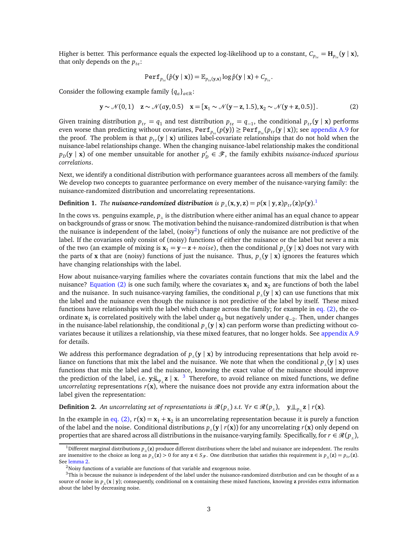Higher is better. This performance equals the expected log-likelihood up to a constant,  $C_{p_{te}} = H_{p_{te}}(y | x)$ , that only depends on the *pte*:

<span id="page-2-2"></span>
$$
\texttt{Perf}_{p_{te}}(\hat{p}(\mathbf{y} \mid \mathbf{x})) = \mathbb{E}_{p_{te}(\mathbf{y}, \mathbf{x})} \log \hat{p}(\mathbf{y} \mid \mathbf{x}) + C_{p_{te}}.
$$

Consider the following example family  ${q_a}_{a \in \mathbb{R}}$ :

$$
\mathbf{y} \sim \mathcal{N}(0,1) \quad \mathbf{z} \sim \mathcal{N}(a\mathbf{y},0.5) \quad \mathbf{x} = [\mathbf{x}_1 \sim \mathcal{N}(\mathbf{y}-\mathbf{z},1.5), \mathbf{x}_2 \sim \mathcal{N}(\mathbf{y}+\mathbf{z},0.5)]. \tag{2}
$$

Given training distribution  $p_{tr} = q_1$  and test distribution  $p_{te} = q_{-1}$ , the conditional  $p_{tr}(\mathbf{y} | \mathbf{x})$  performs even worse than predicting without covariates,  $Perf_{p_{te}}(p(y)) \geq Perf_{p_{te}}(p_{tr}(y|x));$  see [appendix A.9](#page-28-0) for the proof. The problem is that  $p_{tr}(\mathbf{y} | \mathbf{x})$  utilizes label-covariate relationships that do not hold when the nuisance-label relationships change. When the changing nuisance-label relationship makes the conditional  $p_D(\mathbf{y} \mid \mathbf{x})$  of one member unsuitable for another  $p'_D$  $D_D' \in \mathscr{F}$ , the family exhibits *nuisance-induced spurious correlations*.

Next, we identify a conditional distribution with performance guarantees across all members of the family. We develop two concepts to guarantee performance on every member of the nuisance-varying family: the nuisance-randomized distribution and uncorrelating representations.

## Definition [1](#page-2-0). *The nuisance-randomized distribution is*  $p_{\perp}(\mathbf{x},\mathbf{y},\mathbf{z}) = p(\mathbf{x} \mid \mathbf{y},\mathbf{z})p_{tr}(\mathbf{z})p(\mathbf{y}).$ <sup>1</sup>

In the cows vs. penguins example,  $p_{_\parallel}$  is the distribution where either animal has an equal chance to appear on backgrounds of grass or snow. The motivation behind the nuisance-randomized distribution is that when the nuisance is independent of the label, (noisy<sup>[2](#page-2-1)</sup>) functions of only the nuisance are not predictive of the label. If the covariates only consist of (noisy) functions of either the nuisance or the label but never a mix of the two (an example of mixing is  $\mathbf{x}_1 = \mathbf{y} - \mathbf{z} + noise$ ), then the conditional  $p_{\parallel}(\mathbf{y} | \mathbf{x})$  does not vary with the parts of **x** that are (noisy) functions of just the nuisance. Thus,  $p_{\parallel}(\mathbf{y} \mid \mathbf{x})$  ignores the features which have changing relationships with the label.

How about nuisance-varying families where the covariates contain functions that mix the label and the nuisance? [Equation \(2\)](#page-2-2) is one such family, where the covariates  $\mathbf{x}_1$  and  $\mathbf{x}_2$  are functions of both the label and the nuisance. In such nuisance-varying families, the conditional  $p_{\parallel}(\mathbf{y} | \mathbf{x})$  can use functions that mix the label and the nuisance even though the nuisance is not predictive of the label by itself. These mixed functions have relationships with the label which change across the family; for example in [eq. \(2\),](#page-2-2) the coordinate **x**<sup>1</sup> is correlated positively with the label under *q*<sup>0</sup> but negatively under *q*<sup>−</sup><sup>2</sup> . Then, under changes in the nuisance-label relationship, the conditional  $p_{\parallel}(\mathbf{y} | \mathbf{x})$  can perform worse than predicting without covariates because it utilizes a relationship, via these mixed features, that no longer holds. See [appendix A.9](#page-28-0) for details.

We address this performance degradation of  $p_{\parallel}$ (**y** | **x**) by introducing representations that help avoid reliance on functions that mix the label and the nuisance. We note that when the conditional  $p_{\parallel}(\mathbf{y} | \mathbf{x})$  uses functions that mix the label and the nuisance, knowing the exact value of the nuisance should improve the prediction of the label, i.e.  $y \perp_{p_{\perp}} z \mid x$ . <sup>[3](#page-2-3)</sup> Therefore, to avoid reliance on mixed functions, we define *uncorrelating* representations  $r(x)$ , where the nuisance does not provide any extra information about the label given the representation:

**Definition 2.** An uncorrelating set of representations is  $\mathcal{R}(p_+)$  *s.t.*  $\forall r \in \mathcal{R}(p_+)$ ,  $y \perp z \mid r(x)$ *.* 

In the example in [eq. \(2\),](#page-2-2)  $r(x) = x_1 + x_2$  is an uncorrelating representation because it is purely a function of the label and the noise. Conditional distributions  $p_*(y | r(x))$  for any uncorrelating  $r(x)$  only depend on properties that are shared across all distributions in the nuisance-varying family. Specifically, for  $r \in \mathcal{R}(p_{\perp})$ ,

<span id="page-2-0"></span><sup>&</sup>lt;sup>1</sup>Different marginal distributions  $p_{\parallel}$ (z) produce different distributions where the label and nuisance are independent. The results are insensitive to the choice as long as  $p_{\parallel}(\mathbf{z}) > 0$  for any  $\mathbf{z} \in S_{\mathcal{F}}$ . One distribution that satisfies this requirement is  $p_{\parallel}(\mathbf{z}) = p_{tr}(\mathbf{z})$ . See [lemma 2.](#page-18-0)

<span id="page-2-3"></span><span id="page-2-1"></span><sup>&</sup>lt;sup>2</sup>Noisy functions of a variable are functions of that variable and exogenous noise.

 $3$ This is because the nuisance is independent of the label under the nuisance-randomized distribution and can be thought of as a source of noise in  $p_{\parallel}(\mathbf{x} \mid \mathbf{y})$ ; consequently, conditional on **x** containing these mixed functions, knowing **z** provides extra information about the label by decreasing noise.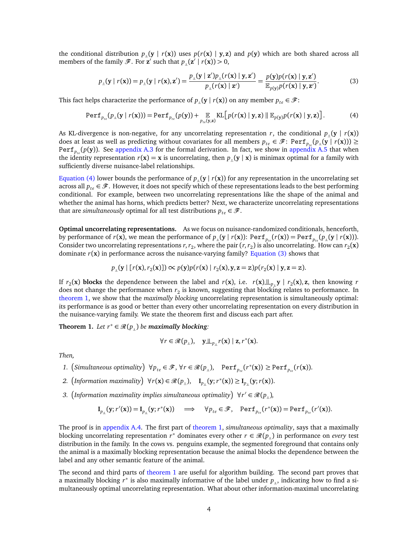the conditional distribution  $p_{\parallel}(\mathbf{y} | r(\mathbf{x}))$  uses  $p(r(\mathbf{x} | \mathbf{y}, \mathbf{z})$  and  $p(\mathbf{y})$  which are both shared across all members of the family  $\mathscr{F}$ . For **z**<sup>*'*</sup> such that  $p_{\perp}(\mathbf{z}^{\prime} | r(\mathbf{x})) > 0$ ,

<span id="page-3-1"></span><span id="page-3-0"></span>
$$
p_{\perp}(\mathbf{y} \mid r(\mathbf{x})) = p_{\perp}(\mathbf{y} \mid r(\mathbf{x}), \mathbf{z}') = \frac{p_{\perp}(\mathbf{y} \mid \mathbf{z}')p_{\perp}(r(\mathbf{x}) \mid \mathbf{y}, \mathbf{z}')}{p_{\perp}(r(\mathbf{x}) \mid \mathbf{z}')} = \frac{p(\mathbf{y})p(r(\mathbf{x}) \mid \mathbf{y}, \mathbf{z}')}{\mathbb{E}_{p(\mathbf{y})}p(r(\mathbf{x}) \mid \mathbf{y}, \mathbf{z}')}.
$$
(3)

This fact helps characterize the performance of  $p_{\parallel}$  (**y** | *r*(**x**)) on any member  $p_{te} \in \mathcal{F}$ :

$$
Perf_{p_{te}}(p_{\perp}(\mathbf{y} \mid r(\mathbf{x}))) = Perf_{p_{te}}(p(\mathbf{y})) + \mathop{\mathbb{E}}_{p_{te}(\mathbf{y}, \mathbf{z})} \mathrm{KL}\big[p(r(\mathbf{x}) \mid \mathbf{y}, \mathbf{z}) \parallel \mathop{\mathbb{E}}_{p(\mathbf{y})} p(r(\mathbf{x}) \mid \mathbf{y}, \mathbf{z})\big]. \tag{4}
$$

As KL-divergence is non-negative, for any uncorrelating representation *r*, the conditional  $p_{\parallel}(\mathbf{y} | r(\mathbf{x}))$ does at least as well as predicting without covariates for all members  $p_{te} \in \mathscr{F} \colon \mathtt{Perf}_{p_{te}}(p_{\perp}(\mathbf{y} \mid r(\mathbf{x}))) \geq$ Perf*<sup>p</sup>te* (*p*(**y**)). See [appendix A.3](#page-17-0) for the formal derivation. In fact, we show in [appendix A.5](#page-21-0) that when the identity representation  $r(x) = x$  is uncorrelating, then  $p_{\parallel}(y | x)$  is minimax optimal for a family with sufficiently diverse nuisance-label relationships.

[Equation \(4\)](#page-3-0) lower bounds the performance of  $p_{\perp}(y | r(x))$  for any representation in the uncorrelating set across all  $p_{te} \in \mathcal{F}$ . However, it does not specify which of these representations leads to the best performing conditional. For example, between two uncorrelating representations like the shape of the animal and whether the animal has horns, which predicts better? Next, we characterize uncorrelating representations that are *simultaneously* optimal for all test distributions  $p_{te} \in \mathcal{F}$ .

**Optimal uncorrelating representations.** As we focus on nuisance-randomized conditionals, henceforth, by performance of  $r(\mathbf{x})$ , we mean the performance of  $p_{\perp}(\mathbf{y} | r(\mathbf{x}))$ : Perf<sub> $p_{te}$ </sub> $(r(\mathbf{x})) = \text{Perf}_{p_{te}}(p_{\perp}(\mathbf{y} | r(\mathbf{x})))$ . Consider two uncorrelating representations  $r, r_2$ , where the pair  $(r, r_2)$  is also uncorrelating. How can  $r_2(\mathbf{x})$ dominate  $r(x)$  in performance across the nuisance-varying family? [Equation \(3\)](#page-3-1) shows that

$$
p_{\perp}(\mathbf{y} \mid [r(\mathbf{x}), r_2(\mathbf{x})]) \propto p(\mathbf{y})p(r(\mathbf{x}) \mid r_2(\mathbf{x}), \mathbf{y}, \mathbf{z} = \mathbf{z})p(r_2(\mathbf{x}) \mid \mathbf{y}, \mathbf{z} = \mathbf{z}).
$$

If  $r_2(\mathbf{x})$  **blocks** the dependence between the label and  $r(\mathbf{x})$ , i.e.  $r(\mathbf{x}) \perp_{p_{\parallel}} \mathbf{y} \mid r_2(\mathbf{x})$ , z, then knowing r does not change the performance when  $r_2$  is known, suggesting that blocking relates to performance. In [theorem 1,](#page-3-2) we show that the *maximally blocking* uncorrelating representation is simultaneously optimal: its performance is as good or better than every other uncorrelating representation on every distribution in the nuisance-varying family. We state the theorem first and discuss each part after.

<span id="page-3-2"></span>**Theorem 1.** *Let*  $r^* \in \mathcal{R}(p_+)$  *be maximally blocking*:

$$
\forall r \in \mathcal{R}(p_{\perp}), \quad \underline{\mathbf{y}} \underline{\mathbf{u}}_{p_{\perp}} r(\mathbf{x}) \mid \mathbf{z}, r^*(\mathbf{x}).
$$

*Then,*

- *1.* (*Simultaneous optimality*) ∀ $p_{te} \in \mathcal{F}$ , ∀ $r \in \mathcal{R}(p_{\perp})$ , Perf<sub>*pte*</sub>( $r^*(\mathbf{x})$ ) ≥ Perf<sub>*p<sub>te</sub>*( $r(\mathbf{x})$ ).</sub>
- 2.  $\left($ *Information maximality* $\right) \forall r(\mathbf{x}) \in \mathcal{R}(p_{\perp}), \quad \mathbf{I}_{p_{\perp}}(\mathbf{y}; r^{*}(\mathbf{x})) \geq \mathbf{I}_{p_{\perp}}(\mathbf{y}; r(\mathbf{x})).$
- 3. (Information maximality implies simultaneous optimality)  $\forall r' \in \mathcal{R}(p_{\perp})$ ,

$$
\mathbf{I}_{p_{\perp}}(\mathbf{y}; r'(\mathbf{x})) = \mathbf{I}_{p_{\perp}}(\mathbf{y}; r^*(\mathbf{x})) \quad \Longrightarrow \quad \forall p_{te} \in \mathcal{F}, \quad \text{Perf}_{p_{te}}(r^*(\mathbf{x})) = \text{Perf}_{p_{te}}(r'(\mathbf{x})).
$$

The proof is in [appendix A.4.](#page-19-0) The first part of [theorem 1,](#page-3-2) *simultaneous optimality*, says that a maximally blocking uncorrelating representation  $r^*$  dominates every other  $r \in \mathcal{R}(p_{\perp})$  in performance on *every* test distribution in the family. In the cows vs. penguins example, the segmented foreground that contains only the animal is a maximally blocking representation because the animal blocks the dependence between the label and any other semantic feature of the animal.

The second and third parts of [theorem 1](#page-3-2) are useful for algorithm building. The second part proves that a maximally blocking  $r^*$  is also maximally informative of the label under  $p_{\parallel}$ , indicating how to find a simultaneously optimal uncorrelating representation. What about other information-maximal uncorrelating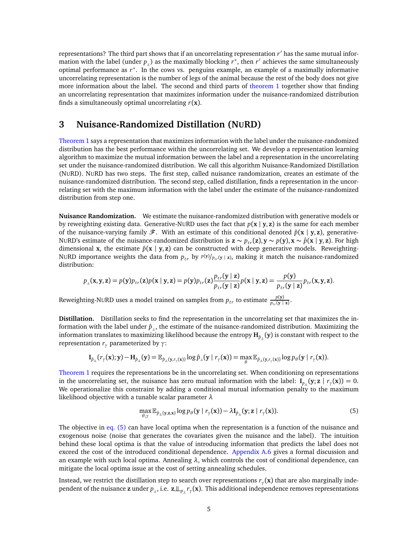representations? The third part shows that if an uncorrelating representation  $r^\prime$  has the same mutual information with the label (under  $p_{\parallel}$ ) as the maximally blocking  $r^*$ , then  $r'$  achieves the same simultaneously optimal performance as *r* ∗ . In the cows vs. penguins example, an example of a maximally informative uncorrelating representation is the number of legs of the animal because the rest of the body does not give more information about the label. The second and third parts of [theorem 1](#page-3-2) together show that finding an uncorrelating representation that maximizes information under the nuisance-randomized distribution finds a simultaneously optimal uncorrelating *r*(**x**).

## <span id="page-4-0"></span>**3 Nuisance-Randomized Distillation (NURD)**

[Theorem 1](#page-3-2) says a representation that maximizes information with the label under the nuisance-randomized distribution has the best performance within the uncorrelating set. We develop a representation learning algorithm to maximize the mutual information between the label and a representation in the uncorrelating set under the nuisance-randomized distribution. We call this algorithm Nuisance-Randomized Distillation (NURD). NURD has two steps. The first step, called nuisance randomization, creates an estimate of the nuisance-randomized distribution. The second step, called distillation, finds a representation in the uncorrelating set with the maximum information with the label under the estimate of the nuisance-randomized distribution from step one.

**Nuisance Randomization.** We estimate the nuisance-randomized distribution with generative models or by reweighting existing data. Generative-NURD uses the fact that *p*(**x** | **y**, **z**) is the same for each member of the nuisance-varying family  $\mathcal{F}$ . With an estimate of this conditional denoted  $\hat{p}(\mathbf{x} | \mathbf{y}, \mathbf{z})$ , generative-NURD's estimate of the nuisance-randomized distribution is  $\mathbf{z} \sim p_{tr}(\mathbf{z}), \mathbf{y} \sim p(\mathbf{y}), \mathbf{x} \sim \hat{p}(\mathbf{x} \mid \mathbf{y}, \mathbf{z})$ . For high dimensional **x**, the estimate  $\hat{p}(\mathbf{x} \mid \mathbf{y}, \mathbf{z})$  can be constructed with deep generative models. Reweighting-NURD importance weights the data from  $p_{tr}$  by  $p(y)/p_{tr}(y \mid z)$ , making it match the nuisance-randomized distribution:

$$
p_{\perp}(\mathbf{x}, \mathbf{y}, \mathbf{z}) = p(\mathbf{y})p_{tr}(\mathbf{z})p(\mathbf{x} \mid \mathbf{y}, \mathbf{z}) = p(\mathbf{y})p_{tr}(\mathbf{z})\frac{p_{tr}(\mathbf{y} \mid \mathbf{z})}{p_{tr}(\mathbf{y} \mid \mathbf{z})}p(\mathbf{x} \mid \mathbf{y}, \mathbf{z}) = \frac{p(\mathbf{y})}{p_{tr}(\mathbf{y} \mid \mathbf{z})}p_{tr}(\mathbf{x}, \mathbf{y}, \mathbf{z}).
$$

Reweighting-NURD uses a model trained on samples from  $p_{tr}$  to estimate  $\frac{p(\mathbf{y})}{p_{tr}(\mathbf{y} \mid \mathbf{z})}$ .

**Distillation.** Distillation seeks to find the representation in the uncorrelating set that maximizes the information with the label under  $\hat{p}_{\parallel}$ , the estimate of the nuisance-randomized distribution. Maximizing the information translates to maximizing likelihood because the entropy  $H_{\hat{p}_n}(y)$  is constant with respect to the representation *r<sup>γ</sup>* parameterized by *γ*:

$$
\mathbf{I}_{\hat{p}_\perp}(r_\gamma(\mathbf{x}); \mathbf{y}) - \mathbf{H}_{\hat{p}_\perp}(\mathbf{y}) = \mathbb{E}_{\hat{p}_\perp(\mathbf{y}, r_\gamma(\mathbf{x}))} \log \hat{p}_\perp(\mathbf{y} \mid r_\gamma(\mathbf{x})) = \max_{\theta} \mathbb{E}_{\hat{p}_\perp(\mathbf{y}, r_\gamma(\mathbf{x}))} \log p_\theta(\mathbf{y} \mid r_\gamma(\mathbf{x})).
$$

[Theorem 1](#page-3-2) requires the representations be in the uncorrelating set. When conditioning on representations in the uncorrelating set, the nuisance has zero mutual information with the label:  $I_{p_{\parallel}}(y; z | r_{\gamma}(x)) = 0$ . We operationalize this constraint by adding a conditional mutual information penalty to the maximum likelihood objective with a tunable scalar parameter *λ*

<span id="page-4-1"></span>
$$
\max_{\theta,\gamma} \mathbb{E}_{\hat{p}_{\perp}(\mathbf{y},\mathbf{z},\mathbf{x})} \log p_{\theta}(\mathbf{y} \mid r_{\gamma}(\mathbf{x})) - \lambda \mathbf{I}_{\hat{p}_{\perp}}(\mathbf{y};\mathbf{z} \mid r_{\gamma}(\mathbf{x})).
$$
\n(5)

The objective in [eq. \(5\)](#page-4-1) can have local optima when the representation is a function of the nuisance and exogenous noise (noise that generates the covariates given the nuisance and the label). The intuition behind these local optima is that the value of introducing information that predicts the label does not exceed the cost of the introduced conditional dependence. [Appendix A.6](#page-22-0) gives a formal discussion and an example with such local optima. Annealing *λ*, which controls the cost of conditional dependence, can mitigate the local optima issue at the cost of setting annealing schedules.

Instead, we restrict the distillation step to search over representations *r<sup>γ</sup>* (**x**) that are also marginally independent of the nuisance **z** under *p* <sup>|</sup><sup>=</sup>, i.e. **z** <sup>|</sup>=*<sup>p</sup>* |<sup>=</sup>*r<sup>γ</sup>* (**x**). This additional independence removes representations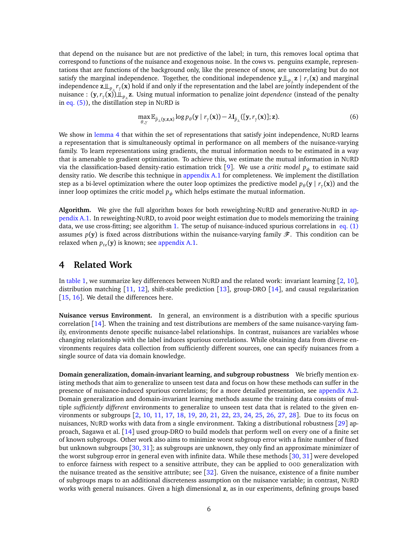that depend on the nuisance but are not predictive of the label; in turn, this removes local optima that correspond to functions of the nuisance and exogenous noise. In the cows vs. penguins example, representations that are functions of the background only, like the presence of snow, are uncorrelating but do not satisfy the marginal independence. Together, the conditional independence  $y \perp_{p} z | r<sub>γ</sub>(x)$  and marginal independence **z** <sup>|</sup>=*<sup>p</sup>* |<sup>=</sup>*r<sup>γ</sup>* (**x**) hold if and only if the representation and the label are jointly independent of the nuisance :  $(\mathbf{y}, r_{\gamma}(\mathbf{x}))$ ⊥<sub>p</sup>⊥</sub>z. Using mutual information to penalize joint *dependence* (instead of the penalty in eq.  $(5)$ , the distillation step in NURD is

<span id="page-5-1"></span>
$$
\max_{\theta,\gamma} \mathbb{E}_{\hat{p}_{\perp}(\mathbf{y},\mathbf{z},\mathbf{x})} \log p_{\theta}(\mathbf{y} \mid r_{\gamma}(\mathbf{x})) - \lambda \mathbf{I}_{\hat{p}_{\perp}}([\mathbf{y},r_{\gamma}(\mathbf{x})];\mathbf{z}).
$$
\n(6)

We show in [lemma 4](#page-22-1) that within the set of representations that satisfy joint independence, NURD learns a representation that is simultaneously optimal in performance on all members of the nuisance-varying family. To learn representations using gradients, the mutual information needs to be estimated in a way that is amenable to gradient optimization. To achieve this, we estimate the mutual information in NURD via the classification-based density-ratio estimation trick [[9](#page-11-0)]. We use a *critic model p<sup>φ</sup>* to estimate said density ratio. We describe this technique in [appendix A.1](#page-14-0) for completeness. We implement the distillation step as a bi-level optimization where the outer loop optimizes the predictive model  $p_{\theta}(\mathbf{y} \mid r_{\gamma}(\mathbf{x}))$  and the inner loop optimizes the critic model  $p_{\phi}$  which helps estimate the mutual information.

**Algorithm.** We give the full algorithm boxes for both reweighting-NURD and generative-NURD in [ap](#page-14-0)[pendix A.1.](#page-14-0) In reweighting-NURD, to avoid poor weight estimation due to models memorizing the training data, we use cross-fitting; see algorithm [1.](#page-15-0) The setup of nuisance-induced spurious correlations in eq.  $(1)$ assumes  $p(y)$  is fixed across distributions within the nuisance-varying family  $\mathscr{F}$ . This condition can be relaxed when  $p_{te}(\mathbf{y})$  is known; see [appendix A.1.](#page-14-0)

## <span id="page-5-0"></span>**4 Related Work**

In [table 1,](#page-6-0) we summarize key differences between NURD and the related work: invariant learning [[2,](#page-10-1) [10](#page-11-1)], distribution matching [[11,](#page-11-2) [12](#page-11-3)], shift-stable prediction [[13](#page-11-4)], group-DRO [[14](#page-11-5)], and causal regularization [[15,](#page-11-6) [16](#page-11-7)]. We detail the differences here.

**Nuisance versus Environment.** In general, an environment is a distribution with a specific spurious correlation [[14](#page-11-5)]. When the training and test distributions are members of the same nuisance-varying family, environments denote specific nuisance-label relationships. In contrast, nuisances are variables whose changing relationship with the label induces spurious correlations. While obtaining data from diverse environments requires data collection from sufficiently different sources, one can specify nuisances from a single source of data via domain knowledge.

**Domain generalization, domain-invariant learning, and subgroup robustness** We briefly mention existing methods that aim to generalize to unseen test data and focus on how these methods can suffer in the presence of nuisance-induced spurious correlations; for a more detailed presentation, see [appendix A.2.](#page-14-1) Domain generalization and domain-invariant learning methods assume the training data consists of multiple *sufficiently different* environments to generalize to unseen test data that is related to the given environments or subgroups [[2,](#page-10-1) [10,](#page-11-1) [11,](#page-11-2) [17,](#page-11-8) [18,](#page-11-9) [19,](#page-11-10) [20,](#page-11-11) [21,](#page-11-12) [22,](#page-11-13) [23,](#page-11-14) [24,](#page-11-15) [25,](#page-11-16) [26,](#page-12-0) [27,](#page-12-1) [28](#page-12-2)]. Due to its focus on nuisances, NURD works with data from a single environment. Taking a distributional robustness [[29](#page-12-3)] approach, Sagawa et al. [[14](#page-11-5)] used group-DRO to build models that perform well on every one of a finite set of known subgroups. Other work also aims to minimize worst subgroup error with a finite number of fixed but unknown subgroups [[30,](#page-12-4) [31](#page-12-5)]; as subgroups are unknown, they only find an approximate minimizer of the worst subgroup error in general even with infinite data. While these methods [[30,](#page-12-4) [31](#page-12-5)] were developed to enforce fairness with respect to a sensitive attribute, they can be applied to OOD generalization with the nuisance treated as the sensitive attribute; see [[32](#page-12-6)]. Given the nuisance, existence of a finite number of subgroups maps to an additional discreteness assumption on the nuisance variable; in contrast, NURD works with general nuisances. Given a high dimensional **z**, as in our experiments, defining groups based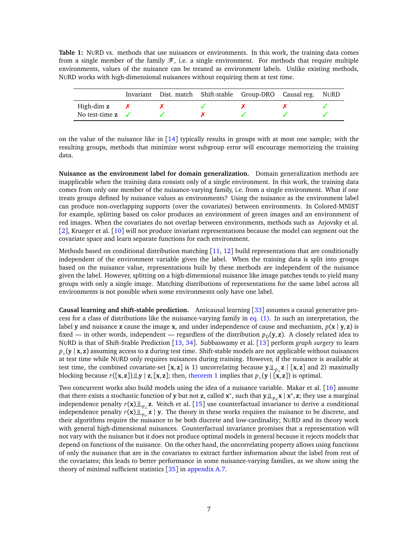<span id="page-6-0"></span>**Table 1:** NURD vs. methods that use nuisances or environments. In this work, the training data comes from a single member of the family  $\mathscr{F}$ , i.e. a single environment. For methods that require multiple environments, values of the nuisance can be treated as environment labels. Unlike existing methods, NURD works with high-dimensional nuisances without requiring them at test time.

|                             |  | Invariant Dist. match Shift-stable Group-DRO Causal reg. NURD |  |
|-----------------------------|--|---------------------------------------------------------------|--|
| High-dim z                  |  |                                                               |  |
| No test-time $z \checkmark$ |  |                                                               |  |

on the value of the nuisance like in  $[14]$  $[14]$  $[14]$  typically results in groups with at most one sample; with the resulting groups, methods that minimize worst subgroup error will encourage memorizing the training data.

**Nuisance as the environment label for domain generalization.** Domain generalization methods are inapplicable when the training data consists only of a single environment. In this work, the training data comes from only one member of the nuisance-varying family, i.e. from a single environment. What if one treats groups defined by nuisance values as environments? Using the nuisance as the environment label can produce non-overlapping supports (over the covariates) between environments. In Colored-MNIST for example, splitting based on color produces an environment of green images and an environment of red images. When the covariates do not overlap between environments, methods such as Arjovsky et al. [[2](#page-10-1)], Krueger et al. [[10](#page-11-1)] will not produce invariant representations because the model can segment out the covariate space and learn separate functions for each environment.

Methods based on conditional distribution matching [[11,](#page-11-2) [12](#page-11-3)] build representations that are conditionally independent of the environment variable given the label. When the training data is split into groups based on the nuisance value, representations built by these methods are independent of the nuisance given the label. However, splitting on a high-dimensional nuisance like image patches tends to yield many groups with only a single image. Matching distributions of representations for the same label across all environments is not possible when some environments only have one label.

**Causal learning and shift-stable prediction.** Anticausal learning [[33](#page-12-7)] assumes a causal generative process for a class of distributions like the nuisance-varying family in [eq. \(1\).](#page-1-1) In such an interpretation, the label **y** and nuisance **z** cause the image **x**, and under independence of cause and mechanism,  $p(x | y, z)$  is fixed — in other words, independent — regardless of the distribution  $p<sub>D</sub>(y, z)$ . A closely related idea to NURD is that of Shift-Stable Prediction [[13,](#page-11-4) [34](#page-12-8)]. Subbaswamy et al. [[13](#page-11-4)] perform *graph surgery* to learn  $p_{\parallel}$  (**y** | **x**, **z**) assuming access to **z** during test time. Shift-stable models are not applicable without nuisances at test time while NURD only requires nuisances during training. However, if the nuisance is available at test time, the combined covariate-set  $[x, z]$  is 1) uncorrelating because  $y \perp z$   $[x, z]$  and 2) maximally blocking because  $r([x, z]) \perp y \mid z, [x, z]$ ; then, [theorem 1](#page-3-2) implies that  $p_{\perp}(y \mid [x, z])$  is optimal.

Two concurrent works also build models using the idea of a nuisance variable. Makar et al. [[16](#page-11-7)] assume that there exists a stochastic function of **y** but not **z**, called **x**<sup>\*</sup>, such that **y**  $\perp$ <sub>*p*</sub><sub>*n*</sub>**x** | **x**<sup>\*</sup>, **z**; they use a marginal independence penalty  $r(x) \perp_{p} z$ . Veitch et al. [[15](#page-11-6)] use counterfactual invariance to derive a conditional independence penalty  $r(\mathbf{x}) \perp_{p_{tr}}^{\infty} \mathbf{z}$  | y. The theory in these works requires the nuisance to be discrete, and their algorithms require the nuisance to be both discrete and low-cardinality; NURD and its theory work with general high-dimensional nuisances. Counterfactual invariance promises that a representation will not vary with the nuisance but it does not produce optimal models in general because it rejects models that depend on functions of the nuisance. On the other hand, the uncorrelating property allows using functions of only the nuisance that are in the covariates to extract further information about the label from rest of the covariates; this leads to better performance in some nuisance-varying families, as we show using the theory of minimal sufficient statistics [[35](#page-12-9)] in [appendix A.7.](#page-23-0)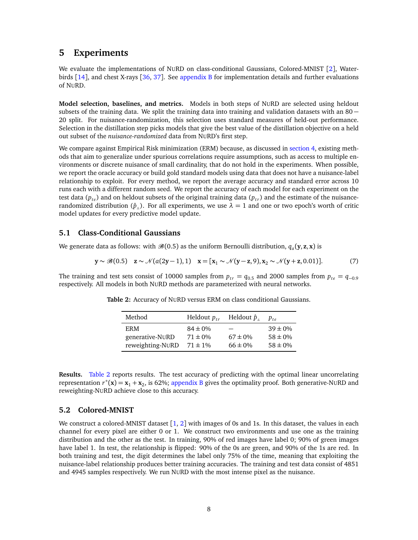## <span id="page-7-1"></span>**5 Experiments**

We evaluate the implementations of NURD on class-conditional Gaussians, Colored-MNIST [[2](#page-10-1)], Waterbirds [[14](#page-11-5)], and chest X-rays [[36,](#page-12-10) [37](#page-12-11)]. See [appendix B](#page-30-0) for implementation details and further evaluations of NURD.

**Model selection, baselines, and metrics.** Models in both steps of NURD are selected using heldout subsets of the training data. We split the training data into training and validation datasets with an  $80 -$ 20 split. For nuisance-randomization, this selection uses standard measures of held-out performance. Selection in the distillation step picks models that give the best value of the distillation objective on a held out subset of the *nuisance-randomized* data from NURD's first step.

We compare against Empirical Risk minimization (ERM) because, as discussed in [section 4,](#page-5-0) existing methods that aim to generalize under spurious correlations require assumptions, such as access to multiple environments or discrete nuisance of small cardinality, that do not hold in the experiments. When possible, we report the oracle accuracy or build gold standard models using data that does not have a nuisance-label relationship to exploit. For every method, we report the average accuracy and standard error across 10 runs each with a different random seed. We report the accuracy of each model for each experiment on the test data  $(p_{te})$  and on heldout subsets of the original training data  $(p_{te})$  and the estimate of the nuisancerandomized distribution ( $\hat{p}_{\parallel}$ ). For all experiments, we use  $\lambda = 1$  and one or two epoch's worth of critic model updates for every predictive model update.

#### **5.1 Class-Conditional Gaussians**

We generate data as follows: with  $\mathscr{B}(0.5)$  as the uniform Bernoulli distribution,  $q_a(\mathbf{y},\mathbf{z},\mathbf{x})$  is

$$
y \sim \mathcal{B}(0.5) \quad z \sim \mathcal{N}(a(2y-1), 1) \quad x = [x_1 \sim \mathcal{N}(y-z, 9), x_2 \sim \mathcal{N}(y+z, 0.01)]. \tag{7}
$$

<span id="page-7-0"></span>The training and test sets consist of 10000 samples from  $p_{tr} = q_{0.5}$  and 2000 samples from  $p_{te} = q_{-0.9}$ respectively. All models in both NURD methods are parameterized with neural networks.

| Method           | Heldout $p_{tr}$ | Heldout $\hat{p}_{\parallel}$ | $p_{t\rho}$  |
|------------------|------------------|-------------------------------|--------------|
| ERM.             | $84 \pm 0\%$     |                               | $39 \pm 0\%$ |
| generative-NURD  | $71 \pm 0\%$     | $67 \pm 0\%$                  | $58 \pm 0\%$ |
| reweighting-NURD | $71 \pm 1\%$     | $66 \pm 0\%$                  | $58 \pm 0\%$ |

**Table 2:** Accuracy of NURD versus ERM on class conditional Gaussians.

**Results.** [Table 2](#page-7-0) reports results. The test accuracy of predicting with the optimal linear uncorrelating representation  $r^*(\mathbf{x}) = \mathbf{x}_1 + \mathbf{x}_2$ , is 62%; [appendix B](#page-30-0) gives the optimality proof. Both generative-NURD and reweighting-NURD achieve close to this accuracy.

#### **5.2 Colored-MNIST**

We construct a colored-MNIST dataset  $[1, 2]$  $[1, 2]$  $[1, 2]$  $[1, 2]$  $[1, 2]$  with images of 0s and 1s. In this dataset, the values in each channel for every pixel are either 0 or 1. We construct two environments and use one as the training distribution and the other as the test. In training, 90% of red images have label 0; 90% of green images have label 1. In test, the relationship is flipped: 90% of the 0s are green, and 90% of the 1s are red. In both training and test, the digit determines the label only 75% of the time, meaning that exploiting the nuisance-label relationship produces better training accuracies. The training and test data consist of 4851 and 4945 samples respectively. We run NURD with the most intense pixel as the nuisance.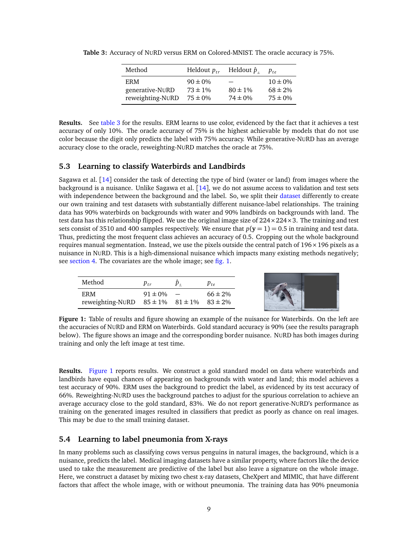| Method                                      | Heldout $p_{tr}$                             | Heldout $\hat{p}_\parallel$  | $p_{t\rho}$                                  |
|---------------------------------------------|----------------------------------------------|------------------------------|----------------------------------------------|
| ERM.<br>generative-NURD<br>reweighting-NURD | $90 \pm 0\%$<br>$73 \pm 1\%$<br>$75 \pm 0\%$ | $80 \pm 1\%$<br>$74 \pm 0\%$ | $10 \pm 0\%$<br>$68 \pm 2\%$<br>$75 \pm 0\%$ |

<span id="page-8-0"></span>**Table 3:** Accuracy of NURD versus ERM on Colored-MNIST. The oracle accuracy is 75%.

**Results.** See [table 3](#page-8-0) for the results. ERM learns to use color, evidenced by the fact that it achieves a test accuracy of only 10%. The oracle accuracy of 75% is the highest achievable by models that do not use color because the digit only predicts the label with 75% accuracy. While generative-NURD has an average accuracy close to the oracle, reweighting-NURD matches the oracle at 75%.

### **5.3 Learning to classify Waterbirds and Landbirds**

Sagawa et al. [[14](#page-11-5)] consider the task of detecting the type of bird (water or land) from images where the background is a nuisance. Unlike Sagawa et al. [[14](#page-11-5)], we do not assume access to validation and test sets with independence between the background and the label. So, we split their [dataset](https://github.com/kohpangwei/group_DRO) differently to create our own training and test datasets with substantially different nuisance-label relationships. The training data has 90% waterbirds on backgrounds with water and 90% landbirds on backgrounds with land. The test data has this relationship flipped. We use the original image size of 224×224×3. The training and test sets consist of 3510 and 400 samples respectively. We ensure that  $p(y = 1) = 0.5$  in training and test data. Thus, predicting the most frequent class achieves an accuracy of 0.5. Cropping out the whole background requires manual segmentation. Instead, we use the pixels outside the central patch of  $196 \times 196$  pixels as a nuisance in NURD. This is a high-dimensional nuisance which impacts many existing methods negatively; see [section 4.](#page-5-0) The covariates are the whole image; see [fig. 1.](#page-8-1)

<span id="page-8-1"></span>

| Method                                                  | $p_{\scriptscriptstyle tr}$ | P t e        |
|---------------------------------------------------------|-----------------------------|--------------|
| <b>ERM</b>                                              | $91 \pm 0\%$ -              | $66 \pm 2\%$ |
| reweighting-NURD $85 \pm 1\%$ $81 \pm 1\%$ $83 \pm 2\%$ |                             |              |

**Figure 1:** Table of results and figure showing an example of the nuisance for Waterbirds. On the left are the accuracies of NURD and ERM on Waterbirds. Gold standard accuracy is 90% (see the results paragraph below). The figure shows an image and the corresponding border nuisance. NURD has both images during training and only the left image at test time.

**Results.** [Figure 1](#page-8-1) reports results. We construct a gold standard model on data where waterbirds and landbirds have equal chances of appearing on backgrounds with water and land; this model achieves a test accuracy of 90%. ERM uses the background to predict the label, as evidenced by its test accuracy of 66%. Reweighting-NURD uses the background patches to adjust for the spurious correlation to achieve an average accuracy close to the gold standard, 83%. We do not report generative-NURD's performance as training on the generated images resulted in classifiers that predict as poorly as chance on real images. This may be due to the small training dataset.

## **5.4 Learning to label pneumonia from X-rays**

In many problems such as classifying cows versus penguins in natural images, the background, which is a nuisance, predicts the label. Medical imaging datasets have a similar property, where factors like the device used to take the measurement are predictive of the label but also leave a signature on the whole image. Here, we construct a dataset by mixing two chest x-ray datasets, CheXpert and MIMIC, that have different factors that affect the whole image, with or without pneumonia. The training data has 90% pneumonia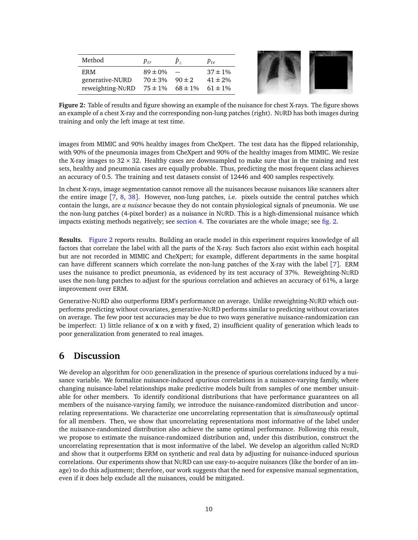| Method           | $p_{tr}$     | $\hat{p}_+$               | $p_{te}$     |
|------------------|--------------|---------------------------|--------------|
| <b>ERM</b>       | $89 \pm 0\%$ |                           | $37 \pm 1\%$ |
| generative-NURD  | $70 \pm 3\%$ | $90 \pm 2$                | $41 \pm 2\%$ |
| reweighting-NURD |              | $75 \pm 1\%$ 68 $\pm 1\%$ | $61 \pm 1\%$ |
|                  |              |                           |              |

<span id="page-9-0"></span>

**Figure 2:** Table of results and figure showing an example of the nuisance for chest X-rays. The figure shows an example of a chest X-ray and the corresponding non-lung patches (right). NURD has both images during training and only the left image at test time.

images from MIMIC and 90% healthy images from CheXpert. The test data has the flipped relationship, with 90% of the pneumonia images from CheXpert and 90% of the healthy images from MIMIC. We resize the X-ray images to  $32 \times 32$ . Healthy cases are downsampled to make sure that in the training and test sets, healthy and pneumonia cases are equally probable. Thus, predicting the most frequent class achieves an accuracy of 0.5. The training and test datasets consist of 12446 and 400 samples respectively.

In chest X-rays, image segmentation cannot remove all the nuisances because nuisances like scanners alter the entire image [[7,](#page-10-6) [8,](#page-10-7) [38](#page-12-12)]. However, non-lung patches, i.e. pixels outside the central patches which contain the lungs, are *a nuisance* because they do not contain physiological signals of pneumonia. We use the non-lung patches (4-pixel border) as a nuisance in NURD. This is a high-dimensional nuisance which impacts existing methods negatively; see [section 4.](#page-5-0) The covariates are the whole image; see [fig. 2.](#page-9-0)

**Results.** [Figure 2](#page-9-0) reports results. Building an oracle model in this experiment requires knowledge of all factors that correlate the label with all the parts of the X-ray. Such factors also exist within each hospital but are not recorded in MIMIC and CheXpert; for example, different departments in the same hospital can have different scanners which correlate the non-lung patches of the X-ray with the label [[7](#page-10-6)]. ERM uses the nuisance to predict pneumonia, as evidenced by its test accuracy of 37%. Reweighting-NURD uses the non-lung patches to adjust for the spurious correlation and achieves an accuracy of 61%, a large improvement over ERM.

Generative-NURD also outperforms ERM's performance on average. Unlike reweighting-NURD which outperforms predicting without covariates, generative-NURD performs similar to predicting without covariates on average. The few poor test accuracies may be due to two ways generative nuisance-randomization can be imperfect: 1) little reliance of **x** on **z** with **y** fixed, 2) insufficient quality of generation which leads to poor generalization from generated to real images.

## **6 Discussion**

We develop an algorithm for OOD generalization in the presence of spurious correlations induced by a nuisance variable. We formalize nuisance-induced spurious correlations in a nuisance-varying family, where changing nuisance-label relationships make predictive models built from samples of one member unsuitable for other members. To identify conditional distributions that have performance guarantees on all members of the nuisance-varying family, we introduce the nuisance-randomized distribution and uncorrelating representations. We characterize one uncorrelating representation that is *simultaneously* optimal for all members. Then, we show that uncorrelating representations most informative of the label under the nuisance-randomized distribution also achieve the same optimal performance. Following this result, we propose to estimate the nuisance-randomized distribution and, under this distribution, construct the uncorrelating representation that is most informative of the label. We develop an algorithm called NURD and show that it outperforms ERM on synthetic and real data by adjusting for nuisance-induced spurious correlations. Our experiments show that NURD can use easy-to-acquire nuisances (like the border of an image) to do this adjustment; therefore, our work suggests that the need for expensive manual segmentation, even if it does help exclude all the nuisances, could be mitigated.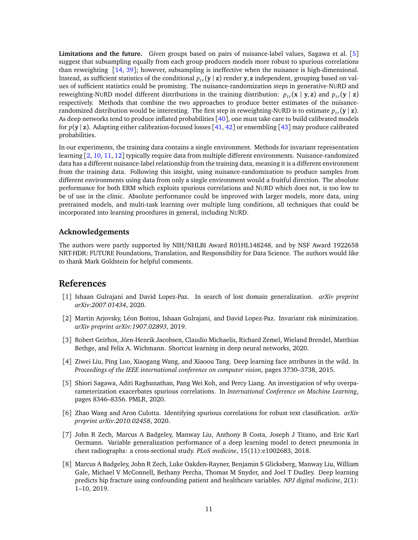**Limitations and the future.** Given groups based on pairs of nuisance-label values, Sagawa et al. [[5](#page-10-4)] suggest that subsampling equally from each group produces models more robust to spurious correlations than reweighting [[14,](#page-11-5) [39](#page-12-13)]; however, subsampling is ineffective when the nuisance is high-dimensional. Instead, as sufficient statistics of the conditional  $p_{tr}(\mathbf{y} | \mathbf{z})$  render  $\mathbf{y}$ ,  $\mathbf{z}$  independent, grouping based on values of sufficient statistics could be promising. The nuisance-randomization steps in generative-NURD and reweighting-NURD model different distributions in the training distribution:  $p_{tr}(\mathbf{x} | \mathbf{y}, \mathbf{z})$  and  $p_{tr}(\mathbf{y} | \mathbf{z})$ respectively. Methods that combine the two approaches to produce better estimates of the nuisancerandomized distribution would be interesting. The first step in reweighting-NURD is to estimate  $p_{tr}(\mathbf{y} | \mathbf{z})$ . As deep networks tend to produce inflated probabilities [[40](#page-12-14)], one must take care to build calibrated models for *p*(**y** | **z**). Adapting either calibration-focused losses [[41,](#page-12-15) [42](#page-12-16)] or ensembling [[43](#page-13-0)] may produce calibrated probabilities.

In our experiments, the training data contains a single environment. Methods for invariant representation learning [[2,](#page-10-1) [10,](#page-11-1) [11,](#page-11-2) [12](#page-11-3)] typically require data from multiple different environments. Nuisance-randomized data has a different nuisance-label relationship from the training data, meaning it is a different environment from the training data. Following this insight, using nuisance-randomization to produce samples from different environments using data from only a single environment would a fruitful direction. The absolute performance for both ERM which exploits spurious correlations and NURD which does not, is too low to be of use in the clinic. Absolute performance could be improved with larger models, more data, using pretrained models, and multi-task learning over multiple lung conditions, all techniques that could be incorporated into learning procedures in general, including NURD.

### **Acknowledgements**

The authors were partly supported by NIH/NHLBI Award R01HL148248, and by NSF Award 1922658 NRT-HDR: FUTURE Foundations, Translation, and Responsibility for Data Science. The authors would like to thank Mark Goldstein for helpful comments.

## **References**

- <span id="page-10-0"></span>[1] Ishaan Gulrajani and David Lopez-Paz. In search of lost domain generalization. *arXiv preprint arXiv:2007.01434*, 2020.
- <span id="page-10-1"></span>[2] Martin Arjovsky, Léon Bottou, Ishaan Gulrajani, and David Lopez-Paz. Invariant risk minimization. *arXiv preprint arXiv:1907.02893*, 2019.
- <span id="page-10-2"></span>[3] Robert Geirhos, Jörn-Henrik Jacobsen, Claudio Michaelis, Richard Zemel, Wieland Brendel, Matthias Bethge, and Felix A. Wichmann. Shortcut learning in deep neural networks, 2020.
- <span id="page-10-3"></span>[4] Ziwei Liu, Ping Luo, Xiaogang Wang, and Xiaoou Tang. Deep learning face attributes in the wild. In *Proceedings of the IEEE international conference on computer vision*, pages 3730–3738, 2015.
- <span id="page-10-4"></span>[5] Shiori Sagawa, Aditi Raghunathan, Pang Wei Koh, and Percy Liang. An investigation of why overparameterization exacerbates spurious correlations. In *International Conference on Machine Learning*, pages 8346–8356. PMLR, 2020.
- <span id="page-10-5"></span>[6] Zhao Wang and Aron Culotta. Identifying spurious correlations for robust text classification. *arXiv preprint arXiv:2010.02458*, 2020.
- <span id="page-10-6"></span>[7] John R Zech, Marcus A Badgeley, Manway Liu, Anthony B Costa, Joseph J Titano, and Eric Karl Oermann. Variable generalization performance of a deep learning model to detect pneumonia in chest radiographs: a cross-sectional study. *PLoS medicine*, 15(11):e1002683, 2018.
- <span id="page-10-7"></span>[8] Marcus A Badgeley, John R Zech, Luke Oakden-Rayner, Benjamin S Glicksberg, Manway Liu, William Gale, Michael V McConnell, Bethany Percha, Thomas M Snyder, and Joel T Dudley. Deep learning predicts hip fracture using confounding patient and healthcare variables. *NPJ digital medicine*, 2(1): 1–10, 2019.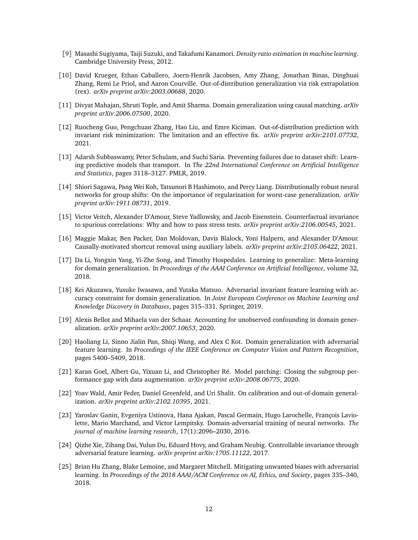- <span id="page-11-0"></span>[9] Masashi Sugiyama, Taiji Suzuki, and Takafumi Kanamori. *Density ratio estimation in machine learning*. Cambridge University Press, 2012.
- <span id="page-11-1"></span>[10] David Krueger, Ethan Caballero, Joern-Henrik Jacobsen, Amy Zhang, Jonathan Binas, Dinghuai Zhang, Remi Le Priol, and Aaron Courville. Out-of-distribution generalization via risk extrapolation (rex). *arXiv preprint arXiv:2003.00688*, 2020.
- <span id="page-11-2"></span>[11] Divyat Mahajan, Shruti Tople, and Amit Sharma. Domain generalization using causal matching. *arXiv preprint arXiv:2006.07500*, 2020.
- <span id="page-11-3"></span>[12] Ruocheng Guo, Pengchuan Zhang, Hao Liu, and Emre Kiciman. Out-of-distribution prediction with invariant risk minimization: The limitation and an effective fix. *arXiv preprint arXiv:2101.07732*, 2021.
- <span id="page-11-4"></span>[13] Adarsh Subbaswamy, Peter Schulam, and Suchi Saria. Preventing failures due to dataset shift: Learning predictive models that transport. In *The 22nd International Conference on Artificial Intelligence and Statistics*, pages 3118–3127. PMLR, 2019.
- <span id="page-11-5"></span>[14] Shiori Sagawa, Pang Wei Koh, Tatsunori B Hashimoto, and Percy Liang. Distributionally robust neural networks for group shifts: On the importance of regularization for worst-case generalization. *arXiv preprint arXiv:1911.08731*, 2019.
- <span id="page-11-6"></span>[15] Victor Veitch, Alexander D'Amour, Steve Yadlowsky, and Jacob Eisenstein. Counterfactual invariance to spurious correlations: Why and how to pass stress tests. *arXiv preprint arXiv:2106.00545*, 2021.
- <span id="page-11-7"></span>[16] Maggie Makar, Ben Packer, Dan Moldovan, Davis Blalock, Yoni Halpern, and Alexander D'Amour. Causally-motivated shortcut removal using auxiliary labels. *arXiv preprint arXiv:2105.06422*, 2021.
- <span id="page-11-8"></span>[17] Da Li, Yongxin Yang, Yi-Zhe Song, and Timothy Hospedales. Learning to generalize: Meta-learning for domain generalization. In *Proceedings of the AAAI Conference on Artificial Intelligence*, volume 32, 2018.
- <span id="page-11-9"></span>[18] Kei Akuzawa, Yusuke Iwasawa, and Yutaka Matsuo. Adversarial invariant feature learning with accuracy constraint for domain generalization. In *Joint European Conference on Machine Learning and Knowledge Discovery in Databases*, pages 315–331. Springer, 2019.
- <span id="page-11-10"></span>[19] Alexis Bellot and Mihaela van der Schaar. Accounting for unobserved confounding in domain generalization. *arXiv preprint arXiv:2007.10653*, 2020.
- <span id="page-11-11"></span>[20] Haoliang Li, Sinno Jialin Pan, Shiqi Wang, and Alex C Kot. Domain generalization with adversarial feature learning. In *Proceedings of the IEEE Conference on Computer Vision and Pattern Recognition*, pages 5400–5409, 2018.
- <span id="page-11-12"></span>[21] Karan Goel, Albert Gu, Yixuan Li, and Christopher Ré. Model patching: Closing the subgroup performance gap with data augmentation. *arXiv preprint arXiv:2008.06775*, 2020.
- <span id="page-11-13"></span>[22] Yoav Wald, Amir Feder, Daniel Greenfeld, and Uri Shalit. On calibration and out-of-domain generalization. *arXiv preprint arXiv:2102.10395*, 2021.
- <span id="page-11-14"></span>[23] Yaroslav Ganin, Evgeniya Ustinova, Hana Ajakan, Pascal Germain, Hugo Larochelle, François Laviolette, Mario Marchand, and Victor Lempitsky. Domain-adversarial training of neural networks. *The journal of machine learning research*, 17(1):2096–2030, 2016.
- <span id="page-11-15"></span>[24] Qizhe Xie, Zihang Dai, Yulun Du, Eduard Hovy, and Graham Neubig. Controllable invariance through adversarial feature learning. *arXiv preprint arXiv:1705.11122*, 2017.
- <span id="page-11-16"></span>[25] Brian Hu Zhang, Blake Lemoine, and Margaret Mitchell. Mitigating unwanted biases with adversarial learning. In *Proceedings of the 2018 AAAI/ACM Conference on AI, Ethics, and Society*, pages 335–340, 2018.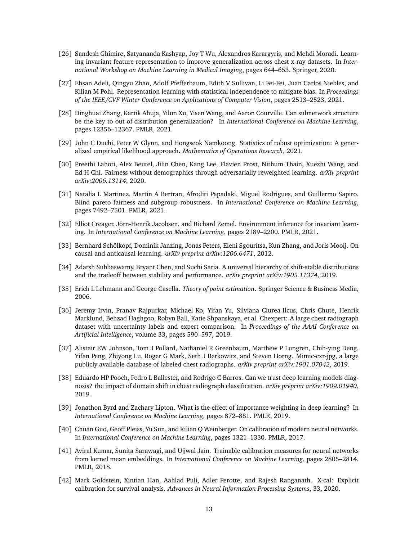- <span id="page-12-0"></span>[26] Sandesh Ghimire, Satyananda Kashyap, Joy T Wu, Alexandros Karargyris, and Mehdi Moradi. Learning invariant feature representation to improve generalization across chest x-ray datasets. In *International Workshop on Machine Learning in Medical Imaging*, pages 644–653. Springer, 2020.
- <span id="page-12-1"></span>[27] Ehsan Adeli, Qingyu Zhao, Adolf Pfefferbaum, Edith V Sullivan, Li Fei-Fei, Juan Carlos Niebles, and Kilian M Pohl. Representation learning with statistical independence to mitigate bias. In *Proceedings of the IEEE/CVF Winter Conference on Applications of Computer Vision*, pages 2513–2523, 2021.
- <span id="page-12-2"></span>[28] Dinghuai Zhang, Kartik Ahuja, Yilun Xu, Yisen Wang, and Aaron Courville. Can subnetwork structure be the key to out-of-distribution generalization? In *International Conference on Machine Learning*, pages 12356–12367. PMLR, 2021.
- <span id="page-12-3"></span>[29] John C Duchi, Peter W Glynn, and Hongseok Namkoong. Statistics of robust optimization: A generalized empirical likelihood approach. *Mathematics of Operations Research*, 2021.
- <span id="page-12-4"></span>[30] Preethi Lahoti, Alex Beutel, Jilin Chen, Kang Lee, Flavien Prost, Nithum Thain, Xuezhi Wang, and Ed H Chi. Fairness without demographics through adversarially reweighted learning. *arXiv preprint arXiv:2006.13114*, 2020.
- <span id="page-12-5"></span>[31] Natalia L Martinez, Martin A Bertran, Afroditi Papadaki, Miguel Rodrigues, and Guillermo Sapiro. Blind pareto fairness and subgroup robustness. In *International Conference on Machine Learning*, pages 7492–7501. PMLR, 2021.
- <span id="page-12-6"></span>[32] Elliot Creager, Jörn-Henrik Jacobsen, and Richard Zemel. Environment inference for invariant learning. In *International Conference on Machine Learning*, pages 2189–2200. PMLR, 2021.
- <span id="page-12-7"></span>[33] Bernhard Schölkopf, Dominik Janzing, Jonas Peters, Eleni Sgouritsa, Kun Zhang, and Joris Mooij. On causal and anticausal learning. *arXiv preprint arXiv:1206.6471*, 2012.
- <span id="page-12-8"></span>[34] Adarsh Subbaswamy, Bryant Chen, and Suchi Saria. A universal hierarchy of shift-stable distributions and the tradeoff between stability and performance. *arXiv preprint arXiv:1905.11374*, 2019.
- <span id="page-12-9"></span>[35] Erich L Lehmann and George Casella. *Theory of point estimation*. Springer Science & Business Media, 2006.
- <span id="page-12-10"></span>[36] Jeremy Irvin, Pranav Rajpurkar, Michael Ko, Yifan Yu, Silviana Ciurea-Ilcus, Chris Chute, Henrik Marklund, Behzad Haghgoo, Robyn Ball, Katie Shpanskaya, et al. Chexpert: A large chest radiograph dataset with uncertainty labels and expert comparison. In *Proceedings of the AAAI Conference on Artificial Intelligence*, volume 33, pages 590–597, 2019.
- <span id="page-12-11"></span>[37] Alistair EW Johnson, Tom J Pollard, Nathaniel R Greenbaum, Matthew P Lungren, Chih-ying Deng, Yifan Peng, Zhiyong Lu, Roger G Mark, Seth J Berkowitz, and Steven Horng. Mimic-cxr-jpg, a large publicly available database of labeled chest radiographs. *arXiv preprint arXiv:1901.07042*, 2019.
- <span id="page-12-12"></span>[38] Eduardo HP Pooch, Pedro L Ballester, and Rodrigo C Barros. Can we trust deep learning models diagnosis? the impact of domain shift in chest radiograph classification. *arXiv preprint arXiv:1909.01940*, 2019.
- <span id="page-12-13"></span>[39] Jonathon Byrd and Zachary Lipton. What is the effect of importance weighting in deep learning? In *International Conference on Machine Learning*, pages 872–881. PMLR, 2019.
- <span id="page-12-14"></span>[40] Chuan Guo, Geoff Pleiss, Yu Sun, and Kilian Q Weinberger. On calibration of modern neural networks. In *International Conference on Machine Learning*, pages 1321–1330. PMLR, 2017.
- <span id="page-12-15"></span>[41] Aviral Kumar, Sunita Sarawagi, and Ujjwal Jain. Trainable calibration measures for neural networks from kernel mean embeddings. In *International Conference on Machine Learning*, pages 2805–2814. PMLR, 2018.
- <span id="page-12-16"></span>[42] Mark Goldstein, Xintian Han, Aahlad Puli, Adler Perotte, and Rajesh Ranganath. X-cal: Explicit calibration for survival analysis. *Advances in Neural Information Processing Systems*, 33, 2020.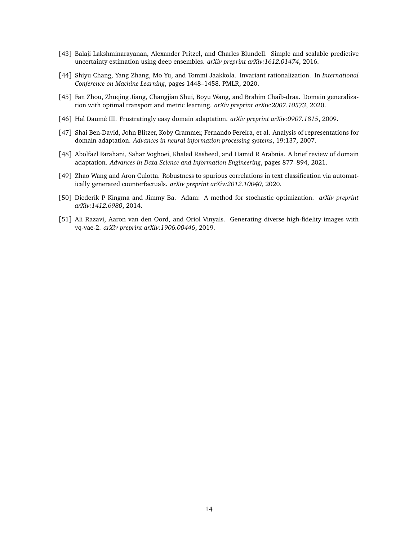- <span id="page-13-0"></span>[43] Balaji Lakshminarayanan, Alexander Pritzel, and Charles Blundell. Simple and scalable predictive uncertainty estimation using deep ensembles. *arXiv preprint arXiv:1612.01474*, 2016.
- <span id="page-13-1"></span>[44] Shiyu Chang, Yang Zhang, Mo Yu, and Tommi Jaakkola. Invariant rationalization. In *International Conference on Machine Learning*, pages 1448–1458. PMLR, 2020.
- <span id="page-13-2"></span>[45] Fan Zhou, Zhuqing Jiang, Changjian Shui, Boyu Wang, and Brahim Chaib-draa. Domain generalization with optimal transport and metric learning. *arXiv preprint arXiv:2007.10573*, 2020.
- <span id="page-13-3"></span>[46] Hal Daumé III. Frustratingly easy domain adaptation. *arXiv preprint arXiv:0907.1815*, 2009.
- <span id="page-13-4"></span>[47] Shai Ben-David, John Blitzer, Koby Crammer, Fernando Pereira, et al. Analysis of representations for domain adaptation. *Advances in neural information processing systems*, 19:137, 2007.
- <span id="page-13-5"></span>[48] Abolfazl Farahani, Sahar Voghoei, Khaled Rasheed, and Hamid R Arabnia. A brief review of domain adaptation. *Advances in Data Science and Information Engineering*, pages 877–894, 2021.
- <span id="page-13-6"></span>[49] Zhao Wang and Aron Culotta. Robustness to spurious correlations in text classification via automatically generated counterfactuals. *arXiv preprint arXiv:2012.10040*, 2020.
- <span id="page-13-7"></span>[50] Diederik P Kingma and Jimmy Ba. Adam: A method for stochastic optimization. *arXiv preprint arXiv:1412.6980*, 2014.
- <span id="page-13-8"></span>[51] Ali Razavi, Aaron van den Oord, and Oriol Vinyals. Generating diverse high-fidelity images with vq-vae-2. *arXiv preprint arXiv:1906.00446*, 2019.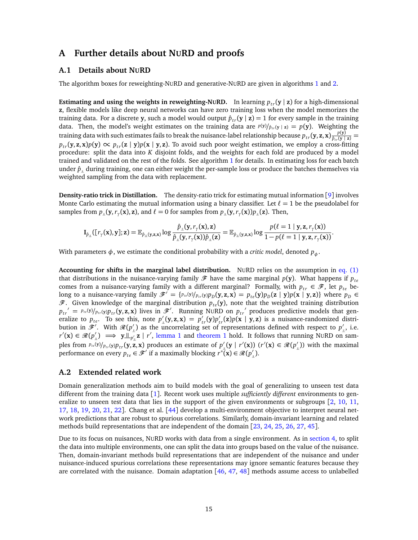## **A Further details about NURD and proofs**

#### <span id="page-14-0"></span>**A.1 Details about NURD**

The algorithm boxes for reweighting-NURD and generative-NURD are given in algorithms [1](#page-15-0) and [2.](#page-16-0)

**Estimating and using the weights in reweighting-NURD.** In learning  $p_{rr}(\mathbf{y} | \mathbf{z})$  for a high-dimensional **z**, flexible models like deep neural networks can have zero training loss when the model memorizes the training data. For a discrete **y**, such a model would output  $\hat{p}_{tr}(\mathbf{y} \mid \mathbf{z}) = 1$  for every sample in the training data. Then, the model's weight estimates on the training data are  $p(y)/\hat{p}_{tr}(y \mid z) = p(y)$ . Weighting the training data with such estimates fails to break the nuisance-label relationship because  $p_{tr}(\mathbf{y}, \mathbf{z}, \mathbf{x}) \frac{p(\mathbf{y})}{\hat{p}_{tr}(\mathbf{y} \mid \mathbf{z})} =$  $p_{tr}(\mathbf{y}, \mathbf{z}, \mathbf{x}) p(\mathbf{y}) \propto p_{tr}(\mathbf{z} | \mathbf{y}) p(\mathbf{x} | \mathbf{y}, \mathbf{z})$ . To avoid such poor weight estimation, we employ a cross-fitting procedure: split the data into *K* disjoint folds, and the weights for each fold are produced by a model trained and validated on the rest of the folds. See algorithm [1](#page-15-0) for details. In estimating loss for each batch under  $\hat{p}_\parallel$  during training, one can either weight the per-sample loss or produce the batches themselves via weighted sampling from the data with replacement.

**Density-ratio trick in Distillation.** The density-ratio trick for estimating mutual information [[9](#page-11-0)] involves Monte Carlo estimating the mutual information using a binary classifier. Let  $\ell = 1$  be the pseudolabel for samples from  $p_{\perp}(\mathbf{y}, r_{\gamma}(\mathbf{x}), \mathbf{z})$ , and  $\ell = 0$  for samples from  $p_{\perp}(\mathbf{y}, r_{\gamma}(\mathbf{x}))p_{\perp}(\mathbf{z})$ . Then,

$$
\mathbf{I}_{\hat{p}_\perp}([\mathit{r}_{\gamma}(\mathbf{x}),\mathbf{y}];\mathbf{z}) = \mathbb{E}_{\hat{p}_\perp(\mathbf{y},\mathbf{z},\mathbf{x})} \log \frac{\hat{p}_\perp(\mathbf{y},\mathit{r}_{\gamma}(\mathbf{x}),\mathbf{z})}{\hat{p}_\perp(\mathbf{y},\mathit{r}_{\gamma}(\mathbf{x}))\hat{p}_\perp(\mathbf{z})} = \mathbb{E}_{\hat{p}_\perp(\mathbf{y},\mathbf{z},\mathbf{x})} \log \frac{p(\ell=1 \mid \mathbf{y},\mathbf{z},\mathit{r}_{\gamma}(\mathbf{x}))}{1 - p(\ell=1 \mid \mathbf{y},\mathbf{z},\mathit{r}_{\gamma}(\mathbf{x}))}.
$$

With parameters  $\phi$ , we estimate the conditional probability with a *critic model*, denoted  $p_{\phi}$ .

**Accounting for shifts in the marginal label distribution.** NURD relies on the assumption in [eq. \(1\)](#page-1-1) that distributions in the nuisance-varying family  $\mathcal{F}$  have the same marginal  $p(\mathbf{y})$ . What happens if  $p_{te}$ comes from a nuisance-varying family with a different marginal? Formally, with  $p_{tr} \in \mathcal{F}$ , let  $p_{te}$  belong to a nuisance-varying family  $\mathscr{F}' = \{p_{te}(y)/p_{tr}(y)p_D(y,z,x) = p_{te}(y)p_D(z \mid y)p(x \mid y,z)\}\$  where  $p_D \in$  $\mathscr{F}$ . Given knowledge of the marginal distribution  $p_{te}(\mathbf{y})$ , note that the weighted training distribution  $p_{tr'} = p_{te}(y)/p_{tr}(y)p_{tr}(y, z, x)$  lives in  $\mathscr{F}'$ . Running NURD on  $p_{tr'}$  produces predictive models that generalize to  $p_{te}$ . To see this, note  $p'_{\perp}(\mathbf{y}, \mathbf{z}, \mathbf{x}) = p'_{tr}(\mathbf{y})p'_{tr}(\mathbf{z})p(\mathbf{x} | \mathbf{y}, \mathbf{z})$  is a nuisance-randomized distribution in  $\mathscr{F}'$ . With  $\mathscr{R}(p'_\parallel)$  as the uncorrelating set of representations defined with respect to  $p'_\parallel$ , i.e.  $r'(\mathbf{x}) \in \mathcal{R}(p'_{\perp}) \implies \mathbf{y} \perp_{p'_{\perp}}^{\perp} \mathbf{z} \mid r'$ , [lemma 1](#page-17-1) and [theorem 1](#page-3-2) hold. It follows that running NURD on samples from  $P_{te}(y)/P_{tr}(y)P_{tr}(y,\mathbf{z},\mathbf{x})$  produces an estimate of  $p'_{\parallel}(y \mid r'(\mathbf{x}))$   $(r'(\mathbf{x}) \in \mathcal{R}(p'_{\parallel}))$  with the maximal performance on every  $p_{te} \in \mathcal{F}'$  if a maximally blocking  $r^*(\mathbf{x}) \in \mathcal{R}(p')$ .

#### <span id="page-14-1"></span>**A.2 Extended related work**

Domain generalization methods aim to build models with the goal of generalizing to unseen test data different from the training data [[1](#page-10-0)]. Recent work uses multiple *sufficiently different* environments to generalize to unseen test data that lies in the support of the given environments or subgroups  $\lceil 2, 10, 11, \rceil$  $\lceil 2, 10, 11, \rceil$  $\lceil 2, 10, 11, \rceil$  $\lceil 2, 10, 11, \rceil$  $\lceil 2, 10, 11, \rceil$  $\lceil 2, 10, 11, \rceil$  $\lceil 2, 10, 11, \rceil$ [17,](#page-11-8) [18,](#page-11-9) [19,](#page-11-10) [20,](#page-11-11) [21,](#page-11-12) [22](#page-11-13)]. Chang et al. [[44](#page-13-1)] develop a multi-environment objective to interpret neural network predictions that are robust to spurious correlations. Similarly, domain-invariant learning and related methods build representations that are independent of the domain [[23,](#page-11-14) [24,](#page-11-15) [25,](#page-11-16) [26,](#page-12-0) [27,](#page-12-1) [45](#page-13-2)].

Due to its focus on nuisances, NURD works with data from a single environment. As in [section 4,](#page-5-0) to split the data into multiple environments, one can split the data into groups based on the value of the nuisance. Then, domain-invariant methods build representations that are independent of the nuisance and under nuisance-induced spurious correlations these representations may ignore semantic features because they are correlated with the nuisance. Domain adaptation [[46,](#page-13-3) [47,](#page-13-4) [48](#page-13-5)] methods assume access to unlabelled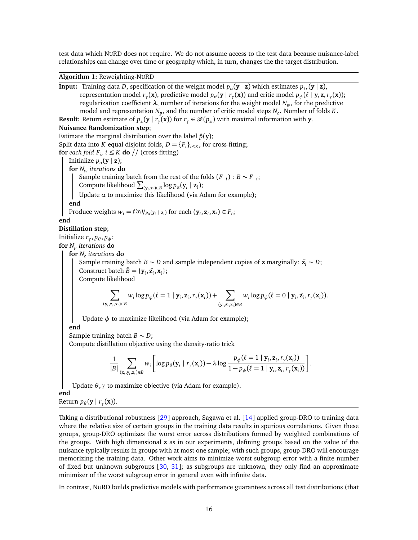test data which NURD does not require. We do not assume access to the test data because nuisance-label relationships can change over time or geography which, in turn, changes the the target distribution.

<span id="page-15-0"></span>**Algorithm 1:** Reweighting-NURD

**Input:** Training data *D*, specification of the weight model  $p_a$ (**y** | **z**) which estimates  $p_{tr}$ (**y** | **z**), representation model  $r_\gamma(\mathbf{x})$ , predictive model  $p_\theta(\mathbf{y} \mid r_\gamma(\mathbf{x}))$  and critic model  $p_\phi(\ell \mid \mathbf{y}, \mathbf{z}, r_\gamma(\mathbf{x}))$ ; regularization coefficient *λ*, number of iterations for the weight model *Nw*, for the predictive model and representation  $N_p$ , and the number of critic model steps  $N_c$ . Number of folds  $K$ . **Result:** Return estimate of  $p_{\perp}(\mathbf{y} \mid r_{\gamma}(\mathbf{x}))$  for  $r_{\gamma} \in \mathcal{R}(p_{\perp})$  with maximal information with **y**. **Nuisance Randomization step**; Estimate the marginal distribution over the label  $\hat{p}(v)$ ; Split data into *K* equal disjoint folds,  $D = {F_i}_{i \leq K}$ , for cross-fitting; **for** each fold  $F_i$ ,  $i \leq K$  **do** // (cross-fitting) Initialize  $p_{\alpha}(\mathbf{y} \mid \mathbf{z})$ ; **for** *N<sup>w</sup> iterations* **do** Sample training batch from the rest of the folds  $(F_{-i})$  :  $B \sim F_{-i}$ ; Compute likelihood  $\sum_{(\mathbf{y}_i, \mathbf{z}_i) \in B} \log p_{\alpha}(\mathbf{y}_i \mid \mathbf{z}_i);$ Update *α* to maximize this likelihood (via Adam for example); **end** Produce weights  $w_i = \frac{\hat{p}(y_i)}{p_a(y_i \mid \mathbf{z}_i)}$  for each  $(\mathbf{y}_i, \mathbf{z}_i, \mathbf{x}_i) \in F_i$ ; **end Distillation step**; Initialize  $r_\gamma, p_\theta, p_\phi;$ **for** *N<sup>p</sup> iterations* **do for** *N<sup>c</sup> iterations* **do** Sample training batch *B* ∼ *D* and sample independent copies of **z** marginally:  $\tilde{z_i}$  ∼ *D*; Construct batch  $\tilde{B} = {\bf y}_i, \tilde{\bf z}_i, {\bf x}_i\};$ Compute likelihood  $\mathbf{\nabla}$ (**y***i* ,**z***i* ,**x***i* )∈*B*  $w_i \log p_{\phi}(\ell = 1 | \mathbf{y}_i, \mathbf{z}_i, r_{\gamma}(\mathbf{x}_i)) + \sum_{i=1}^{N}$  $(y_i, z_i, x_i)$ ∈ $B$  $w_i \log p_{\phi} (\ell = 0 | \mathbf{y}_i, \tilde{\mathbf{z}}_i, r_{\gamma}(\mathbf{x}_i)).$ Update *φ* to maximize likelihood (via Adam for example); **end** Sample training batch *B* ∼ *D*; Compute distillation objective using the density-ratio trick 1 |*B*|  $\mathbf{\nabla}$ (**x***i* ,**y***i* ,**z***i* )∈*B wi* Г  $\log p_{\theta}(\mathbf{y}_i \mid r_{\gamma}(\mathbf{x}_i)) - \lambda \log$  $p_{\phi}(\ell = 1 | \mathbf{y}_i, \mathbf{z}_i, r_{\gamma}(\mathbf{x}_i))$  $\frac{p_{\phi}(\ell=1 | \mathbf{y}_i, \mathbf{z}_i, r_{\gamma}(\mathbf{x}_i))}{1-p_{\phi}(\ell=1 | \mathbf{y}_i, \mathbf{z}_i, r_{\gamma}(\mathbf{x}_i))}$ .

Update *θ*,*γ* to maximize objective (via Adam for example).

**end**

Return  $p_{\theta}(\mathbf{y} | r_{\gamma}(\mathbf{x}))$ .

Taking a distributional robustness [[29](#page-12-3)] approach, Sagawa et al. [[14](#page-11-5)] applied group-DRO to training data where the relative size of certain groups in the training data results in spurious correlations. Given these groups, group-DRO optimizes the worst error across distributions formed by weighted combinations of the groups. With high dimensional **z** as in our experiments, defining groups based on the value of the nuisance typically results in groups with at most one sample; with such groups, group-DRO will encourage memorizing the training data. Other work aims to minimize worst subgroup error with a finite number of fixed but unknown subgroups [[30,](#page-12-4) [31](#page-12-5)]; as subgroups are unknown, they only find an approximate minimizer of the worst subgroup error in general even with infinite data.

In contrast, NURD builds predictive models with performance guarantees across all test distributions (that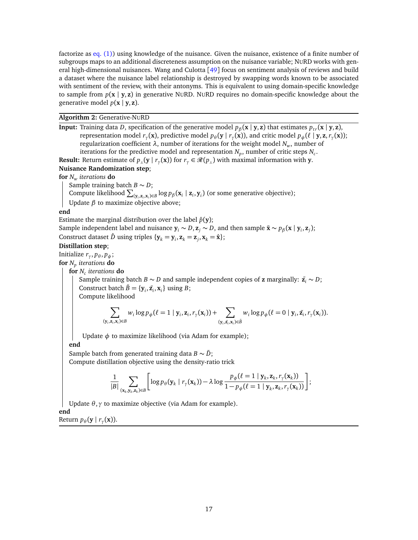factorize as [eq. \(1\)\)](#page-1-1) using knowledge of the nuisance. Given the nuisance, existence of a finite number of subgroups maps to an additional discreteness assumption on the nuisance variable; NURD works with general high-dimensional nuisances. Wang and Culotta [[49](#page-13-6)] focus on sentiment analysis of reviews and build a dataset where the nuisance label relationship is destroyed by swapping words known to be associated with sentiment of the review, with their antonyms. This is equivalent to using domain-specific knowledge to sample from  $p(x | y, z)$  in generative NURD. NURD requires no domain-specific knowledge about the generative model  $p(x | y, z)$ .

#### <span id="page-16-0"></span>**Algorithm 2:** Generative-NURD

**Input:** Training data *D*, specification of the generative model  $p_\beta(\mathbf{x} \mid \mathbf{y}, \mathbf{z})$  that estimates  $p_{tr}(\mathbf{x} \mid \mathbf{y}, \mathbf{z})$ , representation model  $r_\gamma(\mathbf{x})$ , predictive model  $p_\theta(\mathbf{y} | r_\gamma(\mathbf{x}))$ , and critic model  $p_\phi(\ell | \mathbf{y}, \mathbf{z}, r_\gamma(\mathbf{x}))$ ; regularization coefficient *λ*, number of iterations for the weight model *Nw*, number of iterations for the predictive model and representation  $N_p$ , number of critic steps  $N_c$ .

**Result:** Return estimate of  $p_{\perp}(\mathbf{y} \mid r_{\gamma}(\mathbf{x}))$  for  $r_{\gamma} \in \mathscr{R}(p_{\perp})$  with maximal information with **y**.

#### **Nuisance Randomization step**;

**for** *N<sup>w</sup> iterations* **do**

Sample training batch  $B \sim D$ ;

Compute likelihood  $\sum_{(\mathbf{y}_i, \mathbf{z}_i, \mathbf{x}_i) \in B} \log p_{\beta}(\mathbf{x}_i | \mathbf{z}_i, \mathbf{y}_i)$  (or some generative objective);

Update *β* to maximize objective above;

#### **end**

Estimate the marginal distribution over the label  $\hat{p}(\mathbf{y})$ ;

Sample independent label and nuisance  $y_i \sim D$ ,  $z_j \sim D$ , and then sample  $\tilde{\mathbf{x}} \sim p_\beta(\mathbf{x} \mid y_i, \mathbf{z}_j)$ ; Construct dataset  $\hat{D}$  using triples  $\{y_k = y_i, z_k = z_j, x_k = \hat{x}\};$ 

#### **Distillation step**;

Initialize *r<sup>γ</sup>* , *p<sup>θ</sup>* , *pφ*;

**for** *N<sup>p</sup> iterations* **do**

**for** *N<sup>c</sup> iterations* **do**

Sample training batch *B* ∼ *D* and sample independent copies of **z** marginally:  $\tilde{z_i}$  ∼ *D*; Construct batch  $\tilde{B} = {\bf y}_i, \tilde{\bf z}_i, {\bf x}_i$  using *B*;

Compute likelihood

$$
\sum_{(\mathbf{y}_i,\mathbf{z}_i,\mathbf{x}_i)\in B} w_i \log p_{\phi}(\ell=1 \mid \mathbf{y}_i,\mathbf{z}_i,r_{\gamma}(\mathbf{x}_i)) + \sum_{(\mathbf{y}_i,\tilde{\mathbf{z}}_i,\mathbf{x}_i)\in \tilde{B}} w_i \log p_{\phi}(\ell=0 \mid \mathbf{y}_i,\tilde{\mathbf{z}}_i,r_{\gamma}(\mathbf{x}_i)).
$$

Update *φ* to maximize likelihood (via Adam for example);

**end**

Sample batch from generated training data  $B \sim \tilde{D}$ ; Compute distillation objective using the density-ratio trick

$$
\frac{1}{|B|}\sum_{(\mathbf{x}_k,\mathbf{y}_k,\mathbf{z}_k)\in B}\Bigg[\log p_\theta(\mathbf{y}_k\mid r_\gamma(\mathbf{x}_k))-\lambda\log\frac{p_\phi(\ell=1\mid\mathbf{y}_k,\mathbf{z}_k,r_\gamma(\mathbf{x}_k))}{1-p_\phi(\ell=1\mid\mathbf{y}_k,\mathbf{z}_k,r_\gamma(\mathbf{x}_k))}\Bigg];
$$

Update *θ*,*γ* to maximize objective (via Adam for example).

**end**

Return  $p_{\theta}(\mathbf{y} | r_{\gamma}(\mathbf{x}))$ .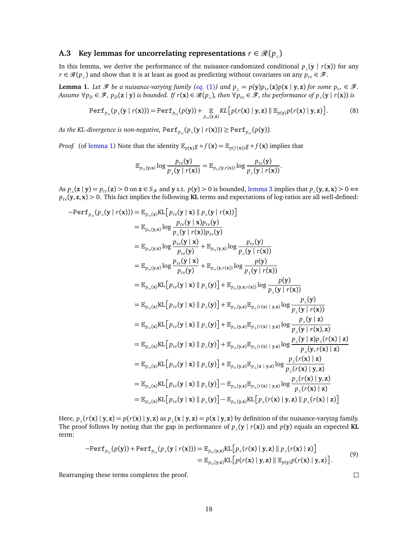## <span id="page-17-0"></span>**A.3** Key lemmas for uncorrelating representations  $r \in \mathcal{R}(p_+)$

In this lemma, we derive the performance of the nuisance-randomized conditional  $p_{\parallel}(\mathbf{y} | r(\mathbf{x}))$  for any *r* ∈  $\mathcal{R}(p_{\perp})$  and show that it is at least as good as predicting without covariates on any  $p_{te} \in \mathcal{F}$ .

<span id="page-17-1"></span>**Lemma 1.** Let  $\mathcal{F}$  be a nuisance-varying family (eq. [\(1\)](#page-1-1)) and  $p_{\perp} = p(y)p_{tr}(\mathbf{z})p(\mathbf{x} \mid \mathbf{y}, \mathbf{z})$  for some  $p_{tr} \in \mathcal{F}$ . Assume  $\forall p_D \in \mathcal{F}$ ,  $p_D(z | y)$  is bounded. If  $r(x) \in \mathcal{R}(p_{\perp})$ , then  $\forall p_{te} \in \mathcal{F}$ , the performance of  $p_{\perp}(y | r(x))$  is

$$
\text{Perf}_{p_{te}}(p_{\perp}(\mathbf{y} \mid r(\mathbf{x}))) = \text{Perf}_{p_{te}}(p(\mathbf{y})) + \mathop{\mathbb{E}}_{p_{te}(\mathbf{y},\mathbf{z})} KL\big[p(r(\mathbf{x}) \mid \mathbf{y},\mathbf{z}) \parallel \mathop{\mathbb{E}}_{p(\mathbf{y})} p(r(\mathbf{x}) \mid \mathbf{y},\mathbf{z})\big]. \tag{8}
$$

As the KL-divergence is non-negative,  $\text{Perf}_{p_{te}}(p_{\perp}(\mathbf{y} \mid r(\mathbf{x}))) \geq \text{Perf}_{p_{te}}(p(\mathbf{y}))$ .

*Proof.* (of [lemma 1\)](#page-17-1) Note that the identity  $\mathbb{E}_{p(x)} g \circ f(x) = \mathbb{E}_{p(f(x))} g \circ f(x)$  implies that

$$
\mathbb{E}_{p_{te}(\mathbf{y}, \mathbf{x})} \log \frac{p_{te}(\mathbf{y})}{p_{\scriptscriptstyle \perp}(\mathbf{y} \mid r(\mathbf{x}))} = \mathbb{E}_{p_{te}(\mathbf{y}, r(\mathbf{x}))} \log \frac{p_{te}(\mathbf{y})}{p_{\scriptscriptstyle \perp}(\mathbf{y} \mid r(\mathbf{x}))}.
$$

As  $p_{\perp}(z | y) = p_{tr}(z) > 0$  on  $z \in S_{\mathcal{F}}$  and y s.t.  $p(y) > 0$  is bounded, [lemma 3](#page-18-1) implies that  $p_{\perp}(y, z, x) > 0 \Leftrightarrow$  $p_{te}$ (y, z, x) > 0. This fact implies the following **KL** terms and expectations of log-ratios are all well-defined:

$$
-Perf_{p_{te}}(p_{\perp}(\mathbf{y} \mid r(\mathbf{x}))) = \mathbb{E}_{p_{te}(x)}KL[p_{te}(\mathbf{y} \mid \mathbf{x}) \parallel p_{\perp}(\mathbf{y} \mid r(\mathbf{x}))]
$$
  
\n
$$
= \mathbb{E}_{p_{te}(y,x)} \log \frac{p_{te}(\mathbf{y} \mid \mathbf{x})p_{te}(\mathbf{y})}{p_{\perp}(\mathbf{y} \mid r(\mathbf{x}))p_{te}(\mathbf{y})}
$$
  
\n
$$
= \mathbb{E}_{p_{te}(y,x)} \log \frac{p_{te}(\mathbf{y} \mid \mathbf{x})}{p_{te}(\mathbf{y})} + \mathbb{E}_{p_{te}(y,x)} \log \frac{p_{te}(\mathbf{y})}{p_{\perp}(\mathbf{y} \mid r(\mathbf{x}))}
$$
  
\n
$$
= \mathbb{E}_{p_{te}(y,x)} \log \frac{p_{te}(\mathbf{y} \mid \mathbf{x})}{p_{te}(\mathbf{y})} + \mathbb{E}_{p_{te}(y,x)(x)} \log \frac{p(\mathbf{y})}{p_{\perp}(\mathbf{y} \mid r(\mathbf{x}))}
$$
  
\n
$$
= \mathbb{E}_{p_{te}(x)}KL[p_{te}(\mathbf{y} \mid \mathbf{x}) \parallel p_{\perp}(\mathbf{y})] + \mathbb{E}_{p_{te}(y,z,r(\mathbf{x}))} \log \frac{p(\mathbf{y})}{p_{\perp}(\mathbf{y} \mid r(\mathbf{x}))}
$$
  
\n
$$
= \mathbb{E}_{p_{te}(x)}KL[p_{te}(\mathbf{y} \mid \mathbf{x}) \parallel p_{\perp}(\mathbf{y})] + \mathbb{E}_{p_{te}(y,z)} \mathbb{E}_{p_{\perp}(r(\mathbf{x} \mid y,z)} \log \frac{p_{\perp}(\mathbf{y} \mid \mathbf{x})}{p_{\perp}(\mathbf{y} \mid r(\mathbf{x}))}
$$
  
\n
$$
= \mathbb{E}_{p_{te}(x)}KL[p_{te}(\mathbf{y} \mid \mathbf{x}) \parallel p_{\perp}(\mathbf{y})] + \mathbb{E}_{p_{te}(y,z)} \mathbb{E}_{p_{\perp}(r(\mathbf{x} \mid y,z)} \log \frac{p_{\perp}(\mathbf{y} \mid \mathbf
$$

Here,  $p_{\parallel}(r(\mathbf{x}) \mid \mathbf{y}, \mathbf{z}) = p(r(\mathbf{x}) \mid \mathbf{y}, \mathbf{z})$  as  $p_{\parallel}(\mathbf{x} \mid \mathbf{y}, \mathbf{z}) = p(\mathbf{x} \mid \mathbf{y}, \mathbf{z})$  by definition of the nuisance-varying family. The proof follows by noting that the gap in performance of  $p_{\perp}(y | r(x))$  and  $p(y)$  equals an expected **KL** term:

$$
-Perf_{p_{te}}(p(\mathbf{y})) + Perf_{p_{te}}(p_{\perp}(\mathbf{y} \mid r(\mathbf{x}))) = \mathbb{E}_{p_{te}(\mathbf{y},\mathbf{z})}KL[p_{\perp}(r(\mathbf{x}) \mid \mathbf{y},\mathbf{z}) \parallel p_{\perp}(r(\mathbf{x}) \mid \mathbf{z})]
$$
  
=  $\mathbb{E}_{p_{te}(\mathbf{y},\mathbf{z})}KL[p(r(\mathbf{x}) \mid \mathbf{y},\mathbf{z}) \parallel \mathbb{E}_{p(\mathbf{y})}p(r(\mathbf{x}) \mid \mathbf{y},\mathbf{z})].$  (9)

Rearranging these terms completes the proof.

 $\Box$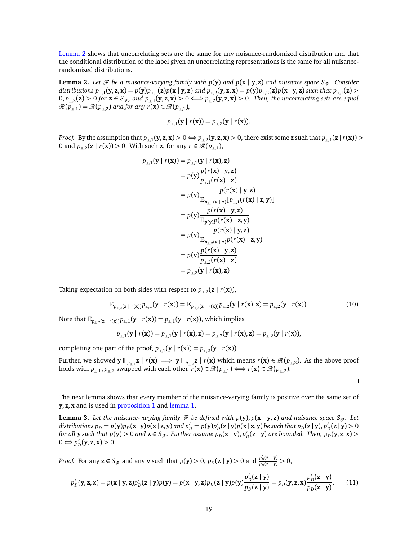[Lemma 2](#page-18-0) shows that uncorrelating sets are the same for any nuisance-randomized distribution and that the conditional distribution of the label given an uncorrelating representations is the same for all nuisancerandomized distributions.

<span id="page-18-0"></span>**Lemma 2.** Let  $\mathcal{F}$  be a nuisance-varying family with  $p(y)$  and  $p(x | y, z)$  and nuisance space  $S_{\mathcal{F}}$ . Consider distributions  $p_{\perp,1}(\mathbf{y},\mathbf{z},\mathbf{x}) = p(\mathbf{y})p_{\perp,1}(\mathbf{z})p(\mathbf{x} | \mathbf{y},\mathbf{z})$  and  $p_{\perp,2}(\mathbf{y},\mathbf{z},\mathbf{x}) = p(\mathbf{y})p_{\perp,2}(\mathbf{z})p(\mathbf{x} | \mathbf{y},\mathbf{z})$  such that  $p_{\perp,1}(\mathbf{z})$  $0, p_{\perp,2}(z) > 0$  for  $z \in S_{\mathcal{F}}$ , and  $p_{\perp,1}(y, z, x) > 0 \Longleftrightarrow p_{\perp,2}(y, z, x) > 0$ . Then, the uncorrelating sets are equal  $\mathcal{R}(p_{\perp,1}) = \mathcal{R}(p_{\perp,2})$  *and for any r*(**x**)  $\in \mathcal{R}(p_{\perp,1})$ *,* 

$$
p_{\perp,1}(\mathbf{y} \mid r(\mathbf{x})) = p_{\perp,2}(\mathbf{y} \mid r(\mathbf{x})).
$$

*Proof.* By the assumption that  $p_{\perp,1}(\mathbf{y},\mathbf{z},\mathbf{x})>0 \Leftrightarrow p_{\perp,2}(\mathbf{y},\mathbf{z},\mathbf{x})>0$ , there exist some z such that  $p_{\perp,1}(\mathbf{z} | r(\mathbf{x}))>0$ 0 and  $p_{\perp,2}(\mathbf{z} \mid r(\mathbf{x})) > 0$ . With such **z**, for any  $r \in \mathcal{R}(p_{\perp,1}),$ 

$$
p_{\perp,1}(\mathbf{y} \mid r(\mathbf{x})) = p_{\perp,1}(\mathbf{y} \mid r(\mathbf{x}), \mathbf{z})
$$
  
\n
$$
= p(\mathbf{y}) \frac{p(r(\mathbf{x}) \mid \mathbf{y}, \mathbf{z})}{p_{\perp,1}(r(\mathbf{x}) \mid \mathbf{z})}
$$
  
\n
$$
= p(\mathbf{y}) \frac{p(r(\mathbf{x}) \mid \mathbf{y}, \mathbf{z})}{\mathbb{E}_{p_{\perp,1}(\mathbf{y} \mid \mathbf{z})}[p_{\perp,1}(r(\mathbf{x}) \mid \mathbf{z}, \mathbf{y})]}
$$
  
\n
$$
= p(\mathbf{y}) \frac{p(r(\mathbf{x}) \mid \mathbf{y}, \mathbf{z})}{\mathbb{E}_{p(\mathbf{y})}p(r(\mathbf{x}) \mid \mathbf{z}, \mathbf{y})}
$$
  
\n
$$
= p(\mathbf{y}) \frac{p(r(\mathbf{x}) \mid \mathbf{y}, \mathbf{z})}{\mathbb{E}_{p_{\perp,2}(\mathbf{y} \mid \mathbf{z})}p(r(\mathbf{x}) \mid \mathbf{z}, \mathbf{y})}
$$
  
\n
$$
= p(\mathbf{y}) \frac{p(r(\mathbf{x}) \mid \mathbf{y}, \mathbf{z})}{p_{\perp,2}(r(\mathbf{x}) \mid \mathbf{z})}
$$
  
\n
$$
= p_{\perp,2}(\mathbf{y} \mid r(\mathbf{x}), \mathbf{z})
$$

Taking expectation on both sides with respect to  $p_{\perp,2}(\mathbf{z} \mid r(\mathbf{x})),$ 

$$
\mathbb{E}_{p_{\perp,2}(\mathbf{z} \;|\; r(\mathbf{x}))} p_{\perp,1}(\mathbf{y} \;|\; r(\mathbf{x})) = \mathbb{E}_{p_{\perp,2}(\mathbf{z} \;|\; r(\mathbf{x}))} p_{\perp,2}(\mathbf{y} \;|\; r(\mathbf{x}), \mathbf{z}) = p_{\perp,2}(\mathbf{y} \;|\; r(\mathbf{x})). \tag{10}
$$

Note that  $\mathbb{E}_{p_{\perp,2}(\mathbf{z} \mid r(\mathbf{x}))} p_{\perp,1}(\mathbf{y} \mid r(\mathbf{x})) = p_{\perp,1}(\mathbf{y} \mid r(\mathbf{x}))$ , which implies

$$
p_{\perp,1}(\mathbf{y} \mid r(\mathbf{x})) = p_{\perp,1}(\mathbf{y} \mid r(\mathbf{x}), \mathbf{z}) = p_{\perp,2}(\mathbf{y} \mid r(\mathbf{x}), \mathbf{z}) = p_{\perp,2}(\mathbf{y} \mid r(\mathbf{x})),
$$

completing one part of the proof,  $p_{\perp,1}(\mathbf{y} | r(\mathbf{x})) = p_{\perp,2}(\mathbf{y} | r(\mathbf{x})).$ 

Further, we showed  $\mathbf{y} \perp_{p_{\perp,1}} \mathbf{z} \mid r(\mathbf{x}) \implies \mathbf{y} \perp_{p_{\perp,2}} \mathbf{z} \mid r(\mathbf{x})$  which means  $r(\mathbf{x}) \in \mathcal{R}(p_{\perp,2})$ . As the above proof holds with  $p_{\perp,1}, p_{\perp,2}$  swapped with each other,  $r(\mathbf{x}) \in \mathcal{R}(p_{\perp,1}) \Longleftrightarrow r(\mathbf{x}) \in \mathcal{R}(p_{\perp,2})$ .

 $\Box$ 

The next lemma shows that every member of the nuisance-varying family is positive over the same set of **y**, **z**, **x** and is used in [proposition 1](#page-21-1) and [lemma 1.](#page-17-1)

<span id="page-18-1"></span>**Lemma 3.** Let the nuisance-varying family  $\mathcal F$  be defined with  $p(y), p(x | y, z)$  and nuisance space  $S_{\mathcal F}$ . Let *distributions*  $p_D = p(\mathbf{y})p_D(\mathbf{z} | \mathbf{y})p(\mathbf{x} | \mathbf{z}, \mathbf{y})$  and  $p'_D = p(\mathbf{y})p'_D$  $\frac{D}{D}$  (**z** | **y**) $p$  (**x** | **z**, **y**) *be such that p<sub>D</sub>* (**z** | **y**),  $p'_1$  $D_D'(z | y) > 0$ *for all* **y** such that  $p(y) > 0$  and  $z \in S_{\mathscr{F}}$ . Further assume  $p_D(z \mid y), p'_D(z \mid z)$  $D_D$ ( $z \mid y$ ) are bounded. Then,  $p_D$ ( $y, z, x$ ) >  $0 \Leftrightarrow p_1'$  $D_D'(y, z, x) > 0.$ 

*Proof.* For any  $z \in S_{\mathcal{F}}$  and any **y** such that  $p(y) > 0$ ,  $p_D(z | y) > 0$  and  $\frac{p'_D(z | y)}{p_D(z | y)} > 0$ ,

$$
p'_D(\mathbf{y}, \mathbf{z}, \mathbf{x}) = p(\mathbf{x} \mid \mathbf{y}, \mathbf{z}) p'_D(\mathbf{z} \mid \mathbf{y}) p(\mathbf{y}) = p(\mathbf{x} \mid \mathbf{y}, \mathbf{z}) p_D(\mathbf{z} \mid \mathbf{y}) p(\mathbf{y}) \frac{p'_D(\mathbf{z} \mid \mathbf{y})}{p_D(\mathbf{z} \mid \mathbf{y})} = p_D(\mathbf{y}, \mathbf{z}, \mathbf{x}) \frac{p'_D(\mathbf{z} \mid \mathbf{y})}{p_D(\mathbf{z} \mid \mathbf{y})}. \tag{11}
$$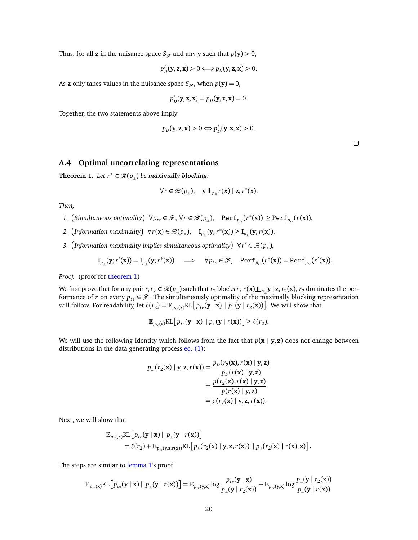Thus, for all **z** in the nuisance space  $S$ <sub> $\mathcal{F}$ </sub> and any **y** such that  $p(y) > 0$ ,

$$
p'_D(\mathbf{y}, \mathbf{z}, \mathbf{x}) > 0 \Longleftrightarrow p_D(\mathbf{y}, \mathbf{z}, \mathbf{x}) > 0.
$$

As **z** only takes values in the nuisance space  $S_{\mathcal{F}}$ , when  $p(\mathbf{y}) = 0$ ,

$$
p'_D(\mathbf{y}, \mathbf{z}, \mathbf{x}) = p_D(\mathbf{y}, \mathbf{z}, \mathbf{x}) = 0.
$$

Together, the two statements above imply

$$
p_D(\mathbf{y}, \mathbf{z}, \mathbf{x}) > 0 \Longleftrightarrow p'_D(\mathbf{y}, \mathbf{z}, \mathbf{x}) > 0.
$$

## <span id="page-19-0"></span>**A.4 Optimal uncorrelating representations**

**Theorem 1.** *Let*  $r^* \in \mathcal{R}(p_+)$  *be maximally blocking*:

$$
\forall r \in \mathcal{R}(p_{\perp}), \quad \underline{\mathbf{y}} \underline{\mathbf{u}}_{p_{\perp}} r(\mathbf{x}) \mid \mathbf{z}, r^*(\mathbf{x}).
$$

*Then,*

- *1.* (*Simultaneous optimality*)  $\forall p_{te} \in \mathcal{F}, \forall r \in \mathcal{R}(p_⊥)$ , Perf<sub>*pte*</sub>( $r^*(\mathbf{x})$ ) ≥ Perf<sub>*p<sub>te</sub>*( $r(\mathbf{x})$ ).</sub>
- 2.  $\left($ *Information maximality* $\right) \forall r(\mathbf{x}) \in \mathcal{R}(p_{\perp}), \quad \mathbf{I}_{p_{\perp}}(\mathbf{y}; r^{*}(\mathbf{x})) \geq \mathbf{I}_{p_{\perp}}(\mathbf{y}; r(\mathbf{x})).$
- 3. (Information maximality implies simultaneous optimality)  $\forall r' \in \mathcal{R}(p_{\perp})$ ,

$$
\mathbf{I}_{p_{\perp}}(\mathbf{y};r'(\mathbf{x})) = \mathbf{I}_{p_{\perp}}(\mathbf{y};r^*(\mathbf{x})) \quad \Longrightarrow \quad \forall p_{te} \in \mathscr{F}, \quad \text{Perf}_{p_{te}}(r^*(\mathbf{x})) = \text{Perf}_{p_{te}}(r'(\mathbf{x})).
$$

*Proof.* (proof for [theorem 1\)](#page-3-2)

We first prove that for any pair  $r, r_2 \in \mathcal{R}(p_{\perp})$  such that  $r_2$  blocks  $r, r(\mathbf{x}) \perp\!\!\!\perp_{p_{\perp}} \mathbf{y} \mid \mathbf{z}, r_2(\mathbf{x}), r_2$  dominates the performance of *r* on every  $p_{te} \in \mathcal{F}$ . The simultaneously optimality of the maximally blocking representation will follow. For readability, let  $\ell(r_2) = \mathbb{E}_{p_{te}(\mathbf{x})} \text{KL}\big[p_{te}(\mathbf{y} \mid \mathbf{x}) \mathbin\Vert p_{\perp}(\mathbf{y} \mid r_2(\mathbf{x}))\big].$  We will show that

$$
\mathbb{E}_{p_{te}(\mathbf{x})} \text{KL}\big[p_{te}(\mathbf{y} \mid \mathbf{x}) \parallel p_{\perp}(\mathbf{y} \mid r(\mathbf{x}))\big] \ge \ell(r_2).
$$

We will use the following identity which follows from the fact that *p*(**x** | **y**, **z**) does not change between distributions in the data generating process [eq. \(1\):](#page-1-1)

(**x**),*r*(**x**) | **y**, **z**)

$$
p_D(r_2(\mathbf{x}) \mid \mathbf{y}, \mathbf{z}, r(\mathbf{x})) = \frac{p_D(r_2(\mathbf{x}), r(\mathbf{x}) \mid \mathbf{y}, \mathbf{z})}{p_D(r(\mathbf{x}) \mid \mathbf{y}, \mathbf{z})}
$$
  
= 
$$
\frac{p(r_2(\mathbf{x}), r(\mathbf{x}) \mid \mathbf{y}, \mathbf{z})}{p(r(\mathbf{x}) \mid \mathbf{y}, \mathbf{z})}
$$
  
= 
$$
p(r_2(\mathbf{x}) \mid \mathbf{y}, \mathbf{z}, r(\mathbf{x})).
$$

Next, we will show that

$$
\mathbb{E}_{p_{te}(\mathbf{x})}KL[p_{te}(\mathbf{y} \mid \mathbf{x}) \parallel p_{\perp}(\mathbf{y} \mid r(\mathbf{x}))]
$$
  
=  $\ell(r_2) + \mathbb{E}_{p_{te}(\mathbf{y}, \mathbf{z}, r(\mathbf{x}))}KL[p_{\perp}(r_2(\mathbf{x}) \mid \mathbf{y}, \mathbf{z}, r(\mathbf{x})) \parallel p_{\perp}(r_2(\mathbf{x}) \mid r(\mathbf{x}), \mathbf{z})].$ 

The steps are similar to [lemma 1'](#page-17-1)s proof

$$
\mathbb{E}_{p_{te}(\mathbf{x})}KL\left[p_{te}(\mathbf{y} \mid \mathbf{x}) \mid p_{\perp}(\mathbf{y} \mid r(\mathbf{x}))\right] = \mathbb{E}_{p_{te}(\mathbf{y}, \mathbf{x})}log \ \frac{p_{te}(\mathbf{y} \mid \mathbf{x})}{p_{\perp}(\mathbf{y} \mid r_{2}(\mathbf{x}))} + \mathbb{E}_{p_{te}(\mathbf{y}, \mathbf{x})}log \ \frac{p_{\perp}(\mathbf{y} \mid r_{2}(\mathbf{x}))}{p_{\perp}(\mathbf{y} \mid r(\mathbf{x}))}
$$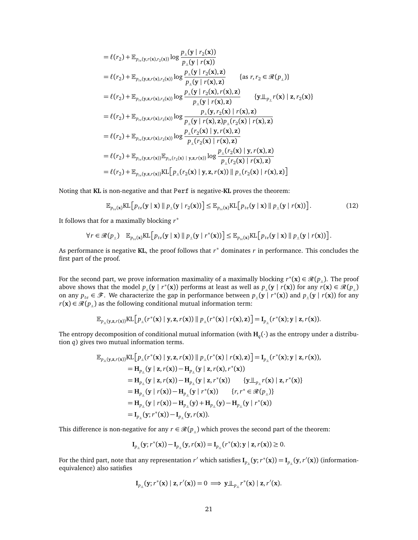$$
= \ell(r_2) + \mathbb{E}_{p_{te}(y,r(x),r_2(x))} \log \frac{p_{\perp}(y \mid r_2(x))}{p_{\perp}(y \mid r(x))}
$$
  
\n
$$
= \ell(r_2) + \mathbb{E}_{p_{te}(y,z,r(x),r_2(x))} \log \frac{p_{\perp}(y \mid r_2(x), z)}{p_{\perp}(y \mid r(x), z)} \qquad \{as \ r, r_2 \in \mathcal{R}(p_{\perp})\}
$$
  
\n
$$
= \ell(r_2) + \mathbb{E}_{p_{te}(y,z,r(x),r_2(x))} \log \frac{p_{\perp}(y \mid r_2(x), r(x), z)}{p_{\perp}(y \mid r(x), z)} \qquad \{y \perp_{p_{\perp}} r(x) \mid z, r_2(x)\}
$$
  
\n
$$
= \ell(r_2) + \mathbb{E}_{p_{te}(y,z,r(x),r_2(x))} \log \frac{p_{\perp}(y \mid r(x), z)}{p_{\perp}(y \mid r(x), z)p_{\perp}(r_2(x) \mid r(x), z)}
$$
  
\n
$$
= \ell(r_2) + \mathbb{E}_{p_{te}(y,z,r(x),r_2(x))} \log \frac{p_{\perp}(r_2(x) \mid y, r(x), z)}{p_{\perp}(r_2(x) \mid r(x), z)}
$$
  
\n
$$
= \ell(r_2) + \mathbb{E}_{p_{te}(y,z,r(x))} \mathbb{E}_{p_{te}(r_2(x) \mid y,z,r(x))} \log \frac{p_{\perp}(r_2(x) \mid y, r(x), z)}{p_{\perp}(r_2(x) \mid r(x), z)}
$$
  
\n
$$
= \ell(r_2) + \mathbb{E}_{p_{te}(y,z,r(x))} \mathbb{K}[\rho_{\perp}(r_2(x) \mid y, z, r(x)) \parallel p_{\perp}(r_2(x) \mid r(x), z)]
$$

Noting that **KL** is non-negative and that Perf is negative-**KL** proves the theorem:

<span id="page-20-0"></span>
$$
\mathbb{E}_{p_{te}(\mathbf{x})} \text{KL}\left[p_{te}(\mathbf{y} \mid \mathbf{x}) \parallel p_{\perp}(\mathbf{y} \mid r_{2}(\mathbf{x}))\right] \leq \mathbb{E}_{p_{te}(\mathbf{x})} \text{KL}\left[p_{te}(\mathbf{y} \mid \mathbf{x}) \parallel p_{\perp}(\mathbf{y} \mid r(\mathbf{x}))\right].
$$
\n(12)

It follows that for a maximally blocking *r* ∗

$$
\forall r \in \mathcal{R}(p_{\perp}) \quad \mathbb{E}_{p_{te}(\mathbf{x})}KL\Big[p_{te}(\mathbf{y} \mid \mathbf{x}) \parallel p_{\perp}(\mathbf{y} \mid r^*(\mathbf{x}))\Big] \leq \mathbb{E}_{p_{te}(\mathbf{x})}KL\Big[p_{te}(\mathbf{y} \mid \mathbf{x}) \parallel p_{\perp}(\mathbf{y} \mid r(\mathbf{x}))\Big].
$$

As performance is negative **KL**, the proof follows that *r* <sup>∗</sup> dominates *r* in performance. This concludes the first part of the proof.

For the second part, we prove information maximality of a maximally blocking  $r^*(\mathbf{x}) \in \mathcal{R}(p_{\perp})$ . The proof above shows that the model  $p_{\perp}(\mathbf{y} | r^*(\mathbf{x}))$  performs at least as well as  $p_{\perp}(\mathbf{y} | r(\mathbf{x}))$  for any  $r(\mathbf{x}) \in \mathcal{R}(p_{\perp})$ on any  $p_{te} \in \mathcal{F}$ . We characterize the gap in performance between  $p_{\perp}(\mathbf{y} \mid r^*(\mathbf{x}))$  and  $p_{\perp}(\mathbf{y} \mid r(\mathbf{x}))$  for any *r*(**x**) ∈  $\mathcal{R}(p_{\perp})$  as the following conditional mutual information term:

$$
\mathbb{E}_{p_{\perp}(\mathbf{y},\mathbf{z},r(\mathbf{x}))}\mathrm{KL}\Big[p_{\perp}(r^*(\mathbf{x})\mid\mathbf{y},\mathbf{z},r(\mathbf{x}))\parallel p_{\perp}(r^*(\mathbf{x})\mid r(\mathbf{x}),\mathbf{z})\Big]=\mathrm{I}_{p_{\perp}}(r^*(\mathbf{x});\mathbf{y}\mid\mathbf{z},r(\mathbf{x})).
$$

The entropy decomposition of conditional mutual information (with  $H_q(\cdot)$  as the entropy under a distribution *q*) gives two mutual information terms.

$$
\mathbb{E}_{p_{\perp}(\mathbf{y},\mathbf{z},r(\mathbf{x}))} \text{KL}\big[p_{\perp}(r^*(\mathbf{x}) \mid \mathbf{y},\mathbf{z},r(\mathbf{x})) \parallel p_{\perp}(r^*(\mathbf{x}) \mid r(\mathbf{x}),\mathbf{z})\big] = \mathbf{I}_{p_{\perp}}(r^*(\mathbf{x});\mathbf{y} \mid \mathbf{z},r(\mathbf{x})),
$$
\n
$$
= \mathbf{H}_{p_{\perp}}(\mathbf{y} \mid \mathbf{z},r(\mathbf{x})) - \mathbf{H}_{p_{\perp}}(\mathbf{y} \mid \mathbf{z},r(\mathbf{x}),r^*(\mathbf{x}))
$$
\n
$$
= \mathbf{H}_{p_{\perp}}(\mathbf{y} \mid \mathbf{z},r(\mathbf{x})) - \mathbf{H}_{p_{\perp}}(\mathbf{y} \mid \mathbf{z},r^*(\mathbf{x})) \qquad \{\mathbf{y} \perp_{p_{\perp}} r(\mathbf{x}) \mid \mathbf{z},r^*(\mathbf{x})\}
$$
\n
$$
= \mathbf{H}_{p_{\perp}}(\mathbf{y} \mid r(\mathbf{x})) - \mathbf{H}_{p_{\perp}}(\mathbf{y} \mid r^*(\mathbf{x})) \qquad \{r, r^* \in \mathcal{R}(p_{\perp})\}
$$
\n
$$
= \mathbf{H}_{p_{\perp}}(\mathbf{y} \mid r(\mathbf{x})) - \mathbf{H}_{p_{\perp}}(\mathbf{y}) + \mathbf{H}_{p_{\perp}}(\mathbf{y}) - \mathbf{H}_{p_{\perp}}(\mathbf{y} \mid r^*(\mathbf{x}))
$$
\n
$$
= \mathbf{I}_{p_{\perp}}(\mathbf{y}; r^*(\mathbf{x})) - \mathbf{I}_{p_{\perp}}(\mathbf{y},r(\mathbf{x})).
$$

This difference is non-negative for any  $r \in \mathcal{R}(p_+)$  which proves the second part of the theorem:

$$
\mathbf{I}_{p_{\perp}}(\mathbf{y};r^*(\mathbf{x})) - \mathbf{I}_{p_{\perp}}(\mathbf{y},r(\mathbf{x})) = \mathbf{I}_{p_{\perp}}(r^*(\mathbf{x}); \mathbf{y} \mid \mathbf{z},r(\mathbf{x})) \geq 0.
$$

For the third part, note that any representation  $r'$  which satisfies  $I_{p_+}(y;r^*(x)) = I_{p_+}(y,r'(x))$  (informationequivalence) also satisfies

$$
\mathbf{I}_{p_{\perp}}(\mathbf{y};r^*(\mathbf{x})\mid \mathbf{z},r'(\mathbf{x}))=0 \implies \mathbf{y}\perp_{p_{\perp}}r^*(\mathbf{x})\mid \mathbf{z},r'(\mathbf{x}).
$$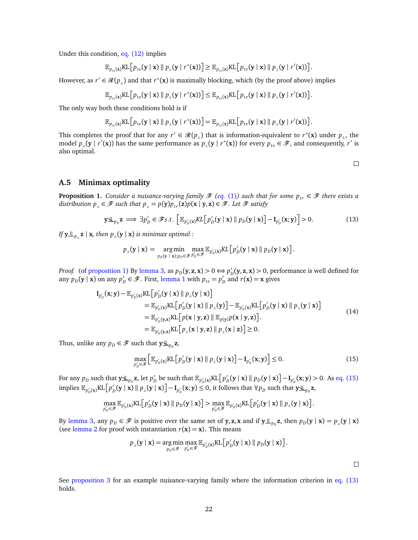Under this condition, [eq. \(12\)](#page-20-0) implies

$$
\mathbb{E}_{p_{te}(\mathbf{x})}KL[p_{te}(\mathbf{y} \mid \mathbf{x}) \parallel p_{\perp}(\mathbf{y} \mid r^*(\mathbf{x}))] \geq \mathbb{E}_{p_{te}(\mathbf{x})}KL[p_{te}(\mathbf{y} \mid \mathbf{x}) \parallel p_{\perp}(\mathbf{y} \mid r'(\mathbf{x}))].
$$

However, as  $r' \in \mathcal{R}(p_{\perp})$  and that  $r^*(\mathbf{x})$  is maximally blocking, which (by the proof above) implies

$$
\mathbb{E}_{p_{te}(\mathbf{x})}\text{KL}\big[p_{te}(\mathbf{y} \mid \mathbf{x}) \parallel p_{\perp}(\mathbf{y} \mid r^*(\mathbf{x}))\big] \leq \mathbb{E}_{p_{te}(\mathbf{x})}\text{KL}\big[p_{te}(\mathbf{y} \mid \mathbf{x}) \parallel p_{\perp}(\mathbf{y} \mid r'(\mathbf{x}))\big].
$$

The only way both these conditions hold is if

$$
\mathbb{E}_{p_{te}(\mathbf{x})}KL[p_{te}(\mathbf{y} \mid \mathbf{x}) \parallel p_{\perp}(\mathbf{y} \mid r^*(\mathbf{x}))] = \mathbb{E}_{p_{te}(\mathbf{x})}KL[p_{te}(\mathbf{y} \mid \mathbf{x}) \parallel p_{\perp}(\mathbf{y} \mid r'(\mathbf{x}))].
$$

This completes the proof that for any  $r' \in \mathcal{R}(p_{\perp})$  that is information-equivalent to  $r^*(\mathbf{x})$  under  $p_{\perp}$ , the model  $p_{\perp}(\mathbf{y} | r'(\mathbf{x}))$  has the same performance as  $p_{\perp}(\mathbf{y} | r^*(\mathbf{x}))$  for every  $p_{te} \in \mathcal{F}$ , and consequently, *r'* is also optimal.

# <span id="page-21-3"></span> $\Box$

#### <span id="page-21-0"></span>**A.5 Minimax optimality**

<span id="page-21-1"></span>**Proposition 1.** *Consider a nuisance-varying family*  $\mathcal{F}$  (eq. [\(1\)](#page-1-1)) such that for some  $p_{tr} \in \mathcal{F}$  there exists a distribution  $p_{\perp} \in \mathcal{F}$  such that  $p_{\perp} = p(y)p_{tr}(\mathbf{z})p(\mathbf{x} \mid \mathbf{y}, \mathbf{z}) \in \mathcal{F}$ . Let  $\mathcal{F}$  satisfy

$$
\mathbf{y} \mathbf{\perp}_{p_D} \mathbf{z} \implies \exists p'_D \in \mathcal{F} s.t. \left[ \mathbb{E}_{p'_D(\mathbf{x})} KL \left[ p'_D(\mathbf{y} \mid \mathbf{x}) \parallel p_D(\mathbf{y} \mid \mathbf{x}) \right] - \mathbf{I}_{p'_D}(\mathbf{x}; \mathbf{y}) \right] > 0. \tag{13}
$$

*If*  $\mathbf{y} \perp \mathbf{y}$ <sub>*p*<sup>*n*</sup></sup>**z** | **x***, then*  $p$ *<sub><i>n*</sub>( $\mathbf{y}$  | **x**) *is minimax optimal :*</sub>

$$
p_{\scriptscriptstyle \perp}(\mathbf{y} \mid \mathbf{x}) = \operatorname*{arg\,min}_{p_D(\mathbf{y} \mid \mathbf{x}); p_D \in \mathscr{F}} \max_{p'_D \in \mathscr{F}} \mathbb{E}_{p'_D(\mathbf{x})} KL\big[p'_D(\mathbf{y} \mid \mathbf{x}) \mid\mid p_D(\mathbf{y} \mid \mathbf{x})\big].
$$

*Proof.* (of [proposition 1\)](#page-21-1) By [lemma 3,](#page-18-1) as  $p_D(y, z, x) > 0 \Leftrightarrow p'_D(z)$  $D_D$ (**y**, **z**, **x**)  $> 0$ , performance is well defined for any  $p_D(y | x)$  on any  $p'_D$  $p'_D \in \mathscr{F}$ . First, [lemma 1](#page-17-1) with  $p_{te} = p'_D$  $p'_D$  and  $r(\mathbf{x}) = \mathbf{x}$  gives

$$
I_{p'_{D}}(\mathbf{x}; \mathbf{y}) - \mathbb{E}_{p'_{D}(\mathbf{x})}KL[p'_{D}(\mathbf{y} \mid \mathbf{x}) \parallel p_{\perp}(\mathbf{y} \mid \mathbf{x})]
$$
  
\n
$$
= \mathbb{E}_{p'_{D}(\mathbf{x})}KL[p'_{D}(\mathbf{y} \mid \mathbf{x}) \parallel p_{\perp}(\mathbf{y})] - \mathbb{E}_{p'_{D}(\mathbf{x})}KL[p'_{D}(\mathbf{y} \mid \mathbf{x}) \parallel p_{\perp}(\mathbf{y} \mid \mathbf{x})]
$$
  
\n
$$
= \mathbb{E}_{p'_{D}(\mathbf{y}, \mathbf{z})}KL[p(\mathbf{x} \mid \mathbf{y}, \mathbf{z}) \parallel \mathbb{E}_{p(\mathbf{y})}p(\mathbf{x} \mid \mathbf{y}, \mathbf{z})].
$$
  
\n
$$
= \mathbb{E}_{p'_{D}(\mathbf{y}, \mathbf{z})}KL[p_{\perp}(\mathbf{x} \mid \mathbf{y}, \mathbf{z}) \parallel p_{\perp}(\mathbf{x} \mid \mathbf{z})] \ge 0.
$$
 (14)

Thus, unlike any  $p_D \in \mathcal{F}$  such that  $\mathbf{y}\mathbf{\perp}_{p_D}\mathbf{z}$ ,

$$
\max_{p'_D \in \mathcal{F}} \left[ \mathbb{E}_{p'_D(\mathbf{x})} \text{KL}\left[p'_D(\mathbf{y} \mid \mathbf{x}) \parallel p_{\perp}(\mathbf{y} \mid \mathbf{x})\right] - \mathbf{I}_{p'_D}(\mathbf{x}; \mathbf{y}) \right] \le 0. \tag{15}
$$

For any  $p_D$  such that  $\mathbf{y}\mathbf{\perp}_{p_D}\mathbf{z}$ , let  $p'_D$ be such that  $\mathbb{E}_{p'_D(\mathbf{x})}\text{KL}\left[p'_D\right]$  $D_D$  (**y** | **x**) ||  $p_D$  (**y** | **x**) ]  $-I_{p'_D}$  (**x**; **y**) > 0. As [eq. \(15\)](#page-21-2) implies  $\mathbb{E}_{p'_{D}(\mathbf{x})}$ KL  $\left[p'_{D}\right]$  $D_{D}^{'}(y \mid x) \parallel p_{\perp}(y \mid x) \rrbracket - I_{p'_{D}}(x, y) \leq 0$ , it follows that  $\forall p_{D}$  such that  $y \not\perp_{p_{D}} z$ ,

$$
\max_{p'_D \in \mathscr{F}} \mathbb{E}_{p'_D(\mathbf{x})} \text{KL}\big[p'_D(\mathbf{y} \mid \mathbf{x}) \parallel p_D(\mathbf{y} \mid \mathbf{x})\big] > \max_{p'_D \in \mathscr{F}} \mathbb{E}_{p'_D(\mathbf{x})} \text{KL}\big[p'_D(\mathbf{y} \mid \mathbf{x}) \parallel p_{\perp}(\mathbf{y} \mid \mathbf{x})\big].
$$

By [lemma 3,](#page-18-1) any  $p_D \in \mathcal{F}$  is positive over the same set of **y**, **z**, **x** and if  $\mathbf{y} \perp_{p_D} \mathbf{z}$ , then  $p_D(\mathbf{y} \mid \mathbf{x}) = p_{\perp}(\mathbf{y} \mid \mathbf{x})$ (see [lemma 2](#page-18-0) for proof with instantiation  $r(x) = x$ ). This means

$$
p_{\perp}(\mathbf{y} \mid \mathbf{x}) = \underset{p_{D} \in \mathscr{F}}{\arg \min} \max_{p'_{D} \in \mathscr{F}} \mathbb{E}_{p'_{D}(\mathbf{x})} \text{KL}\big[p'_{D}(\mathbf{y} \mid \mathbf{x}) \mid p_{D}(\mathbf{y} \mid \mathbf{x})\big].
$$

<span id="page-21-2"></span> $\Box$ 

See [proposition 3](#page-27-0) for an example nuisance-varying family where the information criterion in [eq. \(13\)](#page-21-3) holds.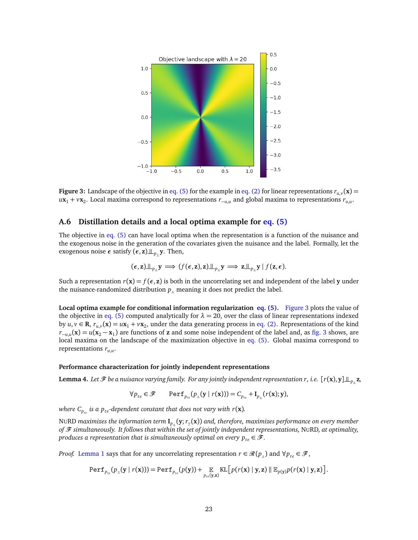<span id="page-22-2"></span>

**Figure 3:** Landscape of the objective in [eq. \(5\)](#page-4-1) for the example in [eq. \(2\)](#page-2-2) for linear representations  $r_{u,v}(\mathbf{x})$  = *u***x**<sup>1</sup> + *v***x**<sup>2</sup> . Local maxima correspond to representations *r*<sup>−</sup>*u*,*<sup>u</sup>* and global maxima to representations *ru*,*<sup>u</sup>* .

## <span id="page-22-0"></span>**A.6 Distillation details and a local optima example for [eq. \(5\)](#page-4-1)**

The objective in [eq. \(5\)](#page-4-1) can have local optima when the representation is a function of the nuisance and the exogenous noise in the generation of the covariates given the nuisance and the label. Formally, let the exogenous noise  $\epsilon$  satisfy  $(\epsilon, \mathbf{z}) \perp \mathbf{z}_p$ ,  $\mathbf{y}$ . Then,

$$
(\epsilon, \mathbf{z}) \perp \perp_{p_{\perp}} \mathbf{y} \Longrightarrow (f(\epsilon, \mathbf{z}), \mathbf{z}) \perp \perp_{p_{\perp}} \mathbf{y} \Longrightarrow \mathbf{z} \perp \perp_{p_{\perp}} \mathbf{y} | f(\mathbf{z}, \epsilon).
$$

Such a representation  $r(\mathbf{x}) = f(\epsilon, \mathbf{z})$  is both in the uncorrelating set and independent of the label **y** under the nuisance-randomized distribution  $p_{\parallel}$  meaning it does not predict the label.

**Local optima example for conditional information regularization [eq. \(5\).](#page-4-1)** [Figure 3](#page-22-2) plots the value of the objective in [eq. \(5\)](#page-4-1) computed analytically for  $\lambda = 20$ , over the class of linear representations indexed by  $u, v \in \mathbf{R}$ ,  $r_{u,v}(\mathbf{x}) = u\mathbf{x}_1 + v\mathbf{x}_2$ , under the data generating process in [eq. \(2\).](#page-2-2) Representations of the kind  $r_{-\mu,\mu}(\mathbf{x}) = u(\mathbf{x}_2 - \mathbf{x}_1)$  are functions of **z** and some noise independent of the label and, as [fig. 3](#page-22-2) shows, are local maxima on the landscape of the maximization objective in [eq. \(5\).](#page-4-1) Global maxima correspond to representations *ru*,*<sup>u</sup>* .

#### <span id="page-22-1"></span>**Performance characterization for jointly independent representations**

**Lemma 4.** Let  $\mathcal{F}$  be a nuisance varying family. For any jointly independent representation r, i.e.  $[r(\mathbf{x}), \mathbf{y}] \perp_{p} \mathbf{z}$ ,

$$
\forall p_{te} \in \mathscr{F} \qquad \text{Perf}_{p_{te}}(p_{\perp}(\mathbf{y} \mid r(\mathbf{x}))) = C_{p_{te}} + \mathbf{I}_{p_{\perp}}(r(\mathbf{x}); \mathbf{y}),
$$

*where C<sup>p</sup>te is a pte-dependent constant that does not vary with r*(**x**)*.*

NURD *maximizes the information term* **I***<sup>p</sup>* |<sup>=</sup>(**y**;*r<sup>γ</sup>* (**x**)) *and, therefore, maximizes performance on every member of* F *simultaneously. It follows that within the set of jointly independent representations,* NURD*, at optimality, produces a representation that is simultaneously optimal on every*  $p_{te} \in \mathcal{F}$ *.* 

*Proof.* [Lemma 1](#page-17-1) says that for any uncorrelating representation  $r \in \mathcal{R}(p_{\perp})$  and  $\forall p_{te} \in \mathcal{F}$ ,

$$
\text{Perf}_{p_{te}}(p_{\perp}(\mathbf{y} \mid r(\mathbf{x}))) = \text{Perf}_{p_{te}}(p(\mathbf{y})) + \mathop{\mathbb{E}}_{p_{te}(\mathbf{y},\mathbf{z})} \text{KL}\big[p(r(\mathbf{x}) \mid \mathbf{y},\mathbf{z}) \mid \mathop{\mathbb{E}}_{p(\mathbf{y})} p(r(\mathbf{x}) \mid \mathbf{y},\mathbf{z})\big].
$$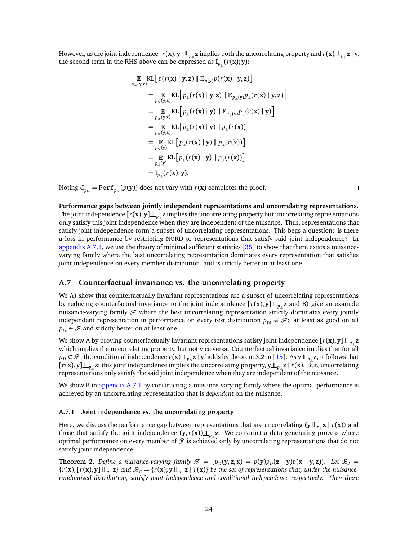However, as the joint independence  $[r(\mathbf{x}), \mathbf{y}] \perp_{p_{\mathbf{x}}} \mathbf{z}$  implies both the uncorrelating property and  $r(\mathbf{x}) \perp_{p_{\mathbf{x}}} \mathbf{z}$  | **y**, the second term in the RHS above can be expressed as  $\mathbf{I}_{p_{\parallel}}(r(\mathbf{x}); \mathbf{y})$ :

$$
\mathbb{E} \operatorname{KL} \left[ p(r(\mathbf{x}) \mid \mathbf{y}, \mathbf{z}) \parallel \mathbb{E}_{p(\mathbf{y})} p(r(\mathbf{x}) \mid \mathbf{y}, \mathbf{z}) \right] \n= \mathbb{E} \operatorname{KL} \left[ p_{\perp}(r(\mathbf{x}) \mid \mathbf{y}, \mathbf{z}) \parallel \mathbb{E}_{p_{\perp}(\mathbf{y})} p_{\perp}(r(\mathbf{x}) \mid \mathbf{y}, \mathbf{z}) \right] \n= \mathbb{E} \operatorname{KL} \left[ p_{\perp}(r(\mathbf{x}) \mid \mathbf{y}) \parallel \mathbb{E}_{p_{\perp}(\mathbf{y})} p_{\perp}(r(\mathbf{x}) \mid \mathbf{y}) \right] \n= \mathbb{E} \operatorname{KL} \left[ p_{\perp}(r(\mathbf{x}) \mid \mathbf{y}) \parallel p_{\perp}(r(\mathbf{x})) \right] \n= \mathbb{E} \operatorname{KL} \left[ p_{\perp}(r(\mathbf{x}) \mid \mathbf{y}) \parallel p_{\perp}(r(\mathbf{x})) \right] \n= \mathbb{E} \operatorname{KL} \left[ p_{\perp}(r(\mathbf{x}) \mid \mathbf{y}) \parallel p_{\perp}(r(\mathbf{x})) \right] \n= \mathbb{E} \operatorname{KL} \left[ p_{\perp}(r(\mathbf{x}) \mid \mathbf{y}) \parallel p_{\perp}(r(\mathbf{x})) \right] \n= \mathbb{E} \operatorname{KL} \left[ p_{\perp}(r(\mathbf{x}) \mid \mathbf{y}) \parallel p_{\perp}(r(\mathbf{x})) \right] \n= \mathbf{I}_{p_{\perp}}(r(\mathbf{x}); \mathbf{y}).
$$

Noting  $C_{p_{te}} = \text{Perf}_{p_{te}}(p(\mathbf{y}))$  does not vary with  $r(\mathbf{x})$  completes the proof.

 $\Box$ 

**Performance gaps between jointly independent representations and uncorrelating representations.** The joint independence  $[r(\mathbf{x}), \mathbf{y}] \perp_{p}$  z implies the uncorrelating property but uncorrelating representations only satisfy this joint independence when they are independent of the nuisance. Thus, representations that satisfy joint independence form a subset of uncorrelating representations. This begs a question: is there a loss in performance by restricting NURD to representations that satisfy said joint independence? In [appendix A.7.1,](#page-23-1) we use the theory of minimal sufficient statistics [[35](#page-12-9)] to show that there exists a nuisancevarying family where the best uncorrelating representation dominates every representation that satisfies joint independence on every member distribution, and is strictly better in at least one.

#### <span id="page-23-0"></span>**A.7 Counterfactual invariance vs. the uncorrelating property**

We A) show that counterfactually invariant representations are a subset of uncorrelating representations by reducing counterfactual invariance to the joint independence  $[r(x), y] \perp_{p} z$  and B) give an example nuisance-varying family  $\mathcal F$  where the best uncorrelating representation strictly dominates every jointly independent representation in performance on every test distribution  $p_{te} \in \mathcal{F}$ : at least as good on all  $p_{te} \in \mathcal{F}$  and strictly better on at least one.

We show A by proving counterfactually invariant representations satisfy joint independence  $[r(\mathbf{x}), \mathbf{y}] \perp_{p_{\parallel}} \mathbf{z}$ which implies the uncorrelating property, but not vice versa. Counterfactual invariance implies that for all  $p_D \in \mathscr{F}$ , the conditional independence  $r(\mathbf{x}) \perp\!\!\!\perp_{p_D} \mathbf{z} \mid \mathbf{y}$  holds by theorem 3.2 in [[15](#page-11-6)]. As  $\mathbf{y} \perp\!\!\!\perp_{p_{\perp}} \mathbf{z}$ , it follows that  $[r(\mathbf{x}), \mathbf{y}] \perp_{p_{\perp}} \mathbf{z}$ ; this joint independence implies the uncorrelating property,  $\mathbf{y} \perp_{p_{\perp}} \mathbf{z} | r(\mathbf{x})$ . But, uncorrelating representations only satisfy the said joint independence when they are independent of the nuisance.

We show B in [appendix A.7.1](#page-23-1) by constructing a nuisance-varying family where the optimal performance is achieved by an uncorrelating representation that is *dependent* on the nuisance.

#### <span id="page-23-1"></span>**A.7.1 Joint independence vs. the uncorrelating property**

Here, we discuss the performance gap between representations that are uncorrelating  $(y \perp z) = z$   $r(x)$  and those that satisfy the joint independence  $(y, r(x)) \perp p_{\parallel} z$ . We construct a data generating process where optimal performance on every member of  $\mathcal F$  is achieved only by uncorrelating representations that do not satisfy joint independence.

**Theorem 2.** Define a nuisance-varying family  $\mathcal{F} = \{p_D(y, z, x) = p(y)p_D(z \mid y)p(x \mid y, z)\}\$ . Let  $\mathcal{R}_J =$  $\{r(x)$ ;  $[r(x), y] \perp \!\!\!\perp_{p_{\parallel}} z\}$  and  $\mathcal{R}_C = \{r(x); y \perp \!\!\!\perp_{p_{\parallel}} z \mid r(x)\}$  be the set of representations that, under the nuisance*randomized distribution, satisfy joint independence and conditional independence respectively. Then there*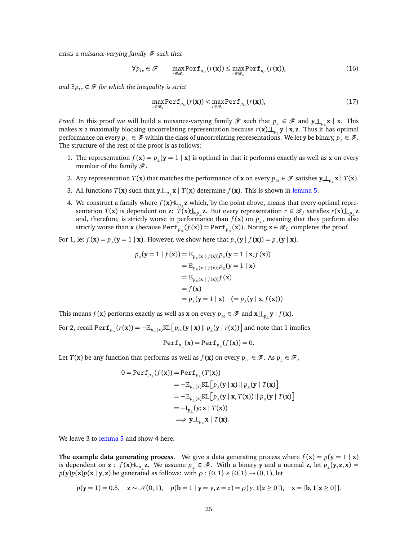*exists a nuisance-varying family*  $\mathscr F$  *such that* 

$$
\forall p_{te} \in \mathscr{F} \qquad \max_{r \in \mathscr{R}_{J}} \text{Perf}_{p_{te}}(r(\mathbf{x})) \le \max_{r \in \mathscr{R}_{C}} \text{Perf}_{p_{te}}(r(\mathbf{x})),\tag{16}
$$

*and*  $∃p_{te} ∈ *F*$  *for which the inequality is strict* 

$$
\max_{r \in \mathcal{R}_J} \text{Perf}_{p_{te}}(r(\mathbf{x})) < \max_{r \in \mathcal{R}_C} \text{Perf}_{p_{te}}(r(\mathbf{x})),\tag{17}
$$

*Proof.* In this proof we will build a nuisance-varying family  $\mathscr{F}$  such that  $p_{\perp} \in \mathscr{F}$  and  $\mathsf{y} \perp_{p_{\perp}} \mathsf{z}$  | **x**. This makes **x** a maximally blocking uncorrelating representation because  $r(\mathbf{x})\perp_{p} \mathbf{y} | \mathbf{x}, \mathbf{z}$ . Thus it has optimal performance on every  $p_{te} \in \mathscr{F}$  within the class of uncorrelating representations. We let **y** be binary,  $p_\perp \in \mathscr{F}$ . The structure of the rest of the proof is as follows:

- 1. The representation  $f(\mathbf{x}) = p_{\perp}(\mathbf{y} = 1 | \mathbf{x})$  is optimal in that it performs exactly as well as **x** on every member of the family  $\mathscr{F}$ .
- 2. Any representation  $T(\mathbf{x})$  that matches the performance of **x** on every  $p_{te} \in \mathcal{F}$  satisfies  $\mathbf{y} \perp_{p} \mathbf{x} | T(\mathbf{x})$ .
- 3. All functions  $T(\mathbf{x})$  such that  $\mathbf{y} \perp_{p} \mathbf{x} | T(\mathbf{x})$  determine  $f(\mathbf{x})$ . This is shown in [lemma 5.](#page-26-0)
- 4. We construct a family where  $f(\mathbf{x})\mathbf{\perp}_{p}$  **z** which, by the point above, means that every optimal representation  $T(\mathbf{x})$  is dependent on  $\mathbf{z}: T(\mathbf{x}) \perp\!\!\!\perp_{p_{\perp}} \mathbf{z}$ . But every representation  $r \in \mathscr{R}_J$  satisfies  $r(\mathbf{x}) \perp\!\!\!\perp_{p_{\perp}} \mathbf{z}$ and, therefore, is strictly worse in performance than  $f(\mathbf{x})$  on  $p_{\perp}$ , meaning that they perform also strictly worse than **x** (because  $\text{Perf}_{p_{te}}(f(\mathbf{x})) = \text{Perf}_{p_{te}}(\mathbf{x})$ ). Noting  $\mathbf{x} \in \mathcal{R}_C$  completes the proof.

For 1, let  $f(\mathbf{x}) = p_{\perp}(\mathbf{y} = 1 | \mathbf{x})$ . However, we show here that  $p_{\perp}(\mathbf{y} | f(\mathbf{x})) = p_{\perp}(\mathbf{y} | \mathbf{x})$ .

$$
p_{\mathbb{I}}(\mathbf{y}=1 \mid f(\mathbf{x})) = \mathbb{E}_{p_{\mathbb{I}}(\mathbf{x} \mid f(\mathbf{x}))} p_{\mathbb{I}}(\mathbf{y}=1 \mid \mathbf{x}, f(\mathbf{x}))
$$
  
\n
$$
= \mathbb{E}_{p_{\mathbb{I}}(\mathbf{x} \mid f(\mathbf{x}))} p_{\mathbb{I}}(\mathbf{y}=1 \mid \mathbf{x})
$$
  
\n
$$
= \mathbb{E}_{p_{\mathbb{I}}(\mathbf{x} \mid f(\mathbf{x}))} f(\mathbf{x})
$$
  
\n
$$
= f(\mathbf{x})
$$
  
\n
$$
= p_{\mathbb{I}}(\mathbf{y}=1 \mid \mathbf{x}) \quad (= p_{\mathbb{I}}(\mathbf{y} \mid \mathbf{x}, f(\mathbf{x})))
$$

This means *f* (**x**) performs exactly as well as **x** on every  $p_{te} \in \mathcal{F}$  and  $\mathbf{x} \perp p_{\parallel} \mathbf{y} | f(\mathbf{x})$ .

For 2, recall  $\text{Perf}_{p_{te}}(r(\mathbf{x})) = -\mathbb{E}_{p_{te}(\mathbf{x})}\text{KL}\big[p_{te}(\mathbf{y} \mid \mathbf{x}) \mathbin\Vert p_{\perp}(\mathbf{y} \mid r(\mathbf{x}))\big]$  and note that 1 implies

$$
Perf_{p_{\parallel}}(\mathbf{x}) = Perf_{p_{\parallel}}(f(\mathbf{x})) = 0.
$$

Let *T*(**x**) be any function that performs as well as  $f(\mathbf{x})$  on every  $p_{te} \in \mathcal{F}$ . As  $p_{\perp} \in \mathcal{F}$ ,

$$
0 = \text{Perf}_{p_{\perp}}(f(\mathbf{x})) = \text{Perf}_{p_{\perp}}(T(\mathbf{x}))
$$
  
\n
$$
= -\mathbb{E}_{p_{\perp}(\mathbf{x})} \text{KL}\big[p_{\perp}(\mathbf{y} \mid \mathbf{x}) \parallel p_{\perp}(\mathbf{y} \mid T(\mathbf{x})\big]
$$
  
\n
$$
= -\mathbb{E}_{p_{\perp}(\mathbf{x})} \text{KL}\big[p_{\perp}(\mathbf{y} \mid \mathbf{x}, T(\mathbf{x})) \parallel p_{\perp}(\mathbf{y} \mid T(\mathbf{x})\big]
$$
  
\n
$$
= -\mathbf{I}_{p_{\perp}}(\mathbf{y}; \mathbf{x} \mid T(\mathbf{x}))
$$
  
\n
$$
\implies \mathbf{y} \perp_{p_{\perp}} \mathbf{x} \mid T(\mathbf{x}).
$$

We leave 3 to [lemma 5](#page-26-0) and show 4 here.

**The example data generating process.** We give a data generating process where  $f(\mathbf{x}) = p(\mathbf{y} = 1 | \mathbf{x})$ is dependent on  $z : f(x) \perp\!\!\!\perp_{p} z$ . We assume  $p_{\perp} \in \mathscr{F}$ . With a binary y and a normal  $z$ , let  $p_{\perp}(y, z, x) =$  $p(y)p(z)p(x | y, z)$  be generated as follows: with  $\rho: \{0, 1\} \times \{0, 1\} \rightarrow (0, 1)$ , let

$$
p(y = 1) = 0.5
$$
,  $z \sim \mathcal{N}(0, 1)$ ,  $p(b = 1 | y = y, z = z) = \rho(y, 1[z \ge 0])$ ,  $x = [b, 1[z \ge 0]]$ .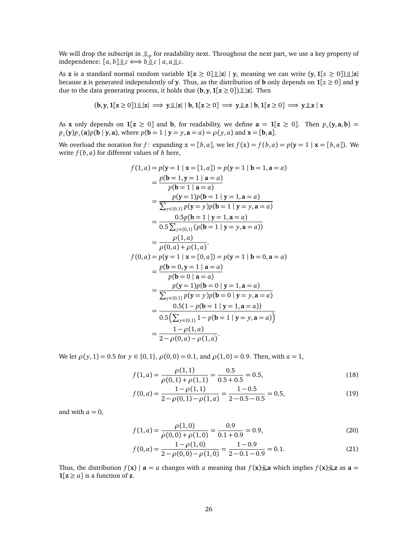We will drop the subscript in  $\mathop{\perp\!\!\!\perp}_p$  for readability next. Throughout the next part, we use a key property of independence:  $[a, b] \perp c \Longleftrightarrow b \perp c \mid a, a \perp c$ .

As **z** is a standard normal random variable  $1[z \ge 0] \perp |z| | y$ , meaning we can write  $(y, 1[z \ge 0]) \perp |z|$ because **z** is generated independently of **y**. Thus, as the distribution of **b** only depends on  $1[z \ge 0]$  and **y** due to the data generating process, it holds that  $(b, y, 1[z \ge 0]) \perp z$ . Then

$$
(b,y,1[z\geq 0])\hskip 2pt \bot \hskip -5pt \bot |z|\implies y\hskip 2pt \bot \hskip -5pt \bot |z|\mid b,1[z\geq 0]\implies y\hskip 2pt \bot \hskip -5pt \bot z\mid b,1[z\geq 0]\implies y\hskip 2pt \bot \hskip -5pt \bot z\mid x
$$

As **x** only depends on  $1[z \ge 0]$  and **b**, for readability, we define  $a = 1[z \ge 0]$ . Then  $p_{\parallel}(y, a, b) =$  $p_{\parallel}(y)p_{\parallel}(a)p(b|y,a)$ , where  $p(b=1 | y = y, a = a) = \rho(y,a)$  and  $x = [b, a]$ .

We overload the notation for  $f$ : expanding  $x = [b, a]$ , we let  $f(x) = f(b, a) = p(y = 1 | x = [b, a])$ . We write  $f(b, a)$  for different values of  $b$  here,

$$
f(1, a) = p(y = 1 | x = [1, a]) = p(y = 1 | b = 1, a = a)
$$
  
\n
$$
= \frac{p(b = 1, y = 1 | a = a)}{p(b = 1 | a = a)}
$$
  
\n
$$
= \frac{p(y = 1)p(b = 1 | y = 1, a = a)}{\sum_{y \in \{0,1\}} p(y = y)p(b = 1 | y = y, a = a)}
$$
  
\n
$$
= \frac{0.5p(b = 1 | y = 1, a = a)}{0.5\sum_{y \in \{0,1\}} (p(b = 1 | y = y, a = a))}
$$
  
\n
$$
= \frac{p(1, a)}{p(0, a) + p(1, a)}.
$$
  
\n
$$
f(0, a) = p(y = 1 | x = [0, a]) = p(y = 1 | b = 0, a = a)
$$
  
\n
$$
= \frac{p(b = 0, y = 1 | a = a)}{p(b = 0 | a = a)}
$$
  
\n
$$
= \frac{p(y = 1)p(b = 0 | y = 1, a = a)}{\sum_{y \in \{0,1\}} p(y = y)p(b = 0 | y = y, a = a)}
$$
  
\n
$$
= \frac{0.5(1 - p(b = 1 | y = 1, a = a))}{0.5(\sum_{y \in \{0,1\}} 1 - p(b = 1 | y = y, a = a))}
$$
  
\n
$$
= \frac{1 - \rho(1, a)}{2 - \rho(0, a) - \rho(1, a)}.
$$

We let  $\rho(y, 1) = 0.5$  for  $y \in \{0, 1\}, \rho(0, 0) = 0.1$ , and  $\rho(1, 0) = 0.9$ . Then, with  $a = 1$ ,

$$
f(1,a) = \frac{\rho(1,1)}{\rho(0,1) + \rho(1,1)} = \frac{0.5}{0.5 + 0.5} = 0.5,
$$
\n(18)

$$
f(0,a) = \frac{1 - \rho(1,1)}{2 - \rho(0,1) - \rho(1,a)} = \frac{1 - 0.5}{2 - 0.5 - 0.5} = 0.5,
$$
\n(19)

and with  $a = 0$ ,

$$
f(1,a) = \frac{\rho(1,0)}{\rho(0,0) + \rho(1,0)} = \frac{0.9}{0.1 + 0.9} = 0.9,
$$
\n(20)

$$
f(0,a) = \frac{1 - \rho(1,0)}{2 - \rho(0,0) - \rho(1,0)} = \frac{1 - 0.9}{2 - 0.1 - 0.9} = 0.1.
$$
 (21)

Thus, the distribution  $f(\mathbf{x}) | \mathbf{a} = a$  changes with *a* meaning that  $f(\mathbf{x}) \perp a$  which implies  $f(\mathbf{x}) \perp a$  as  $\mathbf{a} = a$  $1[z \ge a]$  is a function of **z**.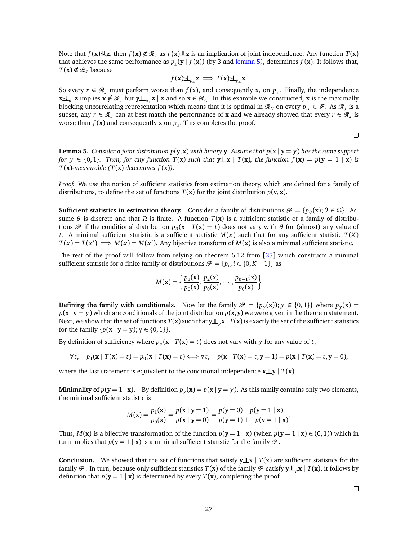Note that  $f(\mathbf{x}) \perp z$ , then  $f(\mathbf{x}) \notin \mathcal{R}_I$  as  $f(\mathbf{x}) \perp z$  is an implication of joint independence. Any function  $T(\mathbf{x})$ that achieves the same performance as  $p_{\parallel}(\mathbf{y} | f(\mathbf{x}))$  (by 3 and [lemma 5\)](#page-26-0), determines  $f(\mathbf{x})$ . It follows that, *T*(**x**) ∉  $\mathcal{R}_I$  because

$$
f(\mathbf{x})\underline{\mathcal{H}}_{p_{\parallel}}\mathbf{z} \implies T(\mathbf{x})\underline{\mathcal{H}}_{p_{\parallel}}\mathbf{z}.
$$

So every  $r \in \mathcal{R}_I$  must perform worse than  $f(\mathbf{x})$ , and consequently **x**, on  $p_{\parallel}$ . Finally, the independence **x** $\mathbf{L}_{p_{\perp}}$ **z** implies **x** ∉  $\mathcal{R}_J$  but **y**  $\perp_{p_{\perp}}$ **z** | **x** and so **x** ∈  $\mathcal{R}_C$ . In this example we constructed, **x** is the maximally blocking uncorrelating representation which means that it is optimal in  $\mathscr{R}_C$  on every  $p_{te} \in \mathscr{F}$ . As  $\mathscr{R}_J$  is a subset, any  $r \in \mathcal{R}_J$  can at best match the performance of **x** and we already showed that every  $r \in \mathcal{R}_J$  is worse than  $f(\mathbf{x})$  and consequently **x** on  $p_{\perp}$ . This completes the proof.

$$
\Box
$$

<span id="page-26-0"></span>**Lemma 5.** *Consider a joint distribution*  $p(\mathbf{v}, \mathbf{x})$  *<i>with binary* **y**. Assume that  $p(\mathbf{x} | \mathbf{v} = y)$  has the same support *for*  $y \in \{0, 1\}$ *. Then, for any function*  $T(x)$  *such that*  $y \perp x \mid T(x)$ *, the function*  $f(x) = p(y = 1 | x)$  *is*  $T(\mathbf{x})$ -measurable  $(T(\mathbf{x}))$  determines  $f(\mathbf{x})$ ).

*Proof.* We use the notion of sufficient statistics from estimation theory, which are defined for a family of distributions, to define the set of functions  $T(\mathbf{x})$  for the joint distribution  $p(\mathbf{y}, \mathbf{x})$ .

**Sufficient statistics in estimation theory.** Consider a family of distributions  $\mathcal{P} = \{p_\theta(\mathbf{x}); \theta \in \Omega\}$ . Assume  $\theta$  is discrete and that  $\Omega$  is finite. A function  $T(\mathbf{x})$  is a sufficient statistic of a family of distributions  $\mathcal{P}$  if the conditional distribution  $p_{\theta}(\mathbf{x} | T(\mathbf{x}) = t)$  does not vary with  $\theta$  for (almost) any value of *t*. A minimal sufficient statistic is a sufficient statistic  $M(x)$  such that for any sufficient statistic  $T(X)$  $T(x) = T(x') \implies M(x) = M(x')$ . Any bijective transform of  $M(x)$  is also a minimal sufficient statistic.

The rest of the proof will follow from relying on theorem 6.12 from [[35](#page-12-9)] which constructs a minimal sufficient statistic for a finite family of distributions  $\mathcal{P} = \{p_i; i \in \{0, K-1\}\}\$  as

$$
M(\mathbf{x}) = \left\{ \frac{p_1(\mathbf{x})}{p_0(\mathbf{x})}, \frac{p_2(\mathbf{x})}{p_0(\mathbf{x})}, \cdots, \frac{p_{K-1}(\mathbf{x})}{p_0(\mathbf{x})} \right\}
$$

**Defining the family with conditionals.** Now let the family  $\mathcal{P} = \{p_y(\mathbf{x})\}; y \in \{0, 1\}\}\$  where  $p_y(\mathbf{x}) =$  $p(x | y = y)$  which are conditionals of the joint distribution  $p(x, y)$  we were given in the theorem statement. Next, we show that the set of functions  $T(\mathbf{x})$  such that  $\mathbf{y} \perp_{p} \mathbf{x} \mid T(\mathbf{x})$  is exactly the set of the sufficient statistics for the family  $\{p(x | y = y); y \in \{0, 1\}\}.$ 

By definition of sufficiency where  $p_y(\mathbf{x} \mid T(\mathbf{x}) = t)$  does not vary with *y* for any value of *t*,

$$
\forall t, \quad p_1(\mathbf{x} \mid T(\mathbf{x}) = t) = p_0(\mathbf{x} \mid T(\mathbf{x}) = t) \Longleftrightarrow \forall t, \quad p(\mathbf{x} \mid T(\mathbf{x}) = t, \mathbf{y} = 1) = p(\mathbf{x} \mid T(\mathbf{x}) = t, \mathbf{y} = 0),
$$

where the last statement is equivalent to the conditional independence  $\mathbf{x} \perp \mathbf{y}$  |  $T(\mathbf{x})$ .

**Minimality of**  $p(y = 1 | x)$ . By definition  $p_y(x) = p(x | y = y)$ . As this family contains only two elements, the minimal sufficient statistic is

$$
M(\mathbf{x}) = \frac{p_1(\mathbf{x})}{p_0(\mathbf{x})} = \frac{p(\mathbf{x} \mid \mathbf{y} = 1)}{p(\mathbf{x} \mid \mathbf{y} = 0)} = \frac{p(\mathbf{y} = 0)}{p(\mathbf{y} = 1)} \frac{p(\mathbf{y} = 1 \mid \mathbf{x})}{1 - p(\mathbf{y} = 1 \mid \mathbf{x})}.
$$

Thus,  $M(x)$  is a bijective transformation of the function  $p(y = 1 | x)$  (when  $p(y = 1 | x) \in (0, 1)$ ) which in turn implies that  $p(y = 1 | x)$  is a minimal sufficient statistic for the family  $\mathcal{P}$ .

**Conclusion.** We showed that the set of functions that satisfy  $y \perp x$  |  $T(x)$  are sufficient statistics for the family  $\mathcal{P}$ . In turn, because only sufficient statistics  $T(\mathbf{x})$  of the family  $\mathcal{P}$  satisfy  $\mathbf{y} \perp_{p} \mathbf{x}$  |  $T(\mathbf{x})$ , it follows by definition that  $p(y = 1 | x)$  is determined by every  $T(x)$ , completing the proof.

 $\Box$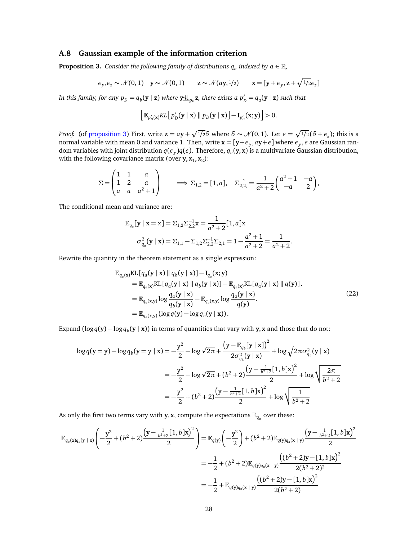#### **A.8 Gaussian example of the information criterion**

<span id="page-27-0"></span>**Proposition 3.** *Consider the following family of distributions*  $q_a$  *indexed by*  $a \in \mathbb{R}$ *,* 

$$
\epsilon_y, \epsilon_z \sim \mathcal{N}(0, 1)
$$
  $\mathbf{y} \sim \mathcal{N}(0, 1)$   $\mathbf{z} \sim \mathcal{N}(a\mathbf{y}, 1/2)$   $\mathbf{x} = [\mathbf{y} + \epsilon_y, \mathbf{z} + \sqrt{1/2} \epsilon_z]$ 

In this family, for any  $p_D = q_b(\mathbf{y} \mid \mathbf{z})$  where  $\mathbf{y} \underline{\mathbf{\downarrow}}_{p_D} \mathbf{z}$ , there exists a  $p'_D = q_a(\mathbf{y} \mid \mathbf{z})$  such that

$$
\left[\mathbb{E}_{p'_{D}}(\mathbf{x})KL\left[p'_{D}(\mathbf{y} \mid \mathbf{x}) \parallel p_{D}(\mathbf{y} \mid \mathbf{x})\right] - \mathbf{I}_{p'_{D}}(\mathbf{x}; \mathbf{y})\right] > 0.
$$

*Proof.* (of [proposition 3\)](#page-27-0) First, write  $\mathbf{z} = a\mathbf{y} + \sqrt{1/2} \delta$  where  $\delta \sim \mathcal{N}(0, 1)$ . Let  $\epsilon = \sqrt{1/2} (\delta + \epsilon_z)$ ; this is a normal variable with mean 0 and variance 1. Then, write  $\mathbf{x} = [\mathbf{y}+\mathbf{\epsilon}_y,\mathbf{a}\mathbf{y}+\mathbf{\epsilon}]$  where  $\mathbf{\epsilon}_y,\mathbf{\epsilon}$  are Gaussian random variables with joint distribution *q*(*ε<sup>y</sup>* )*q*(*ε*). Therefore, *q<sup>a</sup>* (**y**, **x**) is a multivariate Gaussian distribution, with the following covariance matrix (over  $y, x_1, x_2$ ):

$$
\Sigma = \begin{pmatrix} 1 & 1 & a \\ 1 & 2 & a \\ a & a & a^2 + 1 \end{pmatrix} \implies \Sigma_{1,2} = [1, a], \quad \Sigma_{2,2,3}^{-1} = \frac{1}{a^2 + 2} \begin{pmatrix} a^2 + 1 & -a \\ -a & 2 \end{pmatrix},
$$

The conditional mean and variance are:

$$
\mathbb{E}_{q_a}[\mathbf{y} \mid \mathbf{x} = \mathbf{x}] = \Sigma_{1,2} \Sigma_{2,2}^{-1} \mathbf{x} = \frac{1}{a^2 + 2} [1, a] \mathbf{x}
$$

$$
\sigma_{q_a}^2(\mathbf{y} \mid \mathbf{x}) = \Sigma_{1,1} - \Sigma_{1,2} \Sigma_{2,2}^{-1} \Sigma_{2,1} = 1 - \frac{a^2 + 1}{a^2 + 2} = \frac{1}{a^2 + 2}.
$$

Rewrite the quantity in the theorem statement as a single expression:

$$
\mathbb{E}_{q_a(\mathbf{x})}\text{KL}[q_a(\mathbf{y} \mid \mathbf{x}) \parallel q_b(\mathbf{y} \mid \mathbf{x})] - \mathbf{I}_{q_a}(\mathbf{x}; \mathbf{y})
$$
\n
$$
= \mathbb{E}_{q_a(\mathbf{x})}\text{KL}[q_a(\mathbf{y} \mid \mathbf{x}) \parallel q_b(\mathbf{y} \mid \mathbf{x})] - \mathbb{E}_{q_a(\mathbf{x})}\text{KL}[q_a(\mathbf{y} \mid \mathbf{x}) \parallel q(\mathbf{y})].
$$
\n
$$
= \mathbb{E}_{q_a(\mathbf{x}, \mathbf{y})} \log \frac{q_a(\mathbf{y} \mid \mathbf{x})}{q_b(\mathbf{y} \mid \mathbf{x})} - \mathbb{E}_{q_a(\mathbf{x}, \mathbf{y})} \log \frac{q_a(\mathbf{y} \mid \mathbf{x})}{q(\mathbf{y})}.
$$
\n
$$
= \mathbb{E}_{q_a(\mathbf{x}, \mathbf{y})} (\log q(\mathbf{y}) - \log q_b(\mathbf{y} \mid \mathbf{x})).
$$
\n(22)

Expand  $(\log q(y) - \log q_b(y \mid x))$  in terms of quantities that vary with **y**, **x** and those that do not:

$$
\log q(\mathbf{y} = \mathbf{y}) - \log q_b(\mathbf{y} = \mathbf{y} \mid \mathbf{x}) = -\frac{y^2}{2} - \log \sqrt{2\pi} + \frac{\left(\mathbf{y} - \mathbb{E}_{q_b}[\mathbf{y} \mid \mathbf{x}]\right)^2}{2\sigma_{q_b}^2(\mathbf{y} \mid \mathbf{x})} + \log \sqrt{2\pi \sigma_{q_b}^2(\mathbf{y} \mid \mathbf{x})}
$$
  

$$
= -\frac{y^2}{2} - \log \sqrt{2\pi} + (b^2 + 2)\frac{\left(\mathbf{y} - \frac{1}{b^2 + 2}[\mathbf{1}, b]\mathbf{x}\right)^2}{2} + \log \sqrt{\frac{2\pi}{b^2 + 2}}
$$
  

$$
= -\frac{y^2}{2} + (b^2 + 2)\frac{\left(\mathbf{y} - \frac{1}{b^2 + 2}[\mathbf{1}, b]\mathbf{x}\right)^2}{2} + \log \sqrt{\frac{1}{b^2 + 2}}
$$

As only the first two terms vary with **y**, **x**, compute the expectations  $\mathbb{E}_{q_a}$  over these:

$$
\mathbb{E}_{q_a(\mathbf{x})q_a(\mathbf{y} \mid \mathbf{x})}\left(-\frac{\mathbf{y}^2}{2} + (b^2 + 2)\frac{(\mathbf{y} - \frac{1}{b^2 + 2}[1, b]\mathbf{x})^2}{2}\right) = \mathbb{E}_{q(\mathbf{y})}\left(-\frac{\mathbf{y}^2}{2}\right) + (b^2 + 2)\mathbb{E}_{q(\mathbf{y})q_a(\mathbf{x} \mid \mathbf{y})}\frac{(\mathbf{y} - \frac{1}{b^2 + 2}[1, b]\mathbf{x})^2}{2}
$$

$$
= -\frac{1}{2} + (b^2 + 2)\mathbb{E}_{q(\mathbf{y})q_a(\mathbf{x} \mid \mathbf{y})}\frac{((b^2 + 2)\mathbf{y} - [1, b]\mathbf{x})^2}{2(b^2 + 2)^2}
$$

$$
= -\frac{1}{2} + \mathbb{E}_{q(\mathbf{y})q_a(\mathbf{x} \mid \mathbf{y})}\frac{((b^2 + 2)\mathbf{y} - [1, b]\mathbf{x})^2}{2(b^2 + 2)}
$$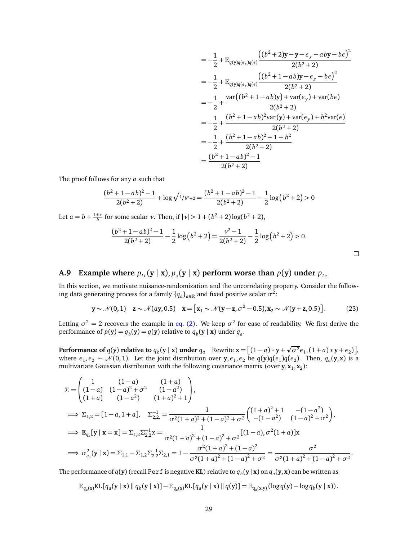$$
= -\frac{1}{2} + \mathbb{E}_{q(y)q(\epsilon_{y})q(\epsilon)} \frac{((b^{2} + 2)y - y - \epsilon_{y} - aby - b\epsilon)^{2}}{2(b^{2} + 2)}
$$
  
\n
$$
= -\frac{1}{2} + \mathbb{E}_{q(y)q(\epsilon_{y})q(\epsilon)} \frac{((b^{2} + 1 - ab)y - \epsilon_{y} - b\epsilon)^{2}}{2(b^{2} + 2)}
$$
  
\n
$$
= -\frac{1}{2} + \frac{\text{var}((b^{2} + 1 - ab)y) + \text{var}(\epsilon_{y}) + \text{var}(b\epsilon)}{2(b^{2} + 2)}
$$
  
\n
$$
= -\frac{1}{2} + \frac{(b^{2} + 1 - ab)^{2}\text{var}(y) + \text{var}(\epsilon_{y}) + b^{2}\text{var}(\epsilon)}{2(b^{2} + 2)}
$$
  
\n
$$
= -\frac{1}{2} + \frac{(b^{2} + 1 - ab)^{2} + 1 + b^{2}}{2(b^{2} + 2)}
$$
  
\n
$$
= \frac{(b^{2} + 1 - ab)^{2} - 1}{2(b^{2} + 2)}
$$

 $\Box$ 

The proof follows for any *a* such that

$$
\frac{(b^2+1-ab)^2-1}{2(b^2+2)} + \log \sqrt{\frac{1}{b^2+2}} = \frac{(b^2+1-ab)^2-1}{2(b^2+2)} - \frac{1}{2}\log(b^2+2) > 0
$$

Let  $a = b + \frac{1+v}{b}$  for some scalar *ν*. Then, if  $|v| > 1 + (b^2 + 2) \log(b^2 + 2)$ ,

$$
\frac{(b^2+1-ab)^2-1}{2(b^2+2)}-\frac{1}{2}\log(b^2+2)=\frac{v^2-1}{2(b^2+2)}-\frac{1}{2}\log(b^2+2)>0.
$$

## <span id="page-28-0"></span>**A.9** Example where  $p_{tr}(\mathbf{y} | \mathbf{x}), p_{\parallel}(\mathbf{y} | \mathbf{x})$  perform worse than  $p(\mathbf{y})$  under  $p_{te}$

In this section, we motivate nuisance-randomization and the uncorrelating property. Consider the following data generating process for a family  $\{q_a\}_{a\in\mathbb{R}}$  and fixed positive scalar  $\sigma^{\bar{2}}$ :

$$
\mathbf{y} \sim \mathcal{N}(0,1) \quad \mathbf{z} \sim \mathcal{N}(a\mathbf{y},0.5) \quad \mathbf{x} = [\mathbf{x}_1 \sim \mathcal{N}(\mathbf{y}-\mathbf{z},\sigma^2-0.5), \mathbf{x}_2 \sim \mathcal{N}(\mathbf{y}+\mathbf{z},0.5)]. \tag{23}
$$

Letting  $\sigma^2 = 2$  recovers the example in [eq. \(2\).](#page-2-2) We keep  $\sigma^2$  for ease of readability. We first derive the performance of  $p(y) = q_b(y) = q(y)$  relative to  $q_b(y | x)$  under  $q_a$ .

**Performance of**  $q(\mathbf{y})$  **relative to**  $q_b(\mathbf{y} \mid \mathbf{x})$  **under**  $q_a$  Rewrite  $\mathbf{x} = [(1-a)*\mathbf{y} +$ p  $\overline{\sigma^2} \epsilon_1$ ,  $(1 + a) * y + \epsilon_2$ ), where  $\epsilon_1, \epsilon_2 \sim \mathcal{N}(0, 1)$ . Let the joint distribution over  $y, \epsilon_1, \epsilon_2$  be  $q(y)q(\epsilon_1)q(\epsilon_2)$ . Then,  $q_a(y, x)$  is a multivariate Gaussian distribution with the following covariance matrix (over  $\mathbf{y}, \mathbf{x}_1, \mathbf{x}_2$ ):

$$
\Sigma = \begin{pmatrix} 1 & (1-a) & (1+a) \\ (1-a) & (1-a)^2 + \sigma^2 & (1-a^2) \\ (1+a) & (1-a^2) & (1+a)^2 + 1 \end{pmatrix},
$$
  
\n
$$
\implies \Sigma_{1,2} = [1-a, 1+a], \quad \Sigma_{2,2}^{-1} = \frac{1}{\sigma^2 (1+a)^2 + (1-a)^2 + \sigma^2} \begin{pmatrix} (1+a)^2 + 1 & -(1-a^2) \\ -(1-a^2) & (1-a)^2 + \sigma^2 \end{pmatrix},
$$
  
\n
$$
\implies \mathbb{E}_{q_a}[y | x = x] = \Sigma_{1,2} \Sigma_{2,2}^{-1} x = \frac{1}{\sigma^2 (1+a)^2 + (1-a)^2 + \sigma^2} [(1-a), \sigma^2 (1+a)] x
$$
  
\n
$$
\implies \sigma_{q_a}^2 (y | x) = \Sigma_{1,1} - \Sigma_{1,2} \Sigma_{2,2}^{-1} \Sigma_{2,1} = 1 - \frac{\sigma^2 (1+a)^2 + (1-a)^2}{\sigma^2 (1+a)^2 + (1-a)^2 + \sigma^2} = \frac{\sigma^2}{\sigma^2 (1+a)^2 + (1-a)^2 + \sigma^2}.
$$

The performance of  $q(\mathbf{y})$  (recall Perf is negative <mark>KL</mark>) relative to  $q_b(\mathbf{y}|\mathbf{x})$  on  $q_a(\mathbf{y},\mathbf{x})$  can be written as

$$
\mathbb{E}_{q_a(\mathbf{x})}\mathrm{KL}\left[q_a(\mathbf{y} \mid \mathbf{x}) \mid q_b(\mathbf{y} \mid \mathbf{x})\right] - \mathbb{E}_{q_a(\mathbf{x})}\mathrm{KL}\left[q_a(\mathbf{y} \mid \mathbf{x}) \mid q(\mathbf{y})\right] = \mathbb{E}_{q_a(\mathbf{x},\mathbf{y})}\left(\log q(\mathbf{y}) - \log q_b(\mathbf{y} \mid \mathbf{x})\right).
$$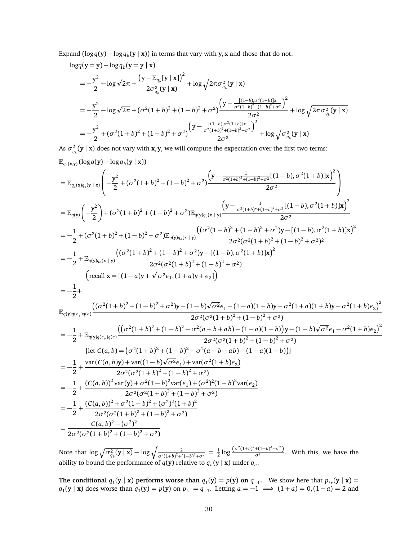Expand  $(\log q(y) - \log q_b(y \mid x))$  in terms that vary with y, x and those that do not:

$$
\log q(\mathbf{y} = \mathbf{y}) - \log q_b(\mathbf{y} = \mathbf{y} \mid \mathbf{x})
$$
\n
$$
= -\frac{y^2}{2} - \log \sqrt{2\pi} + \frac{(\mathbf{y} - \mathbb{E}_{q_b}[\mathbf{y} \mid \mathbf{x}])^2}{2\sigma_{q_b}^2(\mathbf{y} \mid \mathbf{x})} + \log \sqrt{2\pi \sigma_{q_b}^2(\mathbf{y} \mid \mathbf{x})}
$$
\n
$$
= -\frac{y^2}{2} - \log \sqrt{2\pi} + (\sigma^2 (1 + b)^2 + (1 - b)^2 + \sigma^2) \frac{(\mathbf{y} - \frac{[(1 - b), \sigma^2 (1 + b)]\mathbf{x}}{\sigma^2 (1 + b)^2 + (1 - b)^2 + \sigma^2})^2}{2\sigma^2} + \log \sqrt{2\pi \sigma_{q_b}^2(\mathbf{y} \mid \mathbf{x})}
$$
\n
$$
= -\frac{y^2}{2} + (\sigma^2 (1 + b)^2 + (1 - b)^2 + \sigma^2) \frac{(\mathbf{y} - \frac{[(1 - b), \sigma^2 (1 + b)]\mathbf{x}}{\sigma^2 (1 + b)^2 + (1 - b)^2 + \sigma^2})^2}{2\sigma^2} + \log \sqrt{\sigma_{q_b}^2(\mathbf{y} \mid \mathbf{x})}
$$

As  $\sigma_{q_b}^2(\mathbf{y} \mid \mathbf{x})$  does not vary with  $\mathbf{x}, \mathbf{y}$ , we will compute the expectation over the first two terms:

$$
\mathbb{E}_{q_a(x,y)}(\log q(y) - \log q_b(y|x))
$$
\n
$$
= \mathbb{E}_{q_a(x)q_a(y|x)}\left(-\frac{y^2}{2} + (\sigma^2(1+b)^2 + (1-b)^2 + \sigma^2)\frac{(y - \frac{1}{\sigma^2(1+b)^2 + (1-b)^2 + \sigma^2}[(1-b), \sigma^2(1+b)]x)^2}{2\sigma^2}\right)
$$
\n
$$
= \mathbb{E}_{q(y)}\left(-\frac{y^2}{2}\right) + (\sigma^2(1+b)^2 + (1-b)^2 + \sigma^2)\mathbb{E}_{q(y)q_a(x|x)}\frac{(y - \frac{1}{\sigma^2(1+b)^2 + (1-b)^2 + \sigma^2}{2\sigma^2})(1-b), \sigma^2(1+b)|x)^2}{2\sigma^2}
$$
\n
$$
= -\frac{1}{2} + (\sigma^2(1+b)^2 + (1-b)^2 + \sigma^2)\mathbb{E}_{q(y)q_a(x|x)}\frac{((\sigma^2(1+b)^2 + (1-b)^2 + \sigma^2)y - [(1-b), \sigma^2(1+b)]x)^2}{2\sigma^2(\sigma^2(1+b)^2 + (1-b)^2 + \sigma^2)^2}
$$
\n
$$
= -\frac{1}{2} + \mathbb{E}_{q(y)q_a(x|x)}\frac{((\sigma^2(1+b)^2 + (1-b)^2 + \sigma^2)y - [(1-b), \sigma^2(1+b)]x)^2}{2\sigma^2(\sigma^2(1+b)^2 + (1-b)^2 + \sigma^2)}
$$
\n
$$
= -\frac{1}{2} + \mathbb{E}_{q(y)q_a(x|x)}\frac{((\sigma^2(1+b)^2 + (1-b)^2 + \sigma^2)y - [(1-b), \sigma^2(1+b)|x)^2}{2\sigma^2(\sigma^2(1+b)^2 + (1-b)^2 + \sigma^2)}
$$
\n
$$
= -\frac{1}{2} + \mathbb{E}_{q(y)q(c,y)(c)}\frac{((\sigma^2(1+b)^2 + (1-b)^2 - \sigma^2(a+b+ab) - (1-a)(1-b)y - \sigma^2(1+a)(1+b)y - \sigma^2(1+b)\epsilon_2)^2}{2\sigma^2(\sigma^2(1+b)^2 + (1-b)^2 + \sigma^2)}
$$
\n
$$
= -\frac{1}{2} + \mathbb{E}_{q(y)q(c,y)(c)}\frac{((\sigma^2(1+b)^2
$$

Note that  $\log \sqrt{\sigma_{q_b}^2(y \mid \mathbf{x})} - \log \sqrt{\frac{2}{\sigma^2(1+b)^2+(1-b)^2+\sigma^2}} = \frac{1}{2} \log \frac{(\sigma^2(1+b)^2+(1-b)^2+\sigma^2)}{\sigma^2}$ . With this, we have the ability to bound the performance of  $q(\mathbf{y})$  relative to  $q_b(\mathbf{y} \mid \mathbf{x})$  under  $q_a$ .

**The conditional**  $q_1(y | x)$  **performs worse than**  $q_1(y) = p(y)$  **on**  $q_{-1}$ . We show here that  $p_{tr}(y | x) =$  $q_1$ (**y** | **x**) does worse than  $q_1$ (**y**) =  $p$ (**y**) on  $p_{te} = q_{-1}$ . Letting  $a = -1 \implies (1 + a) = 0, (1 - a) = 2$  and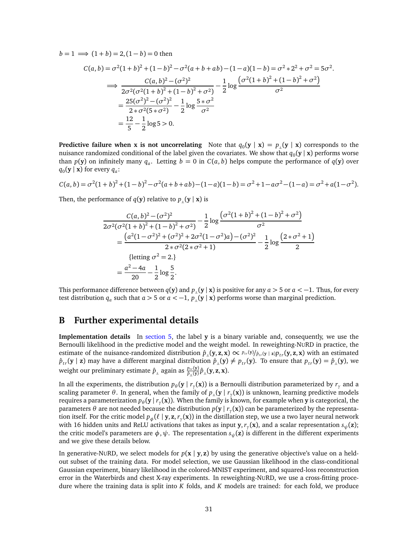$b = 1 \implies (1 + b) = 2, (1 - b) = 0$  then

$$
C(a,b) = \sigma^2 (1+b)^2 + (1-b)^2 - \sigma^2 (a+b+ab) - (1-a)(1-b) = \sigma^2 * 2^2 + \sigma^2 = 5\sigma^2.
$$
  
\n
$$
\implies \frac{C(a,b)^2 - (\sigma^2)^2}{2\sigma^2 (\sigma^2 (1+b)^2 + (1-b)^2 + \sigma^2)} - \frac{1}{2} \log \frac{(\sigma^2 (1+b)^2 + (1-b)^2 + \sigma^2)}{\sigma^2}
$$
  
\n
$$
= \frac{25(\sigma^2)^2 - (\sigma^2)^2}{2 * \sigma^2 (5 * \sigma^2)} - \frac{1}{2} \log \frac{5 * \sigma^2}{\sigma^2}
$$
  
\n
$$
= \frac{12}{5} - \frac{1}{2} \log 5 > 0.
$$

**Predictive failure when x is not uncorrelating** Note that  $q_0(y | x) = p_1(y | x)$  corresponds to the nuisance randomized conditional of the label given the covariates. We show that  $q_0(\mathbf{y} \mid \mathbf{x})$  performs worse than  $p(y)$  on infinitely many  $q_a$ . Letting  $b = 0$  in  $C(a, b)$  helps compute the performance of  $q(y)$  over  $q_0$ (**y** | **x**) for every  $q_a$ :

$$
C(a,b) = \sigma^2(1+b)^2 + (1-b)^2 - \sigma^2(a+b+ab) - (1-a)(1-b) = \sigma^2 + 1 - a\sigma^2 - (1-a) = \sigma^2 + a(1-\sigma^2).
$$

Then, the performance of  $q(y)$  relative to  $p_+(y \mid x)$  is

$$
\frac{C(a,b)^2 - (\sigma^2)^2}{2\sigma^2(\sigma^2(1+b)^2 + (1-b)^2 + \sigma^2)} - \frac{1}{2}\log\frac{(\sigma^2(1+b)^2 + (1-b)^2 + \sigma^2)}{\sigma^2}
$$
\n
$$
= \frac{(a^2(1-\sigma^2)^2 + (\sigma^2)^2 + 2\sigma^2(1-\sigma^2)a) - (\sigma^2)^2}{2*\sigma^2(2*\sigma^2+1)} - \frac{1}{2}\log\frac{(2*\sigma^2+1)}{2}
$$
\n{letting  $\sigma^2 = 2$ .)\n
$$
= \frac{a^2 - 4a}{20} - \frac{1}{2}\log\frac{5}{2}.
$$

This performance difference between  $q(y)$  and  $p_{\parallel}(y | x)$  is positive for any  $a > 5$  or  $a < -1$ . Thus, for every test distribution  $q_a$  such that  $a > 5$  or  $a < -1$ ,  $p_{\perp}(y | x)$  performs worse than marginal prediction.

## <span id="page-30-0"></span>**B Further experimental details**

**Implementation details** In [section 5,](#page-7-1) the label **y** is a binary variable and, consequently, we use the Bernoulli likelihood in the predictive model and the weight model. In reweighting-NURD in practice, the estimate of the nuisance-randomized distribution  $\hat{p}_{\parallel}(\mathbf{y},\mathbf{z},\mathbf{x}) \propto p_{tr}(\mathbf{y}/p_{tr}(\mathbf{y}|\mathbf{z})p_{tr}(\mathbf{y},\mathbf{z},\mathbf{x}))$  with an estimated  $\hat{p}_{tr}(\mathbf{y} \mid \mathbf{z})$  may have a different marginal distribution  $\hat{p}_{\perp}(\mathbf{y}) \neq p_{tr}(\mathbf{y})$ . To ensure that  $p_{tr}(\mathbf{y}) = \hat{p}_{\perp}(\mathbf{y})$ , we weight our preliminary estimate  $\hat{p}_\perp$  again as  $\frac{p_{tr}(\mathbf{y})}{\hat{p}_\perp(\mathbf{y})}\hat{p}_\perp(\mathbf{y},\mathbf{z},\mathbf{x}).$ 

In all the experiments, the distribution  $p_\theta(\mathbf{y} \mid r_\gamma(\mathbf{x}))$  is a Bernoulli distribution parameterized by  $r_\gamma$  and a scaling parameter  $\theta$ . In general, when the family of  $p_{\_\p}(y \mid r_\gamma(x))$  is unknown, learning predictive models requires a parameterization  $p_\theta(\mathbf{y}\,|\,r_\gamma(\mathbf{x}))$ . When the family is known, for example when  $\mathbf y$  is categorical, the parameters *θ* are not needed because the distribution *p*(**y** | *r<sup>γ</sup>* (**x**)) can be parameterized by the representation itself. For the critic model  $p_\phi(\ell\mid\mathbf{y},\mathbf{z},r_\gamma(\mathbf{x}))$  in the distillation step, we use a two layer neural network with 16 hidden units and ReLU activations that takes as input **y**,*r<sup>γ</sup>* (**x**), and a scalar representation *sψ*(**z**); the critic model's parameters are  $\phi$ ,  $\psi$ . The representation  $s_{\psi}(\mathbf{z})$  is different in the different experiments and we give these details below.

In generative-NURD, we select models for  $p(x | y, z)$  by using the generative objective's value on a heldout subset of the training data. For model selection, we use Gaussian likelihood in the class-conditional Gaussian experiment, binary likelihood in the colored-MNIST experiment, and squared-loss reconstruction error in the Waterbirds and chest X-ray experiments. In reweighting-NURD, we use a cross-fitting procedure where the training data is split into *K* folds, and *K* models are trained: for each fold, we produce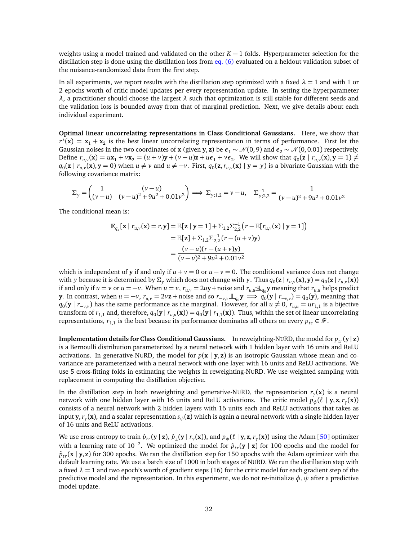weights using a model trained and validated on the other  $K - 1$  folds. Hyperparameter selection for the distillation step is done using the distillation loss from [eq. \(6\)](#page-5-1) evaluated on a heldout validation subset of the nuisance-randomized data from the first step.

In all experiments, we report results with the distillation step optimized with a fixed  $\lambda = 1$  and with 1 or 2 epochs worth of critic model updates per every representation update. In setting the hyperparameter *λ*, a practitioner should choose the largest *λ* such that optimization is still stable for different seeds and the validation loss is bounded away from that of marginal prediction. Next, we give details about each individual experiment.

**Optimal linear uncorrelating representations in Class Conditional Gaussians.** Here, we show that  $r^*(\mathbf{x}) = \mathbf{x}_1 + \mathbf{x}_2$  is the best linear uncorrelating representation in terms of performance. First let the Gaussian noises in the two coordinates of **x** (given **y**, **z**) be  $\epsilon_1 \sim \mathcal{N}(0, 9)$  and  $\epsilon_2 \sim \mathcal{N}(0, 0.01)$  respectively. Define  $r_{u,v}(\mathbf{x}) = u\mathbf{x}_1 + v\mathbf{x}_2 = (u+v)\mathbf{y} + (v-u)\mathbf{z} + u\boldsymbol{\epsilon}_1 + v\boldsymbol{\epsilon}_2$ . We will show that  $q_0(\mathbf{z} \mid r_{u,v}(\mathbf{x}), \mathbf{y} = 1) \neq 0$  $q_0(\mathbf{z} \mid r_{u,v}(\mathbf{x}), \mathbf{y} = 0)$  when  $u \neq v$  and  $u \neq -v$ . First,  $q_0(\mathbf{z}, r_{u,v}(\mathbf{x}) \mid \mathbf{y} = y)$  is a bivariate Gaussian with the following covariance matrix:

$$
\Sigma_{y} = \begin{pmatrix} 1 & (v - u) \\ (v - u) & (v - u)^{2} + 9u^{2} + 0.01v^{2} \end{pmatrix} \implies \Sigma_{y;1,2} = v - u, \quad \Sigma_{y;2,2}^{-1} = \frac{1}{(v - u)^{2} + 9u^{2} + 0.01v^{2}}
$$

The conditional mean is:

$$
\mathbb{E}_{q_a}[\mathbf{z} | r_{u,v}(\mathbf{x}) = r, \mathbf{y}] = \mathbb{E}[\mathbf{z} | \mathbf{y} = 1] + \Sigma_{1,2} \Sigma_{2,2}^{-1} (r - \mathbb{E}[r_{u,v}(\mathbf{x}) | \mathbf{y} = 1])
$$
  
\n
$$
= \mathbb{E}[\mathbf{z}] + \Sigma_{1,2} \Sigma_{2,2}^{-1} (r - (u + v)\mathbf{y})
$$
  
\n
$$
= \frac{(v - u)(r - (u + v)\mathbf{y})}{(v - u)^2 + 9u^2 + 0.01v^2}
$$

which is independent of **y** if and only if  $u + v = 0$  or  $u - v = 0$ . The conditional variance does not change with y because it is determined by  $\Sigma_y$  which does not change with y. Thus  $q_0(z | r_{u,v}(x), y) = q_0(z | r_{u,v}(x))$ if and only if  $u = v$  or  $u = -v$ . When  $u = v$ ,  $r_{u,v} = 2uy + \text{noise}$  and  $r_{u,u} \perp \perp_{q_0} y$  meaning that  $r_{u,u}$  helps predict y. In contrast, when  $u = -v$ ,  $r_{u,v} = 2v\mathbf{z} + \text{noise}$  and so  $r_{-v,v} \perp \perp_{q_0} \mathbf{y} \implies q_0(\mathbf{y} \mid r_{-v,v}) = q_0(\mathbf{y})$ , meaning that *q*<sub>0</sub>(**y** | *r*−*v*,*v*</sub>) has the same performance as the marginal. However, for all *u* ≠ 0, *r*<sub>*u*,*u*</sub> = *ur*<sub>1,1</sub> is a bijective transform of  $r_{1,1}$  and, therefore,  $q_0(y \mid r_{u,u}(x)) = q_0(y \mid r_{1,1}(x))$ . Thus, within the set of linear uncorrelating representations,  $r_{1,1}$  is the best because its performance dominates all others on every  $p_{te} \in \mathcal{F}$ .

**Implementation details for Class Conditional Gaussians.** In reweighting-NURD, the model for  $p_{tr}(\mathbf{y} | \mathbf{z})$ is a Bernoulli distribution parameterized by a neural network with 1 hidden layer with 16 units and ReLU activations. In generative-NURD, the model for  $p(x | y, z)$  is an isotropic Gaussian whose mean and covariance are parameterized with a neural network with one layer with 16 units and ReLU activations. We use 5 cross-fitting folds in estimating the weights in reweighting-NURD. We use weighted sampling with replacement in computing the distillation objective.

In the distillation step in both reweighting and generative-NURD, the representation *r<sup>γ</sup>* (**x**) is a neural network with one hidden layer with 16 units and ReLU activations. The critic model  $p_{\phi}^{'}(\ell \mid y, z, r_{\gamma}(x))$ consists of a neural network with 2 hidden layers with 16 units each and ReLU activations that takes as input **y**,*r<sup>γ</sup>* (**x**), and a scalar representation *sψ*(**z**) which is again a neural network with a single hidden layer of 16 units and ReLU activations.

We use cross entropy to train  $\hat{p}_{tr}(\mathbf{y} \mid \mathbf{z}), \hat{p}_{\perp}(\mathbf{y} \mid r_\gamma(\mathbf{x})),$  and  $p_\phi(\ell \mid \mathbf{y}, \mathbf{z}, r_\gamma(\mathbf{x}))$  using the Adam [[50](#page-13-7)] optimizer with a learning rate of 10<sup>-2</sup>. We optimized the model for  $\hat{p}_{tr}(\mathbf{y} \mid \mathbf{z})$  for 100 epochs and the model for  $\hat{p}_{tr}(\mathbf{x} \mid \mathbf{y}, \mathbf{z})$  for 300 epochs. We ran the distillation step for 150 epochs with the Adam optimizer with the default learning rate. We use a batch size of 1000 in both stages of NURD. We run the distillation step with a fixed  $\lambda = 1$  and two epoch's worth of gradient steps (16) for the critic model for each gradient step of the predictive model and the representation. In this experiment, we do not re-initialize  $\phi$ ,  $\psi$  after a predictive model update.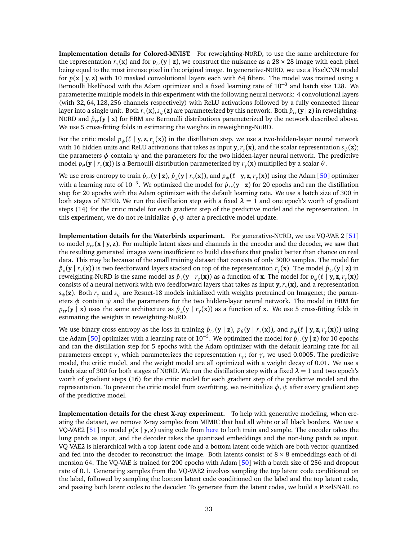**Implementation details for Colored-MNIST.** For reweighting-NURD, to use the same architecture for the representation  $r_\gamma(\mathbf{x})$  and for  $p_{tr}(\mathbf{y} \mid \mathbf{z})$ , we construct the nuisance as a 28 × 28 image with each pixel being equal to the most intense pixel in the original image. In generative-NURD, we use a PixelCNN model for  $p(x | y, z)$  with 10 masked convolutional layers each with 64 filters. The model was trained using a Bernoulli likelihood with the Adam optimizer and a fixed learning rate of 10<sup>-3</sup> and batch size 128. We parameterize multiple models in this experiment with the following neural network: 4 convolutional layers (with 32, 64, 128, 256 channels respectively) with ReLU activations followed by a fully connected linear layer into a single unit. Both  $r_\gamma(\mathbf{x}), s_\psi(\mathbf{z})$  are parameterized by this network. Both  $\hat{p}_{tr}(\mathbf{y}\,|\,\mathbf{z})$  in reweighting-NURD and  $\hat{p}_{tr}(\mathbf{y} \mid \mathbf{x})$  for ERM are Bernoulli distributions parameterized by the network described above. We use 5 cross-fitting folds in estimating the weights in reweighting-NURD.

For the critic model  $p_{\phi}(\ell \mid y, z, r_{\gamma}(x))$  in the distillation step, we use a two-hidden-layer neural network with 16 hidden units and ReLU activations that takes as input **y**,*r<sup>γ</sup>* (**x**), and the scalar representation *sψ*(**z**); the parameters  $\phi$  contain  $\psi$  and the parameters for the two hidden-layer neural network. The predictive model  $p_{\theta}$ (**y** |  $r_{\gamma}$ (**x**)) is a Bernoulli distribution parameterized by  $r_{\gamma}$ (**x**) multiplied by a scalar θ.

We use cross entropy to train  $\hat{p}_{tr}(\mathbf{y} \mid \mathbf{z}), \hat{p}_{\perp}(\mathbf{y} \mid r_\gamma(\mathbf{x})),$  and  $p_\phi(\ell \mid \mathbf{y}, \mathbf{z}, r_\gamma(\mathbf{x}))$  using the Adam [[50](#page-13-7)] optimizer with a learning rate of 10<sup>-3</sup>. We optimized the model for  $\hat{p}_{tr}(\mathbf{y} \mid \mathbf{z})$  for 20 epochs and ran the distillation step for 20 epochs with the Adam optimizer with the default learning rate. We use a batch size of 300 in both stages of NURD. We run the distillation step with a fixed  $\lambda = 1$  and one epoch's worth of gradient steps (14) for the critic model for each gradient step of the predictive model and the representation. In this experiment, we do not re-initialize  $\phi$ ,  $\psi$  after a predictive model update.

**Implementation details for the Waterbirds experiment.** For generative-NURD, we use VQ-VAE 2 [[51](#page-13-8)] to model  $p_{tr}(\mathbf{x} \mid \mathbf{y}, \mathbf{z})$ . For multiple latent sizes and channels in the encoder and the decoder, we saw that the resulting generated images were insufficient to build classifiers that predict better than chance on real data. This may be because of the small training dataset that consists of only 3000 samples. The model for  $\hat{p}_{\perp}(\mathbf{y} \mid r_{\gamma}(\mathbf{x}))$  is two feedforward layers stacked on top of the representation  $r_{\gamma}(\mathbf{x})$ . The model  $\hat{p}_{tr}(\mathbf{y} \mid \mathbf{z})$  in reweighting-NURD is the same model as  $\hat{p}_\perp(y \mid r_\gamma(\mathbf{x}))$  as a function of **x**. The model for  $p_\phi(\ell \mid \mathbf{y}, \mathbf{z}, r_\gamma(\mathbf{x}))$ consists of a neural network with two feedforward layers that takes as input **y**,*r<sup>γ</sup>* (**x**), and a representation  $s_{\psi}(\mathbf{z})$ . Both  $r_{\gamma}$  and  $s_{\psi}$  are Resnet-18 models initialized with weights pretrained on Imagenet; the parameters  $\phi$  contain  $\psi$  and the parameters for the two hidden-layer neural network. The model in ERM for  $p_{tr}$ (**y** | **x**) uses the same architecture as  $\hat{p}_{\perp}$ (**y** |  $r_{\gamma}$ (**x**)) as a function of **x**. We use 5 cross-fitting folds in estimating the weights in reweighting-NURD.

We use binary cross entropy as the loss in training  $\hat{p}_{tr}(\mathbf{y} \mid \mathbf{z})$ ,  $p_{\theta}(\mathbf{y} \mid r_{\gamma}(\mathbf{x}))$ , and  $p_{\phi}(\ell \mid \mathbf{y}, \mathbf{z}, r_{\gamma}(\mathbf{x})))$  using the Adam [[50](#page-13-7)] optimizer with a learning rate of 10<sup>−</sup><sup>3</sup> . We optimized the model for ˆ*pt r*(**y** | **z**) for 10 epochs and ran the distillation step for 5 epochs with the Adam optimizer with the default learning rate for all parameters except *γ*, which parameterizes the representation *r<sup>γ</sup>* ; for *γ*, we used 0.0005. The predictive model, the critic model, and the weight model are all optimized with a weight decay of 0.01. We use a batch size of 300 for both stages of NURD. We run the distillation step with a fixed  $\lambda = 1$  and two epoch's worth of gradient steps (16) for the critic model for each gradient step of the predictive model and the representation. To prevent the critic model from overfitting, we re-initialize  $\phi$ ,  $\psi$  after every gradient step of the predictive model.

**Implementation details for the chest X-ray experiment.** To help with generative modeling, when creating the dataset, we remove X-ray samples from MIMIC that had all white or all black borders. We use a VQ-VAE2 [[51](#page-13-8)] to model  $p(x | y, z)$  using code from [here](https://github.com/kamenbliznashki/generative_models) to both train and sample. The encoder takes the lung patch as input, and the decoder takes the quantized embeddings and the non-lung patch as input. VQ-VAE2 is hierarchical with a top latent code and a bottom latent code which are both vector-quantized and fed into the decoder to reconstruct the image. Both latents consist of  $8 \times 8$  embeddings each of dimension 64. The VQ-VAE is trained for 200 epochs with Adam [[50](#page-13-7)] with a batch size of 256 and dropout rate of 0.1. Generating samples from the VQ-VAE2 involves sampling the top latent code conditioned on the label, followed by sampling the bottom latent code conditioned on the label and the top latent code, and passing both latent codes to the decoder. To generate from the latent codes, we build a PixelSNAIL to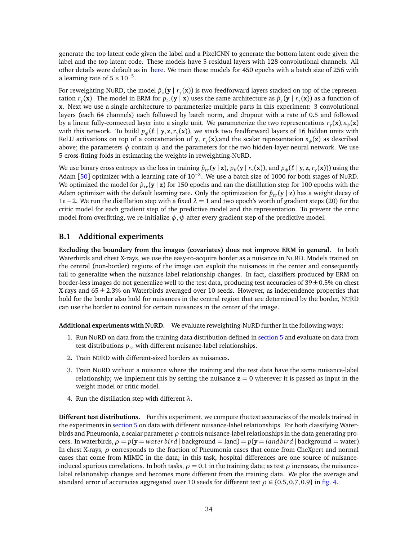generate the top latent code given the label and a PixelCNN to generate the bottom latent code given the label and the top latent code. These models have 5 residual layers with 128 convolutional channels. All other details were default as in [here.](https://github.com/kamenbliznashki/generative_models) We train these models for 450 epochs with a batch size of 256 with a learning rate of  $5 \times 10^{-5}$ .

For reweighting-NURD, the model  $\hat{p}_\perp(\mathbf{y} \mid r_\gamma(\mathbf{x}))$  is two feedforward layers stacked on top of the representation  $r_\gamma(\bf{x})$ . The model in ERM for  $p_{tr}(\bf{y}\mid\bf{x})$  uses the same architecture as  $\hat{p}_\perp(\bf{y}\mid r_\gamma(\bf{x}))$  as a function of **x**. Next we use a single architecture to parameterize multiple parts in this experiment: 3 convolutional layers (each 64 channels) each followed by batch norm, and dropout with a rate of 0.5 and followed by a linear fully-connected layer into a single unit. We parameterize the two representations *r<sup>γ</sup>* (**x**),*sψ*(**z**) with this network. To build  $p_{\phi}(\ell \mid y, z, r_{\gamma}(x))$ , we stack two feedforward layers of 16 hidden units with ReLU activations on top of a concatenation of **y**, *r<sup>γ</sup>* (**x**),and the scalar representation *sψ*(**z**) as described above; the parameters  $\phi$  contain  $\psi$  and the parameters for the two hidden-layer neural network. We use 5 cross-fitting folds in estimating the weights in reweighting-NURD.

We use binary cross entropy as the loss in training  $\hat{p}_{tr}(\mathbf{y} \mid \mathbf{z}), p_\theta(\mathbf{y} \mid r_\gamma(\mathbf{x}))$ , and  $p_\phi(\ell \mid \mathbf{y}, \mathbf{z}, r_\gamma(\mathbf{x})))$  using the Adam [[50](#page-13-7)] optimizer with a learning rate of 10<sup>-3</sup>. We use a batch size of 1000 for both stages of N∪RD. We optimized the model for  $\hat{p}_{tr}(\mathbf{y} | \mathbf{z})$  for 150 epochs and ran the distillation step for 100 epochs with the Adam optimizer with the default learning rate. Only the optimization for  $\hat{p}_{tr}(\mathbf{y} | \mathbf{z})$  has a weight decay of 1*e* −2. We run the distillation step with a fixed *λ* = 1 and two epoch's worth of gradient steps (20) for the critic model for each gradient step of the predictive model and the representation. To prevent the critic model from overfitting, we re-initialize  $\phi$ ,  $\psi$  after every gradient step of the predictive model.

## **B.1 Additional experiments**

**Excluding the boundary from the images (covariates) does not improve ERM in general.** In both Waterbirds and chest X-rays, we use the easy-to-acquire border as a nuisance in NURD. Models trained on the central (non-border) regions of the image can exploit the nuisances in the center and consequently fail to generalize when the nuisance-label relationship changes. In fact, classifiers produced by ERM on border-less images do not generalize well to the test data, producing test accuracies of  $39 \pm 0.5\%$  on chest X-rays and  $65 \pm 2.3\%$  on Waterbirds averaged over 10 seeds. However, as independence properties that hold for the border also hold for nuisances in the central region that are determined by the border, NURD can use the border to control for certain nuisances in the center of the image.

**Additional experiments with NURD.** We evaluate reweighting-NURD further in the following ways:

- 1. Run NURD on data from the training data distribution defined in [section 5](#page-7-1) and evaluate on data from test distributions *pte* with different nuisance-label relationships.
- 2. Train NURD with different-sized borders as nuisances.
- 3. Train NURD without a nuisance where the training and the test data have the same nuisance-label relationship; we implement this by setting the nuisance  $z = 0$  wherever it is passed as input in the weight model or critic model.
- 4. Run the distillation step with different *λ*.

**Different test distributions.** For this experiment, we compute the test accuracies of the models trained in the experiments in [section 5](#page-7-1) on data with different nuisance-label relationships. For both classifying Waterbirds and Pneumonia, a scalar parameter *ρ* controls nuisance-label relationships in the data generating process. In waterbirds,  $\rho = p(y = waterbird | background = land) = p(y = landbird | background = water)$ . In chest X-rays, *ρ* corresponds to the fraction of Pneumonia cases that come from CheXpert and normal cases that come from MIMIC in the data; in this task, hospital differences are one source of nuisanceinduced spurious correlations. In both tasks,  $\rho = 0.1$  in the training data; as test  $\rho$  increases, the nuisancelabel relationship changes and becomes more different from the training data. We plot the average and standard error of accuracies aggregated over 10 seeds for different test  $\rho \in \{0.5, 0.7, 0.9\}$  in [fig. 4.](#page-34-0)